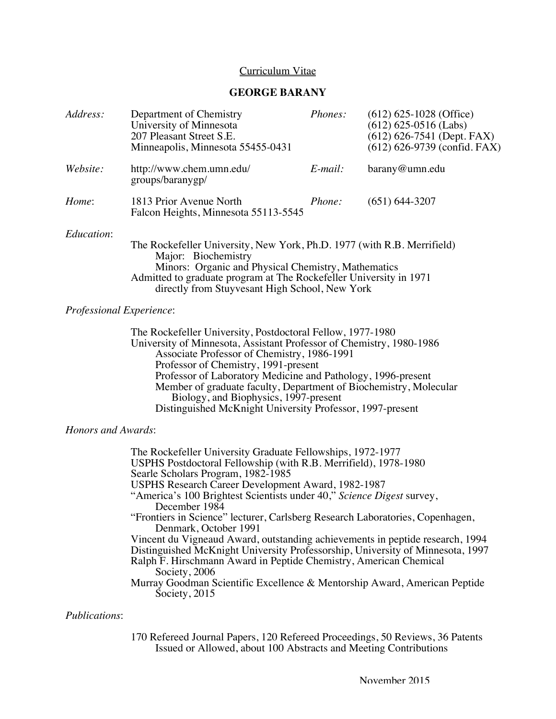# Curriculum Vitae

## **GEORGE BARANY**

| Address:   | Department of Chemistry<br>University of Minnesota<br>207 Pleasant Street S.E.<br>Minneapolis, Minnesota 55455-0431                                                                                                                                                           | Phones:       | $(612)$ 625-1028 (Office)<br>$(612)$ 625-0516 (Labs)<br>$(612) 626-7541$ (Dept. FAX)<br>$(612)$ 626-9739 (confid. FAX) |
|------------|-------------------------------------------------------------------------------------------------------------------------------------------------------------------------------------------------------------------------------------------------------------------------------|---------------|------------------------------------------------------------------------------------------------------------------------|
| Website:   | http://www.chem.umn.edu/<br>groups/baranygp/                                                                                                                                                                                                                                  | $E$ -mail:    | $bar$ ay@umn.edu                                                                                                       |
| Home:      | 1813 Prior Avenue North<br>Falcon Heights, Minnesota 55113-5545                                                                                                                                                                                                               | <i>Phone:</i> | $(651) 644 - 3207$                                                                                                     |
| Education: | The Rockefeller University, New York, Ph.D. 1977 (with R.B. Merrifield)<br>Major: Biochemistry<br>Minors: Organic and Physical Chemistry, Mathematics<br>Admitted to graduate program at The Rockefeller University in 1971<br>directly from Stuyvesant High School, New York |               |                                                                                                                        |

#### *Professional Experience*:

The Rockefeller University, Postdoctoral Fellow, 1977-1980 University of Minnesota, Assistant Professor of Chemistry, 1980-1986 Associate Professor of Chemistry, 1986-1991 Professor of Chemistry, 1991-present Professor of Laboratory Medicine and Pathology, 1996-present Member of graduate faculty, Department of Biochemistry, Molecular Biology, and Biophysics, 1997-present Distinguished McKnight University Professor, 1997-present

#### *Honors and Awards*:

The Rockefeller University Graduate Fellowships, 1972-1977 USPHS Postdoctoral Fellowship (with R.B. Merrifield), 1978-1980 Searle Scholars Program, 1982-1985 USPHS Research Career Development Award, 1982-1987 "America's 100 Brightest Scientists under 40," *Science Digest* survey, December 1984 "Frontiers in Science" lecturer, Carlsberg Research Laboratories, Copenhagen, Denmark, October 1991 Vincent du Vigneaud Award, outstanding achievements in peptide research, 1994 Distinguished McKnight University Professorship, University of Minnesota, 1997 Ralph F. Hirschmann Award in Peptide Chemistry, American Chemical Society, 2006 Murray Goodman Scientific Excellence & Mentorship Award, American Peptide Society, 2015

# *Publications*:

170 Refereed Journal Papers, 120 Refereed Proceedings, 50 Reviews, 36 Patents Issued or Allowed, about 100 Abstracts and Meeting Contributions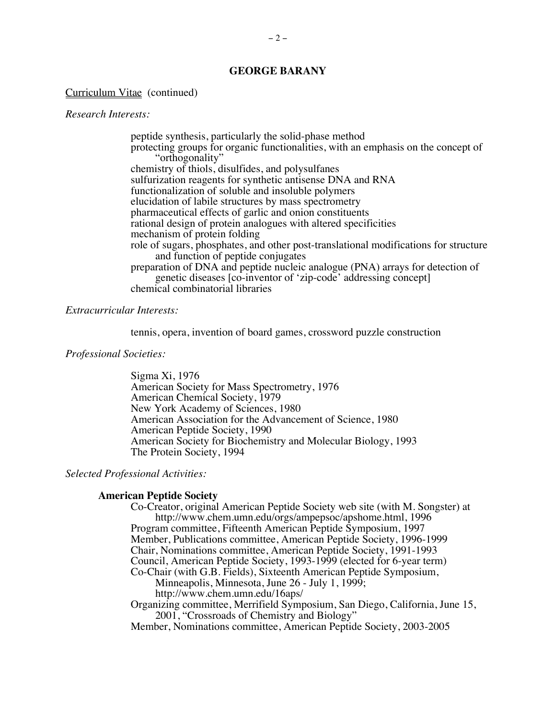#### Curriculum Vitae (continued)

#### *Research Interests:*

peptide synthesis, particularly the solid-phase method protecting groups for organic functionalities, with an emphasis on the concept of "orthogonality" chemistry of thiols, disulfides, and polysulfanes sulfurization reagents for synthetic antisense DNA and RNA functionalization of soluble and insoluble polymers elucidation of labile structures by mass spectrometry pharmaceutical effects of garlic and onion constituents rational design of protein analogues with altered specificities mechanism of protein folding role of sugars, phosphates, and other post-translational modifications for structure and function of peptide conjugates preparation of DNA and peptide nucleic analogue (PNA) arrays for detection of genetic diseases [co-inventor of 'zip-code' addressing concept] chemical combinatorial libraries

#### *Extracurricular Interests:*

tennis, opera, invention of board games, crossword puzzle construction

#### *Professional Societies:*

Sigma Xi, 1976 American Society for Mass Spectrometry, 1976 American Chemical Society, 1979 New York Academy of Sciences, 1980 American Association for the Advancement of Science, 1980 American Peptide Society, 1990 American Society for Biochemistry and Molecular Biology, 1993 The Protein Society, 1994

# *Selected Professional Activities:*

#### **American Peptide Society**

Co-Creator, original American Peptide Society web site (with M. Songster) at http://www.chem.umn.edu/orgs/ampepsoc/apshome.html, 1996 Program committee, Fifteenth American Peptide Symposium, 1997 Member, Publications committee, American Peptide Society, 1996-1999 Chair, Nominations committee, American Peptide Society, 1991-1993 Council, American Peptide Society, 1993-1999 (elected for 6-year term) Co-Chair (with G.B. Fields), Sixteenth American Peptide Symposium, Minneapolis, Minnesota, June 26 - July 1, 1999; http://www.chem.umn.edu/16aps/

Organizing committee, Merrifield Symposium, San Diego, California, June 15, 2001, "Crossroads of Chemistry and Biology"

Member, Nominations committee, American Peptide Society, 2003-2005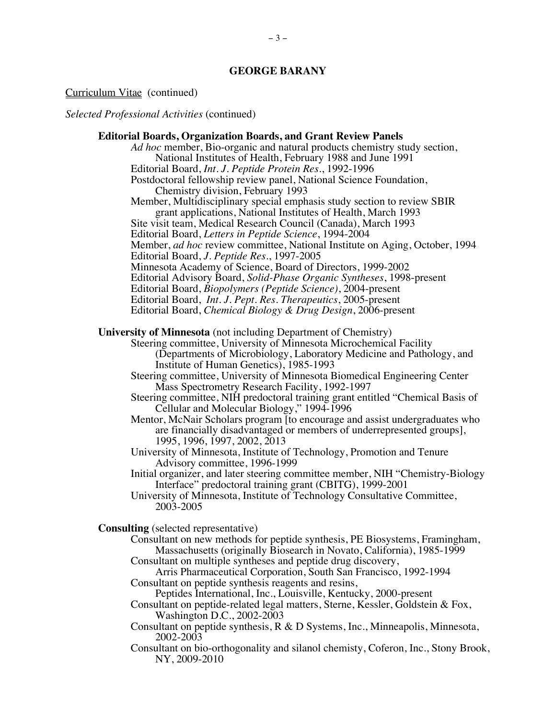#### Curriculum Vitae (continued)

*Selected Professional Activities* (continued)

# **Editorial Boards, Organization Boards, and Grant Review Panels**

*Ad hoc* member, Bio-organic and natural products chemistry study section, National Institutes of Health, February 1988 and June 1991 Editorial Board, *Int. J. Peptide Protein Res.*, 1992-1996 Postdoctoral fellowship review panel, National Science Foundation, Chemistry division, February 1993 Member, Multidisciplinary special emphasis study section to review SBIR grant applications, National Institutes of Health, March 1993 Site visit team, Medical Research Council (Canada), March 1993 Editorial Board, *Letters in Peptide Science*, 1994-2004 Member, *ad hoc* review committee, National Institute on Aging, October, 1994 Editorial Board, *J. Peptide Res.*, 1997-2005 Minnesota Academy of Science, Board of Directors, 1999-2002 Editorial Advisory Board, *Solid-Phase Organic Syntheses*, 1998-present Editorial Board, *Biopolymers (Peptide Science)*, 2004-present Editorial Board, *Int. J. Pept. Res. Therapeutics*, 2005-present Editorial Board, *Chemical Biology & Drug Design*, 2006-present **University of Minnesota** (not including Department of Chemistry) Steering committee, University of Minnesota Microchemical Facility (Departments of Microbiology, Laboratory Medicine and Pathology, and Institute of Human Genetics), 1985-1993 Steering committee, University of Minnesota Biomedical Engineering Center Mass Spectrometry Research Facility, 1992-1997 Steering committee, NIH predoctoral training grant entitled "Chemical Basis of Cellular and Molecular Biology," 1994-1996 Mentor, McNair Scholars program [to encourage and assist undergraduates who are financially disadvantaged or members of underrepresented groups], 1995, 1996, 1997, 2002, 2013 University of Minnesota, Institute of Technology, Promotion and Tenure Advisory committee, 1996-1999 Initial organizer, and later steering committee member, NIH "Chemistry-Biology Interface" predoctoral training grant (CBITG), 1999-2001 University of Minnesota, Institute of Technology Consultative Committee, 2003-2005 **Consulting** (selected representative) Consultant on new methods for peptide synthesis, PE Biosystems, Framingham, Massachusetts (originally Biosearch in Novato, California), 1985-1999 Consultant on multiple syntheses and peptide drug discovery, Arris Pharmaceutical Corporation, South San Francisco, 1992-1994 Consultant on peptide synthesis reagents and resins, Peptides International, Inc., Louisville, Kentucky, 2000-present Consultant on peptide-related legal matters, Sterne, Kessler, Goldstein & Fox, Washington D.C., 2002-2003 Consultant on peptide synthesis, R & D Systems, Inc., Minneapolis, Minnesota, 2002-2003

Consultant on bio-orthogonality and silanol chemisty, Coferon, Inc., Stony Brook, NY, 2009-2010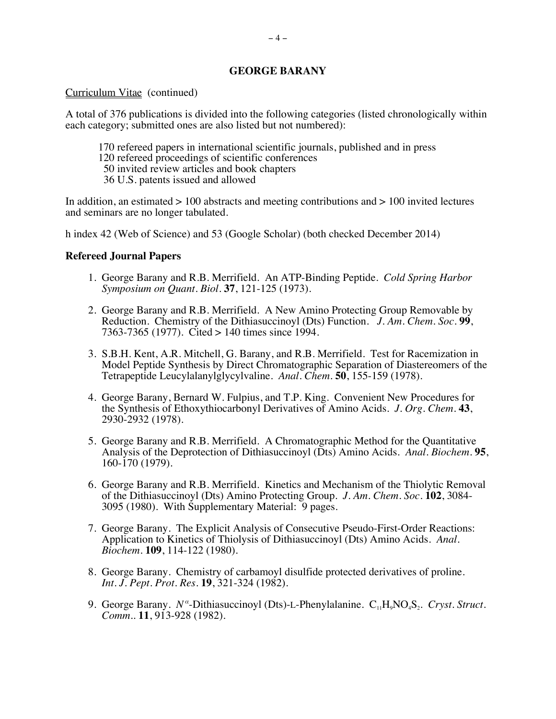#### Curriculum Vitae (continued)

A total of 376 publications is divided into the following categories (listed chronologically within each category; submitted ones are also listed but not numbered):

- 170 refereed papers in international scientific journals, published and in press
- 120 refereed proceedings of scientific conferences
- 50 invited review articles and book chapters
- 36 U.S. patents issued and allowed

In addition, an estimated  $> 100$  abstracts and meeting contributions and  $> 100$  invited lectures and seminars are no longer tabulated.

h index 42 (Web of Science) and 53 (Google Scholar) (both checked December 2014)

## **Refereed Journal Papers**

- 1. George Barany and R.B. Merrifield. An ATP-Binding Peptide. *Cold Spring Harbor Symposium on Quant. Biol.* **37**, 121-125 (1973).
- 2. George Barany and R.B. Merrifield. A New Amino Protecting Group Removable by Reduction. Chemistry of the Dithiasuccinoyl (Dts) Function. *J. Am. Chem. Soc.* **99**, 7363-7365 (1977). Cited > 140 times since 1994.
- 3. S.B.H. Kent, A.R. Mitchell, G. Barany, and R.B. Merrifield. Test for Racemization in Model Peptide Synthesis by Direct Chromatographic Separation of Diastereomers of the Tetrapeptide Leucylalanylglycylvaline. *Anal. Chem.* **50**, 155-159 (1978).
- 4. George Barany, Bernard W. Fulpius, and T.P. King. Convenient New Procedures for the Synthesis of Ethoxythiocarbonyl Derivatives of Amino Acids. *J. Org. Chem.* **43**, 2930-2932 (1978).
- 5. George Barany and R.B. Merrifield. A Chromatographic Method for the Quantitative Analysis of the Deprotection of Dithiasuccinoyl (Dts) Amino Acids. *Anal. Biochem.* **95**, 160-170 (1979).
- 6. George Barany and R.B. Merrifield. Kinetics and Mechanism of the Thiolytic Removal of the Dithiasuccinoyl (Dts) Amino Protecting Group. *J. Am. Chem. Soc.* **102**, 3084- 3095 (1980). With Supplementary Material: 9 pages.
- 7. George Barany. The Explicit Analysis of Consecutive Pseudo-First-Order Reactions: Application to Kinetics of Thiolysis of Dithiasuccinoyl (Dts) Amino Acids. *Anal. Biochem.* **109**, 114-122 (1980).
- 8. George Barany. Chemistry of carbamoyl disulfide protected derivatives of proline. *Int. J. Pept. Prot. Res.* **19**, 321-324 (1982).
- 9. George Barany. *N<sup>α</sup>*-Dithiasuccinoyl (Dts)-L-Phenylalanine. C<sub>11</sub>H<sub>9</sub>NO<sub>4</sub>S<sub>2</sub>. *Cryst. Struct. Comm..* **11**, 913-928 (1982).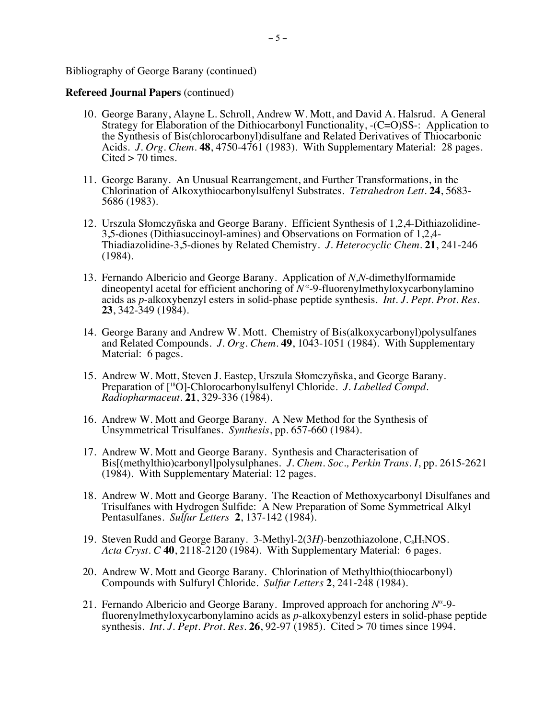- 10. George Barany, Alayne L. Schroll, Andrew W. Mott, and David A. Halsrud. A General Strategy for Elaboration of the Dithiocarbonyl Functionality, -(C=O)SS-: Application to the Synthesis of Bis(chlorocarbonyl)disulfane and Related Derivatives of Thiocarbonic Acids. *J. Org. Chem.* **48**, 4750-4761 (1983). With Supplementary Material: 28 pages.  $Cited > 70$  times.
- 11. George Barany. An Unusual Rearrangement, and Further Transformations, in the Chlorination of Alkoxythiocarbonylsulfenyl Substrates. *Tetrahedron Lett.* **24**, 5683- 5686 (1983).
- 12. Urszula Słomczyñska and George Barany. Efficient Synthesis of 1,2,4-Dithiazolidine-3,5-diones (Dithiasuccinoyl-amines) and Observations on Formation of 1,2,4- Thiadiazolidine-3,5-diones by Related Chemistry. *J. Heterocyclic Chem.* **21**, 241-246 (1984).
- 13. Fernando Albericio and George Barany. Application of *N,N-*dimethylformamide dineopentyl acetal for efficient anchoring of *N<sup>α</sup>* -9-fluorenylmethyloxycarbonylamino acids as *p*-alkoxybenzyl esters in solid-phase peptide synthesis. *Int. J. Pept. Prot. Res.* **23**, 342-349 (1984).
- 14. George Barany and Andrew W. Mott. Chemistry of Bis(alkoxycarbonyl)polysulfanes and Related Compounds. *J. Org. Chem.* **49**, 1043-1051 (1984). With Supplementary Material: 6 pages.
- 15. Andrew W. Mott, Steven J. Eastep, Urszula Słomczyñska, and George Barany. Preparation of [18O]-Chlorocarbonylsulfenyl Chloride. *J. Labelled Compd. Radiopharmaceut.* **21**, 329-336 (1984).
- 16. Andrew W. Mott and George Barany. A New Method for the Synthesis of Unsymmetrical Trisulfanes. *Synthesis*, pp. 657-660 (1984).
- 17. Andrew W. Mott and George Barany. Synthesis and Characterisation of Bis[(methylthio)carbonyl]polysulphanes. *J. Chem. Soc., Perkin Trans. I*, pp. 2615-2621 (1984). With Supplementary Material: 12 pages.
- 18. Andrew W. Mott and George Barany. The Reaction of Methoxycarbonyl Disulfanes and Trisulfanes with Hydrogen Sulfide: A New Preparation of Some Symmetrical Alkyl Pentasulfanes. *Sulfur Letters* **2**, 137-142 (1984).
- 19. Steven Rudd and George Barany. 3-Methyl-2(3H)-benzothiazolone, C<sub>8</sub>H<sub>7</sub>NOS. *Acta Cryst. C* **40**, 2118-2120 (1984). With Supplementary Material: 6 pages.
- 20. Andrew W. Mott and George Barany. Chlorination of Methylthio(thiocarbonyl) Compounds with Sulfuryl Chloride. *Sulfur Letters* **2**, 241-248 (1984).
- 21. Fernando Albericio and George Barany. Improved approach for anchoring *N<sup>α</sup>* fluorenylmethyloxycarbonylamino acids as *p*-alkoxybenzyl esters in solid-phase peptide synthesis. *Int. J. Pept. Prot. Res.* **26**, 92-97 (1985). Cited > 70 times since 1994.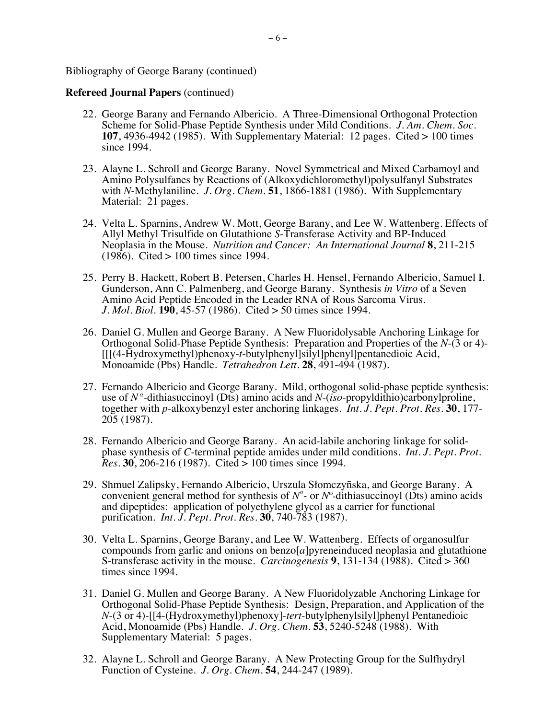- 22. George Barany and Fernando Albericio. A Three-Dimensional Orthogonal Protection Scheme for Solid-Phase Peptide Synthesis under Mild Conditions. *J. Am. Chem. Soc.* **107**, 4936-4942 (1985). With Supplementary Material: 12 pages. Cited > 100 times since 1994.
- 23. Alayne L. Schroll and George Barany. Novel Symmetrical and Mixed Carbamoyl and Amino Polysulfanes by Reactions of (Alkoxydichloromethyl)polysulfanyl Substrates with *N*-Methylaniline. *J. Org. Chem.* **51**, 1866-1881 (1986). With Supplementary Material: 21 pages.
- 24. Velta L. Sparnins, Andrew W. Mott, George Barany, and Lee W. Wattenberg. Effects of Allyl Methyl Trisulfide on Glutathione *S*-Transferase Activity and BP-Induced Neoplasia in the Mouse. *Nutrition and Cancer: An International Journal* **8**, 211-215 (1986). Cited > 100 times since 1994.
- 25. Perry B. Hackett, Robert B. Petersen, Charles H. Hensel, Fernando Albericio, Samuel I. Gunderson, Ann C. Palmenberg, and George Barany. Synthesis *in Vitro* of a Seven Amino Acid Peptide Encoded in the Leader RNA of Rous Sarcoma Virus. *J. Mol. Biol.* **190**, 45-57 (1986). Cited > 50 times since 1994.
- 26. Daniel G. Mullen and George Barany. A New Fluoridolysable Anchoring Linkage for Orthogonal Solid-Phase Peptide Synthesis: Preparation and Properties of the *N*-(3 or 4)- [[[(4-Hydroxymethyl)phenoxy-*t*-butylphenyl]silyl]phenyl]pentanedioic Acid, Monoamide (Pbs) Handle. *Tetrahedron Lett.* **28**, 491-494 (1987).
- 27. Fernando Albericio and George Barany. Mild, orthogonal solid-phase peptide synthesis: use of *N<sup>α</sup>* -dithiasuccinoyl (Dts) amino acids and *N*-(*iso*-propyldithio)carbonylproline, together with *p*-alkoxybenzyl ester anchoring linkages. *Int. J. Pept. Prot. Res.* **30**, 177- 205 (1987).
- 28. Fernando Albericio and George Barany. An acid-labile anchoring linkage for solidphase synthesis of *C*-terminal peptide amides under mild conditions. *Int. J. Pept. Prot. Res.* **30**, 206-216 (1987). Cited > 100 times since 1994.
- 29. Shmuel Zalipsky, Fernando Albericio, Urszula Słomczyñska, and George Barany. A convenient general method for synthesis of  $N^{\alpha}$ - or  $N^{\alpha}$ -dithiasuccinoyl (Dts) amino acids and dipeptides: application of polyethylene glycol as a carrier for functional purification. *Int. J. Pept. Prot. Res.* **30**, 740-783 (1987).
- 30. Velta L. Sparnins, George Barany, and Lee W. Wattenberg. Effects of organosulfur compounds from garlic and onions on benzo[*a*]pyreneinduced neoplasia and glutathione S-transferase activity in the mouse. *Carcinogenesis* **9**, 131-134 (1988). Cited > 360 times since 1994.
- 31. Daniel G. Mullen and George Barany. A New Fluoridolyzable Anchoring Linkage for Orthogonal Solid-Phase Peptide Synthesis: Design, Preparation, and Application of the *N*-(3 or 4)-[[4-(Hydroxymethyl)phenoxy]-*tert*-butylphenylsilyl]phenyl Pentanedioic Acid, Monoamide (Pbs) Handle. *J. Org. Chem.* **53**, 5240-5248 (1988). With Supplementary Material: 5 pages.
- 32. Alayne L. Schroll and George Barany. A New Protecting Group for the Sulfhydryl Function of Cysteine. *J. Org. Chem.* **54**, 244-247 (1989).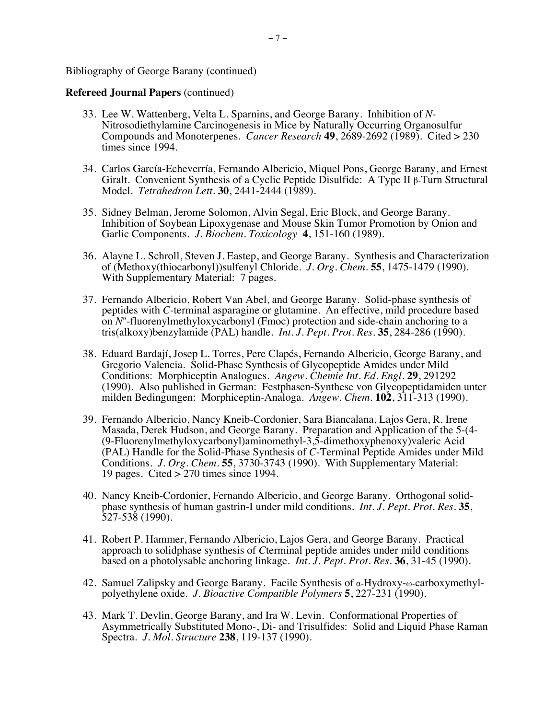- 33. Lee W. Wattenberg, Velta L. Sparnins, and George Barany. Inhibition of *N*-Nitrosodiethylamine Carcinogenesis in Mice by Naturally Occurring Organosulfur Compounds and Monoterpenes. *Cancer Research* **49**, 2689-2692 (1989). Cited > 230 times since 1994.
- 34. Carlos García-Echeverría, Fernando Albericio, Miquel Pons, George Barany, and Ernest Giralt. Convenient Synthesis of a Cyclic Peptide Disulfide: A Type II β-Turn Structural Model. *Tetrahedron Lett.* **30**, 2441-2444 (1989).
- 35. Sidney Belman, Jerome Solomon, Alvin Segal, Eric Block, and George Barany. Inhibition of Soybean Lipoxygenase and Mouse Skin Tumor Promotion by Onion and Garlic Components. *J. Biochem. Toxicology* **4**, 151-160 (1989).
- 36. Alayne L. Schroll, Steven J. Eastep, and George Barany. Synthesis and Characterization of (Methoxy(thiocarbonyl))sulfenyl Chloride. *J. Org. Chem.* **55**, 1475-1479 (1990). With Supplementary Material: 7 pages.
- 37. Fernando Albericio, Robert Van Abel, and George Barany. Solid-phase synthesis of peptides with *C*-terminal asparagine or glutamine. An effective, mild procedure based on *N<sup>α</sup>* -fluorenylmethyloxycarbonyl (Fmoc) protection and side-chain anchoring to a tris(alkoxy)benzylamide (PAL) handle. *Int. J. Pept. Prot. Res.* **35**, 284-286 (1990).
- 38. Eduard Bardají, Josep L. Torres, Pere Clapés, Fernando Albericio, George Barany, and Gregorio Valencia. Solid-Phase Synthesis of Glycopeptide Amides under Mild Conditions: Morphiceptin Analogues. *Angew. Chemie Int. Ed. Engl.* **29**, 291292 (1990). Also published in German: Festphasen-Synthese von Glycopeptidamiden unter milden Bedingungen: Morphiceptin-Analoga. *Angew. Chem.* **102**, 311-313 (1990).
- 39. Fernando Albericio, Nancy Kneib-Cordonier, Sara Biancalana, Lajos Gera, R. Irene Masada, Derek Hudson, and George Barany. Preparation and Application of the 5-(4- (9-Fluorenylmethyloxycarbonyl)aminomethyl-3,5-dimethoxyphenoxy)valeric Acid (PAL) Handle for the Solid-Phase Synthesis of *C*-Terminal Peptide Amides under Mild Conditions. *J. Org. Chem.* **55**, 3730-3743 (1990). With Supplementary Material: 19 pages. Cited > 270 times since 1994.
- 40. Nancy Kneib-Cordonier, Fernando Albericio, and George Barany. Orthogonal solidphase synthesis of human gastrin-I under mild conditions. *Int. J. Pept. Prot. Res.* **35**, 527-538 (1990).
- 41. Robert P. Hammer, Fernando Albericio, Lajos Gera, and George Barany. Practical approach to solidphase synthesis of *C*terminal peptide amides under mild conditions based on a photolysable anchoring linkage. *Int. J. Pept. Prot. Res.* **36**, 31-45 (1990).
- 42. Samuel Zalipsky and George Barany. Facile Synthesis of α-Hydroxy-ω-carboxymethylpolyethylene oxide. *J. Bioactive Compatible Polymers* **5**, 227-231 (1990).
- 43. Mark T. Devlin, George Barany, and Ira W. Levin. Conformational Properties of Asymmetrically Substituted Mono-, Di- and Trisulfides: Solid and Liquid Phase Raman Spectra. *J. Mol. Structure* **238**, 119-137 (1990).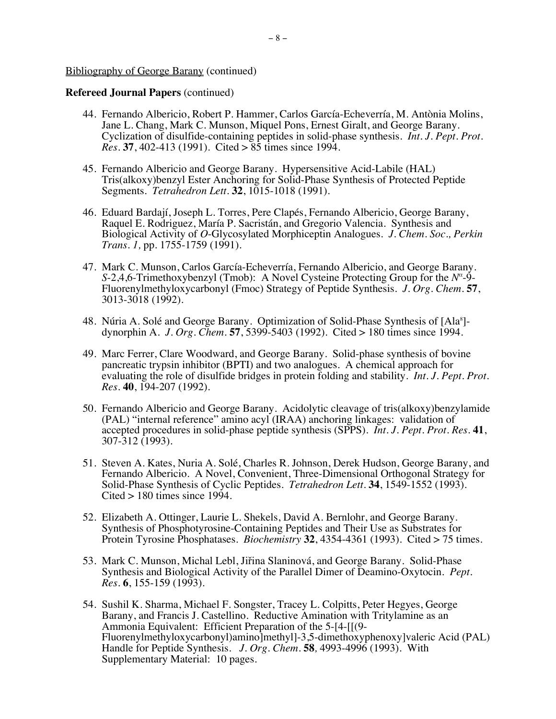- 44. Fernando Albericio, Robert P. Hammer, Carlos García-Echeverría, M. Antònia Molins, Jane L. Chang, Mark C. Munson, Miquel Pons, Ernest Giralt, and George Barany. Cyclization of disulfide-containing peptides in solid-phase synthesis. *Int. J. Pept. Prot. Res.* **37**, 402-413 (1991). Cited > 85 times since 1994.
- 45. Fernando Albericio and George Barany. Hypersensitive Acid-Labile (HAL) Tris(alkoxy)benzyl Ester Anchoring for Solid-Phase Synthesis of Protected Peptide Segments. *Tetrahedron Lett.* **32**, 1015-1018 (1991).
- 46. Eduard Bardají, Joseph L. Torres, Pere Clapés, Fernando Albericio, George Barany, Raquel E. Rodriguez, María P. Sacristán, and Gregorio Valencia. Synthesis and Biological Activity of *O*-Glycosylated Morphiceptin Analogues. *J. Chem. Soc., Perkin Trans. 1,* pp. 1755-1759 (1991).
- 47. Mark C. Munson, Carlos García-Echeverría, Fernando Albericio, and George Barany. *S*-2,4,6-Trimethoxybenzyl (Tmob): A Novel Cysteine Protecting Group for the *N<sup>α*</sup>-9-Fluorenylmethyloxycarbonyl (Fmoc) Strategy of Peptide Synthesis. *J. Org. Chem.* **57**, 3013-3018 (1992).
- 48. Núria A. Solé and George Barany. Optimization of Solid-Phase Synthesis of [Ala<sup>8</sup>]dynorphin A. *J. Org. Chem.* **57**, 5399-5403 (1992). Cited > 180 times since 1994.
- 49. Marc Ferrer, Clare Woodward, and George Barany. Solid-phase synthesis of bovine pancreatic trypsin inhibitor (BPTI) and two analogues. A chemical approach for evaluating the role of disulfide bridges in protein folding and stability. *Int. J. Pept. Prot. Res.* **40**, 194-207 (1992).
- 50. Fernando Albericio and George Barany. Acidolytic cleavage of tris(alkoxy)benzylamide (PAL) "internal reference" amino acyl (IRAA) anchoring linkages: validation of accepted procedures in solid-phase peptide synthesis (SPPS). *Int. J. Pept. Prot. Res.* **41**, 307-312 (1993).
- 51. Steven A. Kates, Nuria A. Solé, Charles R. Johnson, Derek Hudson, George Barany, and Fernando Albericio. A Novel, Convenient, Three-Dimensional Orthogonal Strategy for Solid-Phase Synthesis of Cyclic Peptides. *Tetrahedron Lett.* **34**, 1549-1552 (1993).  $Cited > 180$  times since 1994.
- 52. Elizabeth A. Ottinger, Laurie L. Shekels, David A. Bernlohr, and George Barany. Synthesis of Phosphotyrosine-Containing Peptides and Their Use as Substrates for Protein Tyrosine Phosphatases. *Biochemistry* **32**, 4354-4361 (1993). Cited > 75 times.
- 53. Mark C. Munson, Michal Lebl, Jiřina Slaninová, and George Barany. Solid-Phase Synthesis and Biological Activity of the Parallel Dimer of Deamino-Oxytocin. *Pept. Res.* **6**, 155-159 (1993).
- 54. Sushil K. Sharma, Michael F. Songster, Tracey L. Colpitts, Peter Hegyes, George Barany, and Francis J. Castellino. Reductive Amination with Tritylamine as an Ammonia Equivalent: Efficient Preparation of the 5-[4-[[(9-Fluorenylmethyloxycarbonyl)amino]methyl]-3,5-dimethoxyphenoxy]valeric Acid (PAL) Handle for Peptide Synthesis. *J. Org. Chem.* **58***,* 4993-4996 (1993). With Supplementary Material: 10 pages.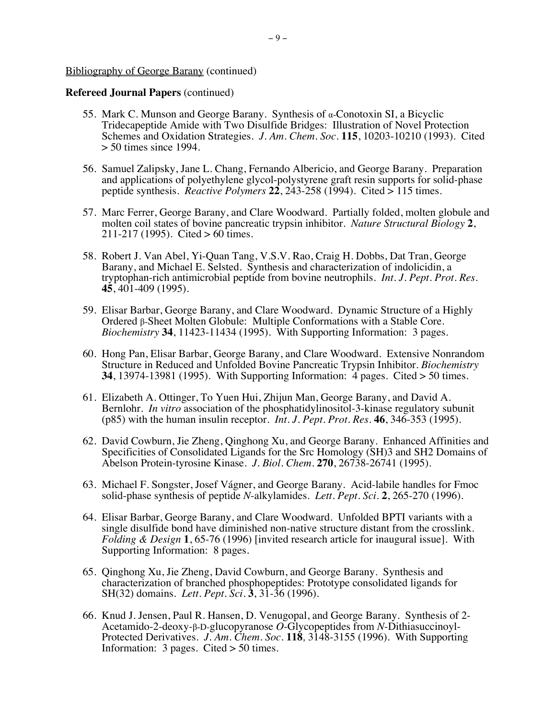- 55. Mark C. Munson and George Barany. Synthesis of α-Conotoxin SI, a Bicyclic Tridecapeptide Amide with Two Disulfide Bridges: Illustration of Novel Protection Schemes and Oxidation Strategies. *J. Am. Chem. Soc.* **115**, 10203-10210 (1993). Cited  $> 50$  times since 1994.
- 56. Samuel Zalipsky, Jane L. Chang, Fernando Albericio, and George Barany. Preparation and applications of polyethylene glycol-polystyrene graft resin supports for solid-phase peptide synthesis. *Reactive Polymers* **22**, 243-258 (1994). Cited > 115 times.
- 57. Marc Ferrer, George Barany, and Clare Woodward. Partially folded, molten globule and molten coil states of bovine pancreatic trypsin inhibitor. *Nature Structural Biology* **2**, 211-217 (1995). Cited > 60 times.
- 58. Robert J. Van Abel, Yi-Quan Tang, V.S.V. Rao, Craig H. Dobbs, Dat Tran, George Barany, and Michael E. Selsted. Synthesis and characterization of indolicidin, a tryptophan-rich antimicrobial peptide from bovine neutrophils. *Int. J. Pept. Prot. Res.*  **45**, 401-409 (1995).
- 59. Elisar Barbar, George Barany, and Clare Woodward. Dynamic Structure of a Highly Ordered β-Sheet Molten Globule: Multiple Conformations with a Stable Core. *Biochemistry* **34**, 11423-11434 (1995). With Supporting Information: 3 pages.
- 60. Hong Pan, Elisar Barbar, George Barany, and Clare Woodward. Extensive Nonrandom Structure in Reduced and Unfolded Bovine Pancreatic Trypsin Inhibitor. *Biochemistry* **34**, 13974-13981 (1995). With Supporting Information: 4 pages. Cited > 50 times.
- 61. Elizabeth A. Ottinger, To Yuen Hui, Zhijun Man, George Barany, and David A. Bernlohr. *In vitro* association of the phosphatidylinositol-3-kinase regulatory subunit (p85) with the human insulin receptor. *Int. J. Pept. Prot. Res.* **46**, 346-353 (1995).
- 62. David Cowburn, Jie Zheng, Qinghong Xu, and George Barany. Enhanced Affinities and Specificities of Consolidated Ligands for the Src Homology (SH)3 and SH2 Domains of Abelson Protein-tyrosine Kinase. *J. Biol. Chem.* **270**, 26738-26741 (1995).
- 63. Michael F. Songster, Josef Vágner, and George Barany. Acid-labile handles for Fmoc solid-phase synthesis of peptide *N*-alkylamides. *Lett. Pept. Sci.* **2**, 265-270 (1996).
- 64. Elisar Barbar, George Barany, and Clare Woodward. Unfolded BPTI variants with a single disulfide bond have diminished non-native structure distant from the crosslink. *Folding & Design* **1**, 65-76 (1996) [invited research article for inaugural issue]. With Supporting Information: 8 pages.
- 65. Qinghong Xu, Jie Zheng, David Cowburn, and George Barany. Synthesis and characterization of branched phosphopeptides: Prototype consolidated ligands for SH(32) domains. *Lett. Pept. Sci.* **3**, 31-36 (1996).
- 66. Knud J. Jensen, Paul R. Hansen, D. Venugopal, and George Barany. Synthesis of 2-Acetamido-2-deoxy- $\beta$ -D-glucopyranose O-Glycopeptides from N-Dithiasuccinoyl-Protected Derivatives. *J. Am. Chem. Soc.* **118***,* 3148-3155 (1996). With Supporting Information: 3 pages. Cited > 50 times.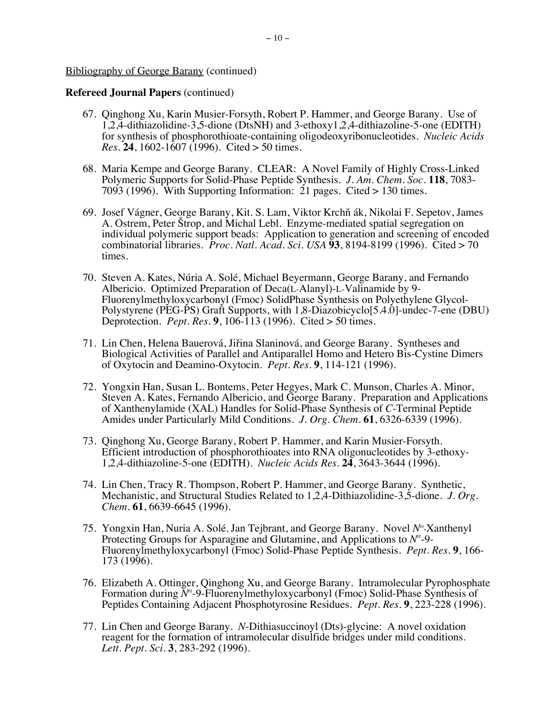- 67. Qinghong Xu, Karin Musier-Forsyth, Robert P. Hammer, and George Barany. Use of 1,2,4-dithiazolidine-3,5-dione (DtsNH) and 3-ethoxy1,2,4-dithiazoline-5-one (EDITH) for synthesis of phosphorothioate-containing oligodeoxyribonucleotides. *Nucleic Acids Res.* **24**, 1602-1607 (1996). Cited > 50 times.
- 68. Maria Kempe and George Barany. CLEAR: A Novel Family of Highly Cross-Linked Polymeric Supports for Solid-Phase Peptide Synthesis. *J. Am. Chem. Soc.* **118**, 7083- 7093 (1996). With Supporting Information: 21 pages. Cited > 130 times.
- 69. Josef Vágner, George Barany, Kit. S. Lam, Viktor Krchň ák, Nikolai F. Sepetov, James A. Ostrem, Peter Štrop, and Michal Lebl. Enzyme-mediated spatial segregation on individual polymeric support beads: Application to generation and screening of encoded combinatorial libraries. *Proc. Natl. Acad. Sci. USA* **93**, 8194-8199 (1996). Cited > 70 times.
- 70. Steven A. Kates, Núria A. Solé, Michael Beyermann, George Barany, and Fernando Albericio. Optimized Preparation of Deca(L-Alanyl)-L-Valinamide by 9- Fluorenylmethyloxycarbonyl (Fmoc) SolidPhase Synthesis on Polyethylene Glycol-Polystyrene (PEG-PS) Graft Supports, with 1,8-Diazobicyclo[5.4.0]-undec-7-ene (DBU) Deprotection. *Pept. Res.* **9**, 106-113 (1996). Cited > 50 times.
- 71. Lin Chen, Helena Bauerová, Jiřina Slaninová, and George Barany. Syntheses and Biological Activities of Parallel and Antiparallel Homo and Hetero Bis-Cystine Dimers of Oxytocin and Deamino-Oxytocin. *Pept. Res.* **9**, 114-121 (1996).
- 72. Yongxin Han, Susan L. Bontems, Peter Hegyes, Mark C. Munson, Charles A. Minor, Steven A. Kates, Fernando Albericio, and George Barany. Preparation and Applications of Xanthenylamide (XAL) Handles for Solid-Phase Synthesis of *C*-Terminal Peptide Amides under Particularly Mild Conditions. *J. Org. Chem.* **61**, 6326-6339 (1996).
- 73. Qinghong Xu, George Barany, Robert P. Hammer, and Karin Musier-Forsyth. Efficient introduction of phosphorothioates into RNA oligonucleotides by 3-ethoxy-1,2,4-dithiazoline-5-one (EDITH). *Nucleic Acids Res.* **24**, 3643-3644 (1996).
- 74. Lin Chen, Tracy R. Thompson, Robert P. Hammer, and George Barany. Synthetic, Mechanistic, and Structural Studies Related to 1,2,4-Dithiazolidine-3,5-dione. *J. Org. Chem.* **61**, 6639-6645 (1996).
- 75. Yongxin Han, Nuria A. Solé, Jan Tejbrant, and George Barany. Novel *N*<sup>®</sup>-Xanthenyl Protecting Groups for Asparagine and Glutamine, and Applications to *N<sup>α</sup>* -9- Fluorenylmethyloxycarbonyl (Fmoc) Solid-Phase Peptide Synthesis. *Pept. Res.* **<sup>9</sup>**, 166- 173 (1996).
- 76. Elizabeth A. Ottinger, Qinghong Xu, and George Barany. Intramolecular Pyrophosphate Formation during *N<sup>α</sup>* -9-Fluorenylmethyloxycarbonyl (Fmoc) Solid-Phase Synthesis of Peptides Containing Adjacent Phosphotyrosine Residues. *Pept. Res.* **9**, 223-228 (1996).
- 77. Lin Chen and George Barany. *N*-Dithiasuccinoyl (Dts)-glycine: A novel oxidation reagent for the formation of intramolecular disulfide bridges under mild conditions. *Lett. Pept. Sci.* **3**, 283-292 (1996).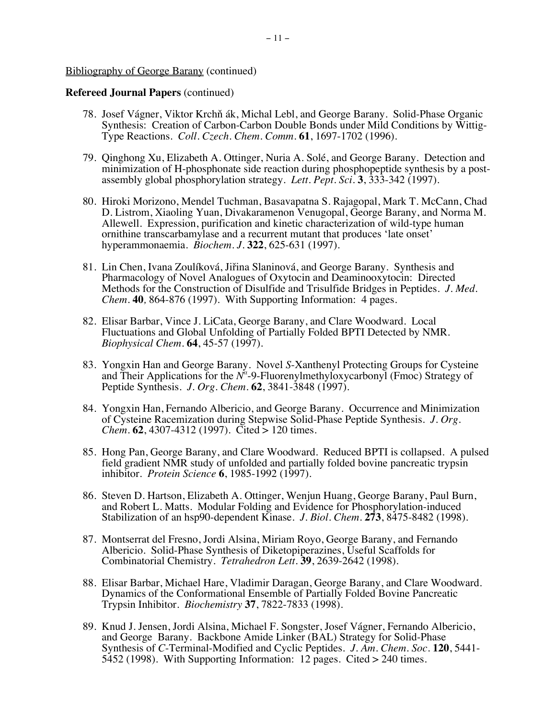- 78. Josef Vágner, Viktor Krchň ák, Michal Lebl, and George Barany. Solid-Phase Organic Synthesis: Creation of Carbon-Carbon Double Bonds under Mild Conditions by Wittig-Type Reactions. *Coll. Czech. Chem. Comm.* **61**, 1697-1702 (1996).
- 79. Qinghong Xu, Elizabeth A. Ottinger, Nuria A. Solé, and George Barany. Detection and minimization of H-phosphonate side reaction during phosphopeptide synthesis by a postassembly global phosphorylation strategy. *Lett. Pept. Sci.* **3**, 333-342 (1997).
- 80. Hiroki Morizono, Mendel Tuchman, Basavapatna S. Rajagopal, Mark T. McCann, Chad D. Listrom, Xiaoling Yuan, Divakaramenon Venugopal, George Barany, and Norma M. Allewell. Expression, purification and kinetic characterization of wild-type human ornithine transcarbamylase and a recurrent mutant that produces 'late onset' hyperammonaemia. *Biochem. J.* **322**, 625-631 (1997).
- 81. Lin Chen, Ivana Zoulíková, Jiřina Slaninová, and George Barany. Synthesis and Pharmacology of Novel Analogues of Oxytocin and Deaminooxytocin: Directed Methods for the Construction of Disulfide and Trisulfide Bridges in Peptides. *J. Med. Chem.* **40***,* 864-876 (1997). With Supporting Information: 4 pages.
- 82. Elisar Barbar, Vince J. LiCata, George Barany, and Clare Woodward. Local Fluctuations and Global Unfolding of Partially Folded BPTI Detected by NMR. *Biophysical Chem.* **64**, 45-57 (1997).
- 83. Yongxin Han and George Barany. Novel *S*-Xanthenyl Protecting Groups for Cysteine and Their Applications for the *N<sup>α</sup>* -9-Fluorenylmethyloxycarbonyl (Fmoc) Strategy of Peptide Synthesis. *J. Org. Chem.* **62**, 3841-3848 (1997).
- 84. Yongxin Han, Fernando Albericio, and George Barany. Occurrence and Minimization of Cysteine Racemization during Stepwise Solid-Phase Peptide Synthesis. *J. Org. Chem.* **62**, 4307-4312 (1997). Cited > 120 times.
- 85. Hong Pan, George Barany, and Clare Woodward. Reduced BPTI is collapsed. A pulsed field gradient NMR study of unfolded and partially folded bovine pancreatic trypsin inhibitor. *Protein Science* **6**, 1985-1992 (1997).
- 86. Steven D. Hartson, Elizabeth A. Ottinger, Wenjun Huang, George Barany, Paul Burn, and Robert L. Matts. Modular Folding and Evidence for Phosphorylation-induced Stabilization of an hsp90-dependent Kinase. *J. Biol. Chem.* **273**, 8475-8482 (1998).
- 87. Montserrat del Fresno, Jordi Alsina, Miriam Royo, George Barany, and Fernando Albericio. Solid-Phase Synthesis of Diketopiperazines, Useful Scaffolds for Combinatorial Chemistry. *Tetrahedron Lett.* **39**, 2639-2642 (1998).
- 88. Elisar Barbar, Michael Hare, Vladimir Daragan, George Barany, and Clare Woodward. Dynamics of the Conformational Ensemble of Partially Folded Bovine Pancreatic Trypsin Inhibitor. *Biochemistry* **37**, 7822-7833 (1998).
- 89. Knud J. Jensen, Jordi Alsina, Michael F. Songster, Josef Vágner, Fernando Albericio, and George Barany. Backbone Amide Linker (BAL) Strategy for Solid-Phase Synthesis of *C*-Terminal-Modified and Cyclic Peptides. *J. Am. Chem. Soc.* **120**, 5441-5452 (1998). With Supporting Information: 12 pages. Cited > 240 times.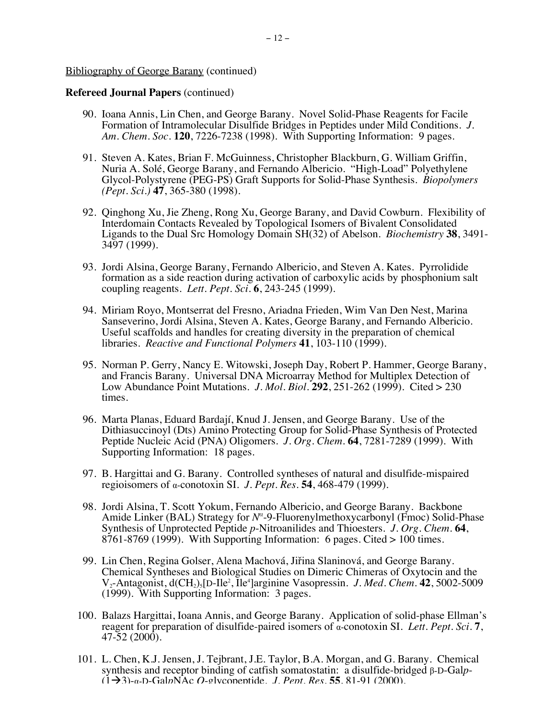- 90. Ioana Annis, Lin Chen, and George Barany. Novel Solid-Phase Reagents for Facile Formation of Intramolecular Disulfide Bridges in Peptides under Mild Conditions. *J. Am. Chem. Soc.* **120**, 7226-7238 (1998). With Supporting Information: 9 pages.
- 91. Steven A. Kates, Brian F. McGuinness, Christopher Blackburn, G. William Griffin, Nuria A. Solé, George Barany, and Fernando Albericio. "High-Load" Polyethylene Glycol-Polystyrene (PEG-PS) Graft Supports for Solid-Phase Synthesis. *Biopolymers (Pept. Sci.)* **47**, 365-380 (1998).
- 92. Qinghong Xu, Jie Zheng, Rong Xu, George Barany, and David Cowburn. Flexibility of Interdomain Contacts Revealed by Topological Isomers of Bivalent Consolidated Ligands to the Dual Src Homology Domain SH(32) of Abelson. *Biochemistry* **38**, 3491- 3497 (1999).
- 93. Jordi Alsina, George Barany, Fernando Albericio, and Steven A. Kates. Pyrrolidide formation as a side reaction during activation of carboxylic acids by phosphonium salt coupling reagents. *Lett. Pept. Sci.* **6**, 243-245 (1999).
- 94. Miriam Royo, Montserrat del Fresno, Ariadna Frieden, Wim Van Den Nest, Marina Sanseverino, Jordi Alsina, Steven A. Kates, George Barany, and Fernando Albericio. Useful scaffolds and handles for creating diversity in the preparation of chemical libraries. *Reactive and Functional Polymers* **41**, 103-110 (1999).
- 95. Norman P. Gerry, Nancy E. Witowski, Joseph Day, Robert P. Hammer, George Barany, and Francis Barany. Universal DNA Microarray Method for Multiplex Detection of Low Abundance Point Mutations. *J. Mol. Biol.* **292**, 251-262 (1999). Cited > 230 times.
- 96. Marta Planas, Eduard Bardají, Knud J. Jensen, and George Barany. Use of the Dithiasuccinoyl (Dts) Amino Protecting Group for Solid-Phase Synthesis of Protected Peptide Nucleic Acid (PNA) Oligomers. *J. Org. Chem.* **64**, 7281-7289 (1999). With Supporting Information: 18 pages.
- 97. B. Hargittai and G. Barany. Controlled syntheses of natural and disulfide-mispaired regioisomers of α-conotoxin SI. *J. Pept. Res.* **54**, 468-479 (1999).
- 98. Jordi Alsina, T. Scott Yokum, Fernando Albericio, and George Barany. Backbone Amide Linker (BAL) Strategy for *N<sup>α</sup>* -9-Fluorenylmethoxycarbonyl (Fmoc) Solid-Phase Synthesis of Unprotected Peptide *p*-Nitroanilides and Thioesters. *J. Org. Chem.* **64**, 8761-8769 (1999). With Supporting Information: 6 pages. Cited > 100 times.
- 99. Lin Chen, Regina Golser, Alena Machová, Jiřina Slaninová, and George Barany. Chemical Syntheses and Biological Studies on Dimeric Chimeras of Oxytocin and the V<sub>2</sub>-Antagonist, d(CH<sub>2</sub>)<sub>5</sub>[D-Ile<sup>2</sup>, Ile<sup>4</sup>]arginine Vasopressin. *J. Med. Chem.* **42**, 5002-5009 (1999). With Supporting Information: 3 pages.
- 100. Balazs Hargittai, Ioana Annis, and George Barany. Application of solid-phase Ellman's reagent for preparation of disulfide-paired isomers of α-conotoxin SI. *Lett. Pept. Sci.* **<sup>7</sup>**, 47-52 (2000).
- 101. L. Chen, K.J. Jensen, J. Tejbrant, J.E. Taylor, B.A. Morgan, and G. Barany. Chemical synthesis and receptor binding of catfish somatostatin: a disulfide-bridged β-D-Gal*p*- (1!3)-α-D-Gal*p*NAc *O*-glycopeptide. *J. Pept. Res.* **55**, 81-91 (2000).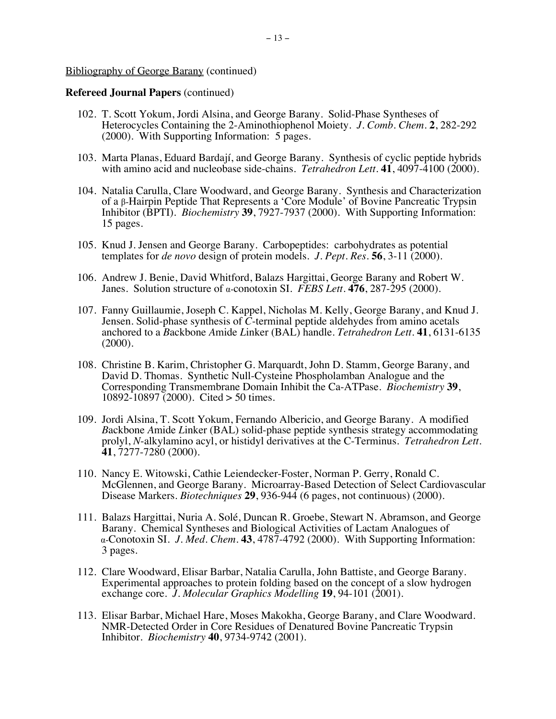- 102. T. Scott Yokum, Jordi Alsina, and George Barany. Solid-Phase Syntheses of Heterocycles Containing the 2-Aminothiophenol Moiety. *J. Comb. Chem*. **2**, 282-292 (2000). With Supporting Information: 5 pages.
- 103. Marta Planas, Eduard Bardají, and George Barany. Synthesis of cyclic peptide hybrids with amino acid and nucleobase side-chains. *Tetrahedron Lett.* **41**, 4097-4100 (2000).
- 104. Natalia Carulla, Clare Woodward, and George Barany. Synthesis and Characterization of a β-Hairpin Peptide That Represents a 'Core Module' of Bovine Pancreatic Trypsin Inhibitor (BPTI). *Biochemistry* **39**, 7927-7937 (2000). With Supporting Information: 15 pages.
- 105. Knud J. Jensen and George Barany. Carbopeptides: carbohydrates as potential templates for *de novo* design of protein models. *J. Pept. Res.* **56**, 3-11 (2000).
- 106. Andrew J. Benie, David Whitford, Balazs Hargittai, George Barany and Robert W. Janes. Solution structure of α-conotoxin SI. *FEBS Lett.* **476**, 287-295 (2000).
- 107. Fanny Guillaumie, Joseph C. Kappel, Nicholas M. Kelly, George Barany, and Knud J. Jensen. Solid-phase synthesis of *C*-terminal peptide aldehydes from amino acetals anchored to a *B*ackbone *A*mide *L*inker (BAL) handle. *Tetrahedron Lett.* **41**, 6131-6135 (2000).
- 108. Christine B. Karim, Christopher G. Marquardt, John D. Stamm, George Barany, and David D. Thomas. Synthetic Null-Cysteine Phospholamban Analogue and the Corresponding Transmembrane Domain Inhibit the Ca-ATPase. *Biochemistry* **39**, 10892-10897 (2000). Cited > 50 times.
- 109. Jordi Alsina, T. Scott Yokum, Fernando Albericio, and George Barany. A modified *B*ackbone *A*mide *L*inker (BAL) solid-phase peptide synthesis strategy accommodating prolyl, *N*-alkylamino acyl, or histidyl derivatives at the C-Terminus. *Tetrahedron Lett.* **41**, 7277-7280 (2000).
- 110. Nancy E. Witowski, Cathie Leiendecker-Foster, Norman P. Gerry, Ronald C. McGlennen, and George Barany. Microarray-Based Detection of Select Cardiovascular Disease Markers. *Biotechniques* **29**, 936-944 (6 pages, not continuous) (2000).
- 111. Balazs Hargittai, Nuria A. Solé, Duncan R. Groebe, Stewart N. Abramson, and George Barany. Chemical Syntheses and Biological Activities of Lactam Analogues of α-Conotoxin SI. *J. Med. Chem.* **43**, 4787-4792 (2000). With Supporting Information: 3 pages.
- 112. Clare Woodward, Elisar Barbar, Natalia Carulla, John Battiste, and George Barany. Experimental approaches to protein folding based on the concept of a slow hydrogen exchange core. *J. Molecular Graphics Modelling* **19**, 94-101 (2001).
- 113. Elisar Barbar, Michael Hare, Moses Makokha, George Barany, and Clare Woodward. NMR-Detected Order in Core Residues of Denatured Bovine Pancreatic Trypsin Inhibitor. *Biochemistry* **40**, 9734-9742 (2001).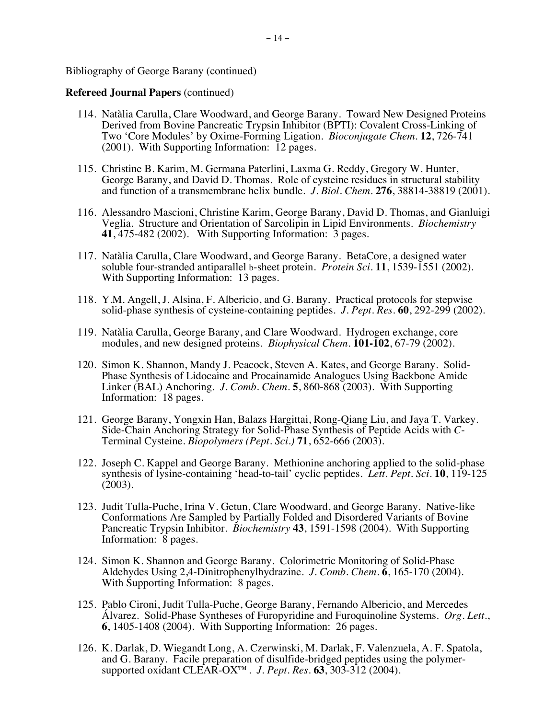- 114. Natàlia Carulla, Clare Woodward, and George Barany. Toward New Designed Proteins Derived from Bovine Pancreatic Trypsin Inhibitor (BPTI): Covalent Cross-Linking of Two 'Core Modules' by Oxime-Forming Ligation. *Bioconjugate Chem.* **12**, 726-741 (2001). With Supporting Information: 12 pages.
- 115. Christine B. Karim, M. Germana Paterlini, Laxma G. Reddy, Gregory W. Hunter, George Barany, and David D. Thomas. Role of cysteine residues in structural stability and function of a transmembrane helix bundle. *J. Biol. Chem*. **276**, 38814-38819 (2001).
- 116. Alessandro Mascioni, Christine Karim, George Barany, David D. Thomas, and Gianluigi Veglia. Structure and Orientation of Sarcolipin in Lipid Environments. *Biochemistry* **41**, 475-482 (2002). With Supporting Information: 3 pages.
- 117. Natàlia Carulla, Clare Woodward, and George Barany. BetaCore, a designed water soluble four-stranded antiparallel b-sheet protein. *Protein Sci*. **11**, 1539-1551 (2002). With Supporting Information: 13 pages.
- 118. Y.M. Angell, J. Alsina, F. Albericio, and G. Barany. Practical protocols for stepwise solid-phase synthesis of cysteine-containing peptides. *J. Pept. Res.* **60**, 292-299 (2002).
- 119. Natàlia Carulla, George Barany, and Clare Woodward. Hydrogen exchange, core modules, and new designed proteins. *Biophysical Chem.* **101-102**, 67-79 (2002).
- 120. Simon K. Shannon, Mandy J. Peacock, Steven A. Kates, and George Barany. Solid-Phase Synthesis of Lidocaine and Procainamide Analogues Using Backbone Amide Linker (BAL) Anchoring. *J. Comb. Chem.* **5**, 860-868 (2003). With Supporting Information: 18 pages.
- 121. George Barany, Yongxin Han, Balazs Hargittai, Rong-Qiang Liu, and Jaya T. Varkey. Side-Chain Anchoring Strategy for Solid-Phase Synthesis of Peptide Acids with *C*-Terminal Cysteine. *Biopolymers (Pept. Sci.)* **71**, 652-666 (2003).
- 122. Joseph C. Kappel and George Barany. Methionine anchoring applied to the solid-phase synthesis of lysine-containing 'head-to-tail' cyclic peptides. *Lett. Pept. Sci.* **10**, 119-125 (2003).
- 123. Judit Tulla-Puche, Irina V. Getun, Clare Woodward, and George Barany. Native-like Conformations Are Sampled by Partially Folded and Disordered Variants of Bovine Pancreatic Trypsin Inhibitor. *Biochemistry* **43**, 1591-1598 (2004). With Supporting Information: 8 pages.
- 124. Simon K. Shannon and George Barany. Colorimetric Monitoring of Solid-Phase Aldehydes Using 2,4-Dinitrophenylhydrazine. *J. Comb. Chem.* **6**, 165-170 (2004). With Supporting Information: 8 pages.
- 125. Pablo Cironi, Judit Tulla-Puche, George Barany, Fernando Albericio, and Mercedes Álvarez. Solid-Phase Syntheses of Furopyridine and Furoquinoline Systems. *Org. Lett.*, **6**, 1405-1408 (2004). With Supporting Information: 26 pages.
- 126. K. Darlak, D. Wiegandt Long, A. Czerwinski, M. Darlak, F. Valenzuela, A. F. Spatola, and G. Barany. Facile preparation of disulfide-bridged peptides using the polymersupported oxidant CLEAR-OX™. *J. Pept. Res.* **63**, 303-312 (2004).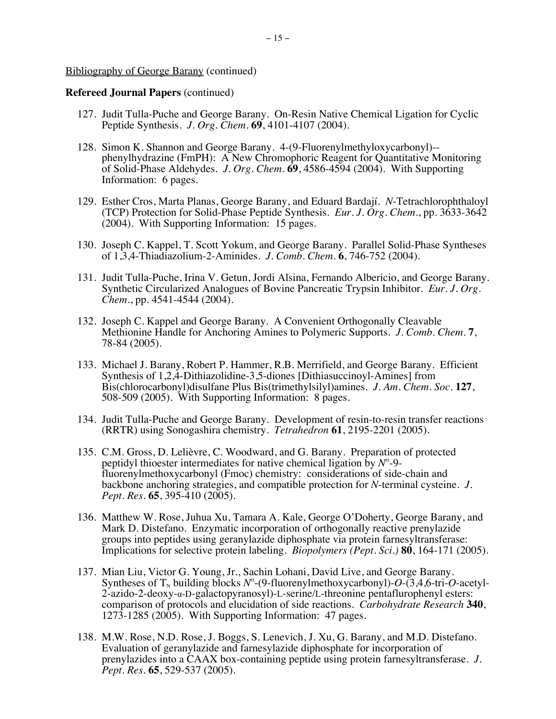- 127. Judit Tulla-Puche and George Barany. On-Resin Native Chemical Ligation for Cyclic Peptide Synthesis. *J. Org. Chem.* **69**, 4101-4107 (2004).
- 128. Simon K. Shannon and George Barany. 4-(9-Fluorenylmethyloxycarbonyl) phenylhydrazine (FmPH): A New Chromophoric Reagent for Quantitative Monitoring of Solid-Phase Aldehydes. *J. Org. Chem.* **69**, 4586-4594 (2004). With Supporting Information: 6 pages.
- 129. Esther Cros, Marta Planas, George Barany, and Eduard Bardají. *N*-Tetrachlorophthaloyl (TCP) Protection for Solid-Phase Peptide Synthesis. *Eur. J. Org. Chem.*, pp. 3633-3642 (2004). With Supporting Information: 15 pages.
- 130. Joseph C. Kappel, T. Scott Yokum, and George Barany. Parallel Solid-Phase Syntheses of 1,3,4-Thiadiazolium-2-Aminides. *J. Comb. Chem.* **6**, 746-752 (2004).
- 131. Judit Tulla-Puche, Irina V. Getun, Jordi Alsina, Fernando Albericio, and George Barany. Synthetic Circularized Analogues of Bovine Pancreatic Trypsin Inhibitor. *Eur. J. Org. Chem.*, pp. 4541-4544 (2004).
- 132. Joseph C. Kappel and George Barany. A Convenient Orthogonally Cleavable Methionine Handle for Anchoring Amines to Polymeric Supports. *J. Comb. Chem.* **7**, 78-84 (2005).
- 133. Michael J. Barany, Robert P. Hammer, R.B. Merrifield, and George Barany. Efficient Synthesis of 1,2,4-Dithiazolidine-3,5-diones [Dithiasuccinoyl-Amines] from Bis(chlorocarbonyl)disulfane Plus Bis(trimethylsilyl)amines. *J. Am. Chem. Soc.* **127**, 508-509 (2005). With Supporting Information: 8 pages.
- 134. Judit Tulla-Puche and George Barany. Development of resin-to-resin transfer reactions (RRTR) using Sonogashira chemistry. *Tetrahedron* **61**, 2195-2201 (2005).
- 135. C.M. Gross, D. Lelièvre, C. Woodward, and G. Barany. Preparation of protected peptidyl thioester intermediates for native chemical ligation by *N<sup>α</sup>* -9 fluorenylmethoxycarbonyl (Fmoc) chemistry: considerations of side-chain and backbone anchoring strategies, and compatible protection for *N*-terminal cysteine. *J. Pept. Res.* **65**, 395-410 (2005).
- 136. Matthew W. Rose, Juhua Xu, Tamara A. Kale, George O'Doherty, George Barany, and Mark D. Distefano. Enzymatic incorporation of orthogonally reactive prenylazide groups into peptides using geranylazide diphosphate via protein farnesyltransferase: Implications for selective protein labeling. *Biopolymers (Pept. Sci.)* **80**, 164-171 (2005).
- 137. Mian Liu, Victor G. Young, Jr., Sachin Lohani, David Live, and George Barany. Syntheses of  $T_N$  building blocks  $N^{\alpha}$ -(9-fluorenylmethoxycarbonyl)- $O$ -(3,4,6-tri- $O$ -acetyl- $2$ -azido-2-deoxy- $\alpha$ -D-galactopyranosyl)-L-serine/L-threonine pentaflurophenyl esters: comparison of protocols and elucidation of side reactions. *Carbohydrate Research* **340**, 1273-1285 (2005). With Supporting Information: 47 pages.
- 138. M.W. Rose, N.D. Rose, J. Boggs, S. Lenevich, J. Xu, G. Barany, and M.D. Distefano. Evaluation of geranylazide and farnesylazide diphosphate for incorporation of prenylazides into a CAAX box-containing peptide using protein farnesyltransferase. *J. Pept. Res.* **65**, 529-537 (2005).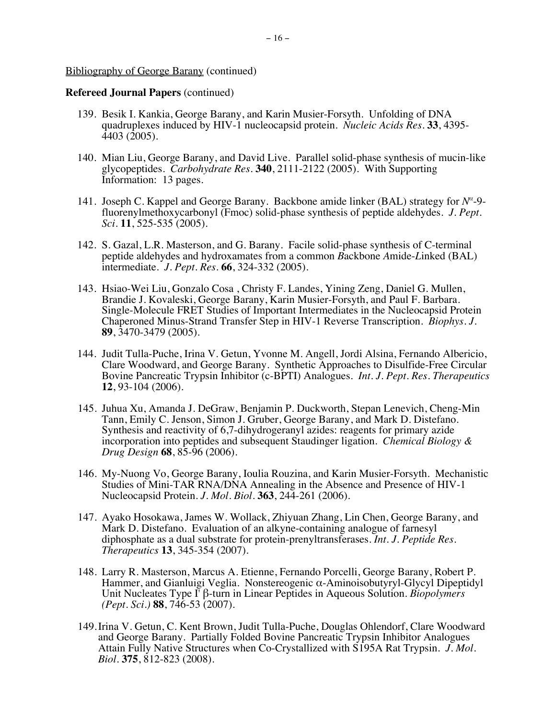- 139. Besik I. Kankia, George Barany, and Karin Musier-Forsyth. Unfolding of DNA quadruplexes induced by HIV-1 nucleocapsid protein. *Nucleic Acids Res.* **33**, 4395- 4403 (2005).
- 140. Mian Liu, George Barany, and David Live. Parallel solid-phase synthesis of mucin-like glycopeptides. *Carbohydrate Res.* **340**, 2111-2122 (2005). With Supporting Information: 13 pages.
- 141. Joseph C. Kappel and George Barany. Backbone amide linker (BAL) strategy for *N<sup>α</sup>* -9 fluorenylmethoxycarbonyl (Fmoc) solid-phase synthesis of peptide aldehydes. *J. Pept. Sci*. **11**, 525-535 (2005).
- 142. S. Gazal, L.R. Masterson, and G. Barany. Facile solid-phase synthesis of C-terminal peptide aldehydes and hydroxamates from a common *B*ackbone *A*mide-*L*inked (BAL) intermediate. *J. Pept. Res.* **66**, 324-332 (2005).
- 143. Hsiao-Wei Liu, Gonzalo Cosa , Christy F. Landes, Yining Zeng, Daniel G. Mullen, Brandie J. Kovaleski, George Barany, Karin Musier-Forsyth, and Paul F. Barbara. Single-Molecule FRET Studies of Important Intermediates in the Nucleocapsid Protein Chaperoned Minus-Strand Transfer Step in HIV-1 Reverse Transcription. *Biophys. J.*  **89**, 3470-3479 (2005).
- 144. Judit Tulla-Puche, Irina V. Getun, Yvonne M. Angell, Jordi Alsina, Fernando Albericio, Clare Woodward, and George Barany. Synthetic Approaches to Disulfide-Free Circular Bovine Pancreatic Trypsin Inhibitor (c-BPTI) Analogues. *Int. J. Pept. Res. Therapeutics* **12**, 93-104 (2006).
- 145. Juhua Xu, Amanda J. DeGraw, Benjamin P. Duckworth, Stepan Lenevich, Cheng-Min Tann, Emily C. Jenson, Simon J. Gruber, George Barany, and Mark D. Distefano. Synthesis and reactivity of 6,7-dihydrogeranyl azides: reagents for primary azide incorporation into peptides and subsequent Staudinger ligation. *Chemical Biology & Drug Design* **68**, 85-96 (2006).
- 146. My-Nuong Vo, George Barany, Ioulia Rouzina, and Karin Musier-Forsyth.Mechanistic Studies of Mini-TAR RNA/DNA Annealing in the Absence and Presence of HIV-1 Nucleocapsid Protein. *J. Mol. Biol.* **363**, 244-261 (2006).
- 147. Ayako Hosokawa, James W. Wollack, Zhiyuan Zhang, Lin Chen, George Barany, and Mark D. Distefano. Evaluation of an alkyne-containing analogue of farnesyl diphosphate as a dual substrate for protein-prenyltransferases. *Int. J. Peptide Res. Therapeutics* **13**, 345-354 (2007).
- 148. Larry R. Masterson, Marcus A. Etienne, Fernando Porcelli, George Barany, Robert P. Hammer, and Gianluigi Veglia. Nonstereogenic α-Aminoisobutyryl-Glycyl Dipeptidyl Unit Nucleates Type I' β-turn in Linear Peptides in Aqueous Solution. *Biopolymers (Pept. Sci.)* **88**, 746-53 (2007).
- 149.Irina V. Getun, C. Kent Brown, Judit Tulla-Puche, Douglas Ohlendorf, Clare Woodward and George Barany. Partially Folded Bovine Pancreatic Trypsin Inhibitor Analogues Attain Fully Native Structures when Co-Crystallized with S195A Rat Trypsin. *J. Mol. Biol.* **375**, 812-823 (2008).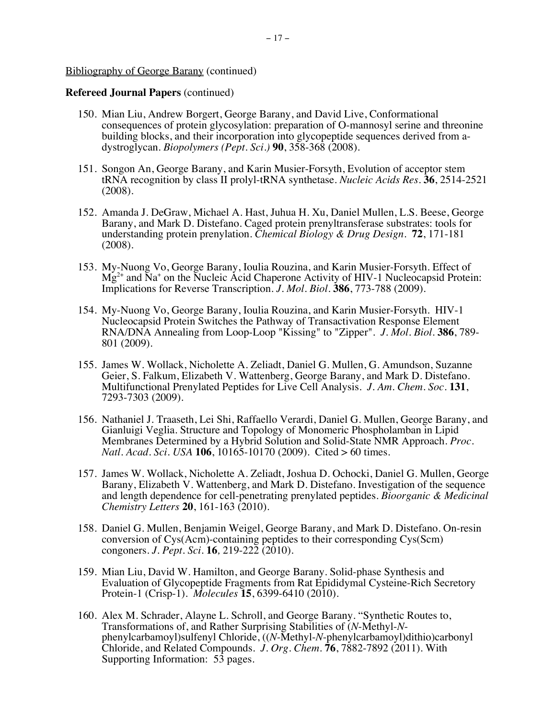- 150. Mian Liu, Andrew Borgert, George Barany, and David Live, Conformational consequences of protein glycosylation: preparation of O-mannosyl serine and threonine building blocks, and their incorporation into glycopeptide sequences derived from adystroglycan. *Biopolymers (Pept. Sci.)* **90**, 358-368 (2008).
- 151. Songon An, George Barany, and Karin Musier-Forsyth, Evolution of acceptor stem tRNA recognition by class II prolyl-tRNA synthetase. *Nucleic Acids Res.* **36**, 2514-2521 (2008).
- 152. Amanda J. DeGraw, Michael A. Hast, Juhua H. Xu, Daniel Mullen, L.S. Beese, George Barany, and Mark D. Distefano. Caged protein prenyltransferase substrates: tools for understanding protein prenylation. *Chemical Biology & Drug Design*. **72**, 171-181 (2008).
- 153. My-Nuong Vo, George Barany, Ioulia Rouzina, and Karin Musier-Forsyth. Effect of  $Mg^{2+}$  and  $Na^{+}$  on the Nucleic Acid Chaperone Activity of HIV-1 Nucleocapsid Protein: Implications for Reverse Transcription. *J. Mol. Biol.* **386**, 773-788 (2009).
- 154. My-Nuong Vo, George Barany, Ioulia Rouzina, and Karin Musier-Forsyth. HIV-1 Nucleocapsid Protein Switches the Pathway of Transactivation Response Element RNA/DNA Annealing from Loop-Loop "Kissing" to "Zipper". *J. Mol. Biol.* **386**, 789- 801 (2009).
- 155. James W. Wollack, Nicholette A. Zeliadt, Daniel G. Mullen, G. Amundson, Suzanne Geier, S. Falkum, Elizabeth V. Wattenberg, George Barany, and Mark D. Distefano. Multifunctional Prenylated Peptides for Live Cell Analysis. *J. Am. Chem. Soc.* **131**, 7293-7303 (2009).
- 156. Nathaniel J. Traaseth, Lei Shi, Raffaello Verardi, Daniel G. Mullen, George Barany, and Gianluigi Veglia. Structure and Topology of Monomeric Phospholamban in Lipid Membranes Determined by a Hybrid Solution and Solid-State NMR Approach. *Proc. Natl. Acad. Sci. USA* **106**, 10165-10170 (2009). Cited > 60 times.
- 157. James W. Wollack, Nicholette A. Zeliadt, Joshua D. Ochocki, Daniel G. Mullen, George Barany, Elizabeth V. Wattenberg, and Mark D. Distefano. Investigation of the sequence and length dependence for cell-penetrating prenylated peptides. *Bioorganic & Medicinal Chemistry Letters* **20**, 161-163 (2010).
- 158. Daniel G. Mullen, Benjamin Weigel, George Barany, and Mark D. Distefano. On-resin conversion of Cys(Acm)-containing peptides to their corresponding Cys(Scm) congoners. *J. Pept. Sci.* **16***,* 219-222 (2010).
- 159. Mian Liu, David W. Hamilton, and George Barany. Solid-phase Synthesis and Evaluation of Glycopeptide Fragments from Rat Epididymal Cysteine-Rich Secretory Protein-1 (Crisp-1). *Molecules* **15**, 6399-6410 (2010).
- 160. Alex M. Schrader, Alayne L. Schroll, and George Barany. "Synthetic Routes to, Transformations of, and Rather Surprising Stabilities of (N-Methyl-N-Transformations of, and Rather Surprising Stabilities of (*N*-Methyl-*N*- phenylcarbamoyl)sulfenyl Chloride, ((*N*-Methyl-*N*-phenylcarbamoyl)dithio)carbonyl Chloride, and Related Compounds. *J. Org. Chem.* **76**, 7882-7892 (2011). With Supporting Information: 53 pages.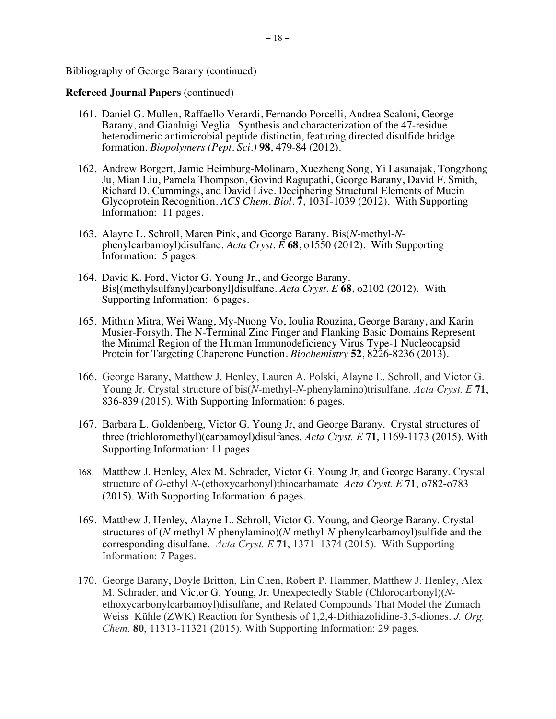- 161. Daniel G. Mullen, Raffaello Verardi, Fernando Porcelli, Andrea Scaloni, George Barany, and Gianluigi Veglia. Synthesis and characterization of the 47-residue heterodimeric antimicrobial peptide distinctin, featuring directed disulfide bridge formation. *Biopolymers (Pept. Sci.)* **98**, 479-84 (2012).
- 162. Andrew Borgert, Jamie Heimburg-Molinaro, Xuezheng Song, Yi Lasanajak, Tongzhong Ju, Mian Liu, Pamela Thompson, Govind Ragupathi, George Barany, David F. Smith, Richard D. Cummings, and David Live. Deciphering Structural Elements of Mucin Glycoprotein Recognition. *ACS Chem. Biol*. **7**, 1031-1039 (2012). With Supporting Information: 11 pages.
- 163. Alayne L. Schroll, Maren Pink, and George Barany. Bis(*N*-methyl-*N*phenylcarbamoyl)disulfane. *Acta Cryst. E* **68**, o1550 (2012). With Supporting Information: 5 pages.
- 164. David K. Ford, Victor G. Young Jr., and George Barany. Bis[(methylsulfanyl)carbonyl]disulfane. *Acta Cryst. E* **68**, o2102 (2012). With Supporting Information: 6 pages.
- 165. Mithun Mitra, Wei Wang, My-Nuong Vo, Ioulia Rouzina, George Barany, and Karin Musier-Forsyth. The N-Terminal Zinc Finger and Flanking Basic Domains Represent the Minimal Region of the Human Immunodeficiency Virus Type-1 Nucleocapsid Protein for Targeting Chaperone Function. *Biochemistry* **52**, 8226-8236 (2013).
- 166. George Barany, Matthew J. Henley, Lauren A. Polski, Alayne L. Schroll, and Victor G. Young Jr. Crystal structure of bis(*N*-methyl-*N*-phenylamino)trisulfane. *Acta Cryst. E* **71**, 836-839 (2015). With Supporting Information: 6 pages.
- 167. Barbara L. Goldenberg, Victor G. Young Jr, and George Barany. Crystal structures of three (trichloromethyl)(carbamoyl)disulfanes. *Acta Cryst. E* **71**, 1169-1173 (2015). With Supporting Information: 11 pages.
- 168. Matthew J. Henley, Alex M. Schrader, Victor G. Young Jr, and George Barany. Crystal structure of *O*-ethyl *N*-(ethoxycarbonyl)thiocarbamate *Acta Cryst. E* **71**, o782-o783 (2015). With Supporting Information: 6 pages.
- 169. Matthew J. Henley, Alayne L. Schroll, Victor G. Young, and George Barany. Crystal structures of (*N*-methyl-*N*-phenylamino)(*N*-methyl-*N*-phenylcarbamoyl)sulfide and the corresponding disulfane. *Acta Cryst. E* **71**, 1371–1374 (2015). With Supporting Information: 7 Pages.
- 170. George Barany, Doyle Britton, Lin Chen, Robert P. Hammer, Matthew J. Henley, Alex M. Schrader, and Victor G. Young, Jr. Unexpectedly Stable (Chlorocarbonyl)(*N*ethoxycarbonylcarbamoyl)disulfane, and Related Compounds That Model the Zumach– Weiss–Kühle (ZWK) Reaction for Synthesis of 1,2,4-Dithiazolidine-3,5-diones. *J. Org. Chem.* **80**, 11313-11321 (2015). With Supporting Information: 29 pages.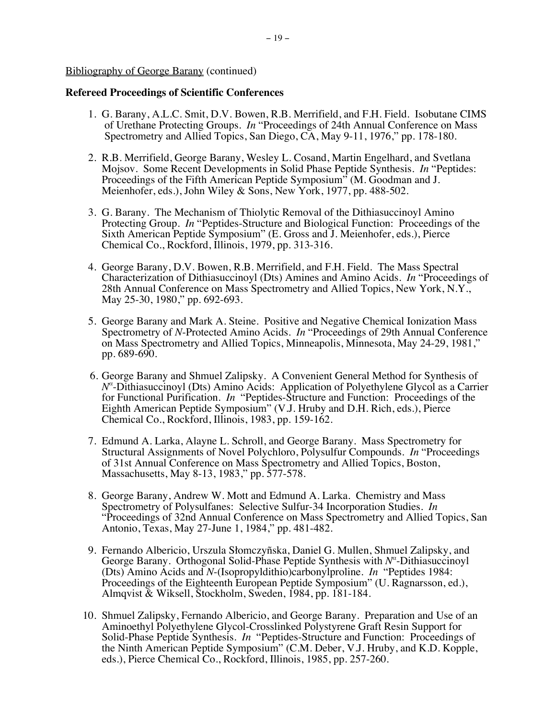## **Refereed Proceedings of Scientific Conferences**

- 1. G. Barany, A.L.C. Smit, D.V. Bowen, R.B. Merrifield, and F.H. Field. Isobutane CIMS of Urethane Protecting Groups. *In* "Proceedings of 24th Annual Conference on Mass Spectrometry and Allied Topics, San Diego, CA, May 9-11, 1976," pp. 178-180.
- 2. R.B. Merrifield, George Barany, Wesley L. Cosand, Martin Engelhard, and Svetlana Mojsov. Some Recent Developments in Solid Phase Peptide Synthesis. *In* "Peptides: Proceedings of the Fifth American Peptide Symposium" (M. Goodman and J. Meienhofer, eds.), John Wiley & Sons, New York, 1977, pp. 488-502.
- 3. G. Barany. The Mechanism of Thiolytic Removal of the Dithiasuccinoyl Amino Protecting Group. *In* "Peptides-Structure and Biological Function: Proceedings of the Sixth American Peptide Symposium" (E. Gross and J. Meienhofer, eds.), Pierce Chemical Co., Rockford, Illinois, 1979, pp. 313-316.
- 4. George Barany, D.V. Bowen, R.B. Merrifield, and F.H. Field. The Mass Spectral Characterization of Dithiasuccinoyl (Dts) Amines and Amino Acids. *In* "Proceedings of 28th Annual Conference on Mass Spectrometry and Allied Topics, New York, N.Y., May 25-30, 1980," pp. 692-693.
- 5. George Barany and Mark A. Steine. Positive and Negative Chemical Ionization Mass Spectrometry of *N*-Protected Amino Acids. *In* "Proceedings of 29th Annual Conference on Mass Spectrometry and Allied Topics, Minneapolis, Minnesota, May 24-29, 1981," pp. 689-690.
- 6. George Barany and Shmuel Zalipsky. A Convenient General Method for Synthesis of *Nα* -Dithiasuccinoyl (Dts) Amino Acids: Application of Polyethylene Glycol as a Carrier for Functional Purification. *In* "Peptides-Structure and Function: Proceedings of the Eighth American Peptide Symposium" (V.J. Hruby and D.H. Rich, eds.), Pierce Chemical Co., Rockford, Illinois, 1983, pp. 159-162.
- 7. Edmund A. Larka, Alayne L. Schroll, and George Barany. Mass Spectrometry for Structural Assignments of Novel Polychloro, Polysulfur Compounds. *In* "Proceedings of 31st Annual Conference on Mass Spectrometry and Allied Topics, Boston, Massachusetts, May 8-13, 1983," pp. 577-578.
- 8. George Barany, Andrew W. Mott and Edmund A. Larka. Chemistry and Mass Spectrometry of Polysulfanes: Selective Sulfur-34 Incorporation Studies. *In* "Proceedings of 32nd Annual Conference on Mass Spectrometry and Allied Topics, San Antonio, Texas, May 27-June 1, 1984," pp. 481-482.
- 9. Fernando Albericio, Urszula Słomczyñska, Daniel G. Mullen, Shmuel Zalipsky, and George Barany. Orthogonal Solid-Phase Peptide Synthesis with  $N^{\alpha}$ -Dithiasuccinoyl (Dts) Amino Acids and *N*-(Isopropyldithio)carbonylproline. *In* "Peptides 1984: Proceedings of the Eighteenth European Peptide Symposium" (U. Ragnarsson, ed.), Almqvist & Wiksell, Stockholm, Sweden, 1984, pp. 181-184.
- 10. Shmuel Zalipsky, Fernando Albericio, and George Barany. Preparation and Use of an Aminoethyl Polyethylene Glycol-Crosslinked Polystyrene Graft Resin Support for Solid-Phase Peptide Synthesis. *In* "Peptides-Structure and Function: Proceedings of the Ninth American Peptide Symposium" (C.M. Deber, V.J. Hruby, and K.D. Kopple, eds.), Pierce Chemical Co., Rockford, Illinois, 1985, pp. 257-260.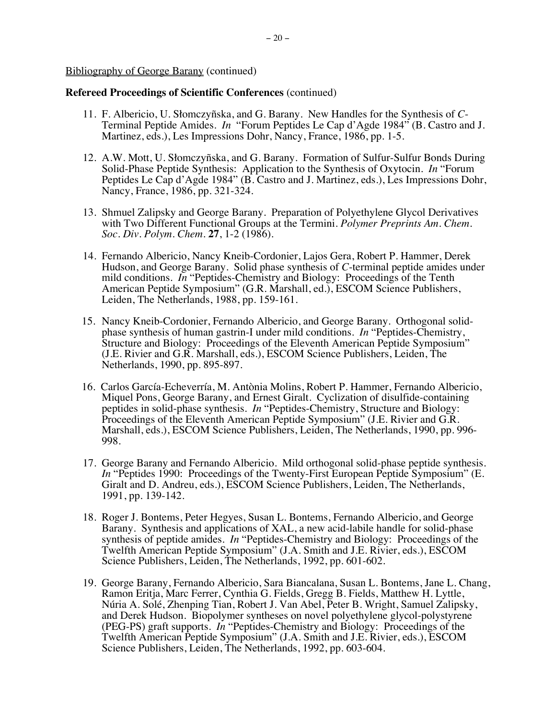- 11. F. Albericio, U. Słomczyñska, and G. Barany. New Handles for the Synthesis of *C*-Terminal Peptide Amides. *In* "Forum Peptides Le Cap d'Agde 1984" (B. Castro and J. Martinez, eds.), Les Impressions Dohr, Nancy, France, 1986, pp. 1-5.
- 12. A.W. Mott, U. Słomczyñska, and G. Barany. Formation of Sulfur-Sulfur Bonds During Solid-Phase Peptide Synthesis: Application to the Synthesis of Oxytocin. *In* "Forum Peptides Le Cap d'Agde 1984" (B. Castro and J. Martinez, eds.), Les Impressions Dohr, Nancy, France, 1986, pp. 321-324.
- 13. Shmuel Zalipsky and George Barany. Preparation of Polyethylene Glycol Derivatives with Two Different Functional Groups at the Termini. *Polymer Preprints Am. Chem. Soc. Div. Polym. Chem.* **27**, 1-2 (1986).
- 14. Fernando Albericio, Nancy Kneib-Cordonier, Lajos Gera, Robert P. Hammer, Derek Hudson, and George Barany. Solid phase synthesis of *C*-terminal peptide amides under mild conditions. *In* "Peptides-Chemistry and Biology: Proceedings of the Tenth American Peptide Symposium" (G.R. Marshall, ed.), ESCOM Science Publishers, Leiden, The Netherlands, 1988, pp. 159-161.
- 15. Nancy Kneib-Cordonier, Fernando Albericio, and George Barany. Orthogonal solidphase synthesis of human gastrin-I under mild conditions. *In* "Peptides-Chemistry, Structure and Biology: Proceedings of the Eleventh American Peptide Symposium" (J.E. Rivier and G.R. Marshall, eds.), ESCOM Science Publishers, Leiden, The Netherlands, 1990, pp. 895-897.
- 16. Carlos García-Echeverría, M. Antònia Molins, Robert P. Hammer, Fernando Albericio, Miquel Pons, George Barany, and Ernest Giralt. Cyclization of disulfide-containing peptides in solid-phase synthesis. *In* "Peptides-Chemistry, Structure and Biology: Proceedings of the Eleventh American Peptide Symposium" (J.E. Rivier and G.R. Marshall, eds.), ESCOM Science Publishers, Leiden, The Netherlands, 1990, pp. 996- 998.
- 17. George Barany and Fernando Albericio. Mild orthogonal solid-phase peptide synthesis. *In* "Peptides 1990: Proceedings of the Twenty-First European Peptide Symposium" (E. Giralt and D. Andreu, eds.), ESCOM Science Publishers, Leiden, The Netherlands, 1991, pp. 139-142.
- 18. Roger J. Bontems, Peter Hegyes, Susan L. Bontems, Fernando Albericio, and George Barany. Synthesis and applications of XAL, a new acid-labile handle for solid-phase synthesis of peptide amides. *In* "Peptides-Chemistry and Biology: Proceedings of the Twelfth American Peptide Symposium" (J.A. Smith and J.E. Rivier, eds.), ESCOM Science Publishers, Leiden, The Netherlands, 1992, pp. 601-602.
- 19. George Barany, Fernando Albericio, Sara Biancalana, Susan L. Bontems, Jane L. Chang, Ramon Eritja, Marc Ferrer, Cynthia G. Fields, Gregg B. Fields, Matthew H. Lyttle, Núria A. Solé, Zhenping Tian, Robert J. Van Abel, Peter B. Wright, Samuel Zalipsky, and Derek Hudson. Biopolymer syntheses on novel polyethylene glycol-polystyrene (PEG-PS) graft supports. *In* "Peptides-Chemistry and Biology: Proceedings of the Twelfth American Peptide Symposium" (J.A. Smith and J.E. Rivier, eds.), ESCOM Science Publishers, Leiden, The Netherlands, 1992, pp. 603-604.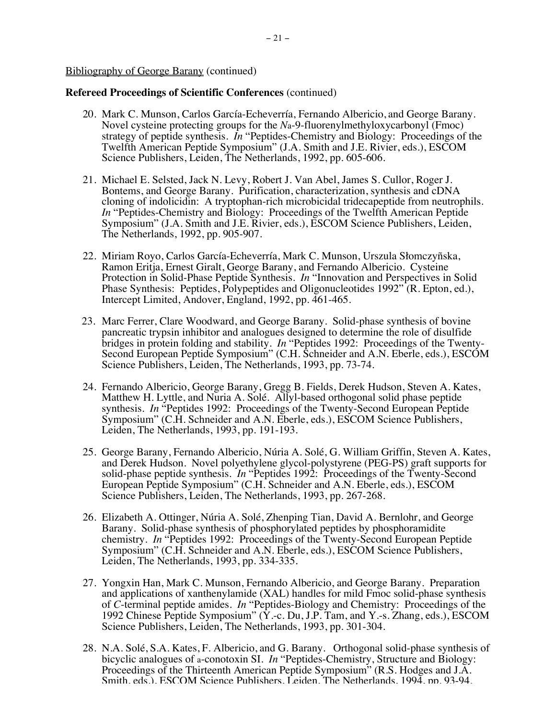- 20. Mark C. Munson, Carlos García-Echeverría, Fernando Albericio, and George Barany. Novel cysteine protecting groups for the *N*a-9-fluorenylmethyloxycarbonyl (Fmoc) strategy of peptide synthesis. *In* "Peptides-Chemistry and Biology: Proceedings of the Twelfth American Peptide Symposium" (J.A. Smith and J.E. Rivier, eds.), ESCOM Science Publishers, Leiden, The Netherlands, 1992, pp. 605-606.
- 21. Michael E. Selsted, Jack N. Levy, Robert J. Van Abel, James S. Cullor, Roger J. Bontems, and George Barany. Purification, characterization, synthesis and cDNA cloning of indolicidin: A tryptophan-rich microbicidal tridecapeptide from neutrophils. *In* "Peptides-Chemistry and Biology: Proceedings of the Twelfth American Peptide Symposium" (J.A. Smith and J.E. Rivier, eds.), ESCOM Science Publishers, Leiden, The Netherlands, 1992, pp. 905-907.
- 22. Miriam Royo, Carlos García-Echeverría, Mark C. Munson, Urszula Słomczyñska, Ramon Eritja, Ernest Giralt, George Barany, and Fernando Albericio. Cysteine Protection in Solid-Phase Peptide Synthesis. *In* "Innovation and Perspectives in Solid Phase Synthesis: Peptides, Polypeptides and Oligonucleotides 1992" (R. Epton, ed.), Intercept Limited, Andover, England, 1992, pp. 461-465.
- 23. Marc Ferrer, Clare Woodward, and George Barany. Solid-phase synthesis of bovine pancreatic trypsin inhibitor and analogues designed to determine the role of disulfide bridges in protein folding and stability. *In* "Peptides 1992: Proceedings of the Twenty-Second European Peptide Symposium" (C.H. Schneider and A.N. Eberle, eds.), ESCOM Science Publishers, Leiden, The Netherlands, 1993, pp. 73-74.
- 24. Fernando Albericio, George Barany, Gregg B. Fields, Derek Hudson, Steven A. Kates, Matthew H. Lyttle, and Nuria A. Solé. Allyl-based orthogonal solid phase peptide synthesis. *In* "Peptides 1992: Proceedings of the Twenty-Second European Peptide Symposium" (C.H. Schneider and A.N. Eberle, eds.), ESCOM Science Publishers, Leiden, The Netherlands, 1993, pp. 191-193.
- 25. George Barany, Fernando Albericio, Núria A. Solé, G. William Griffin, Steven A. Kates, and Derek Hudson. Novel polyethylene glycol-polystyrene (PEG-PS) graft supports for solid-phase peptide synthesis. *In* "Peptides 1992: Proceedings of the Twenty-Second European Peptide Symposium" (C.H. Schneider and A.N. Eberle, eds.), ESCOM Science Publishers, Leiden, The Netherlands, 1993, pp. 267-268.
- 26. Elizabeth A. Ottinger, Núria A. Solé, Zhenping Tian, David A. Bernlohr, and George Barany. Solid-phase synthesis of phosphorylated peptides by phosphoramidite chemistry. *In* "Peptides 1992: Proceedings of the Twenty-Second European Peptide Symposium" (C.H. Schneider and A.N. Eberle, eds.), ESCOM Science Publishers, Leiden, The Netherlands, 1993, pp. 334-335.
- 27. Yongxin Han, Mark C. Munson, Fernando Albericio, and George Barany. Preparation and applications of xanthenylamide (XAL) handles for mild Fmoc solid-phase synthesis of *C*-terminal peptide amides. *In* "Peptides-Biology and Chemistry: Proceedings of the 1992 Chinese Peptide Symposium" (Y.-c. Du, J.P. Tam, and Y.-s. Zhang, eds.), ESCOM Science Publishers, Leiden, The Netherlands, 1993, pp. 301-304.
- 28. N.A. Solé, S.A. Kates, F. Albericio, and G. Barany. Orthogonal solid-phase synthesis of bicyclic analogues of a-conotoxin SI. *In* "Peptides-Chemistry, Structure and Biology: Proceedings of the Thirteenth American Peptide Symposium" (R.S. Hodges and J.A. Smith, eds.), ESCOM Science Publishers, Leiden, The Netherlands, 1994, pp. 93-94.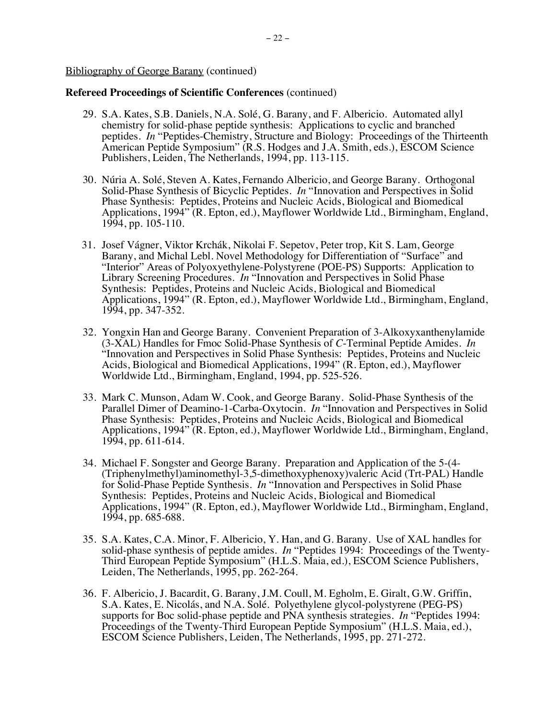- 29. S.A. Kates, S.B. Daniels, N.A. Solé, G. Barany, and F. Albericio. Automated allyl chemistry for solid-phase peptide synthesis: Applications to cyclic and branched peptides. *In* "Peptides-Chemistry, Structure and Biology: Proceedings of the Thirteenth American Peptide Symposium" (R.S. Hodges and J.A. Smith, eds.), ESCOM Science Publishers, Leiden, The Netherlands, 1994, pp. 113-115.
- 30. Núria A. Solé, Steven A. Kates, Fernando Albericio, and George Barany. Orthogonal Solid-Phase Synthesis of Bicyclic Peptides. *In* "Innovation and Perspectives in Solid Phase Synthesis: Peptides, Proteins and Nucleic Acids, Biological and Biomedical Applications, 1994" (R. Epton, ed.), Mayflower Worldwide Ltd., Birmingham, England, 1994, pp. 105-110.
- 31. Josef Vágner, Viktor Krchák, Nikolai F. Sepetov, Peter trop, Kit S. Lam, George Barany, and Michal Lebl. Novel Methodology for Differentiation of "Surface" and "Interior" Areas of Polyoxyethylene-Polystyrene (POE-PS) Supports: Application to Library Screening Procedures. *In* "Innovation and Perspectives in Solid Phase Synthesis: Peptides, Proteins and Nucleic Acids, Biological and Biomedical Applications, 1994" (R. Epton, ed.), Mayflower Worldwide Ltd., Birmingham, England, 1994, pp. 347-352.
- 32. Yongxin Han and George Barany. Convenient Preparation of 3-Alkoxyxanthenylamide (3-XAL) Handles for Fmoc Solid-Phase Synthesis of *C*-Terminal Peptide Amides. *In*  "Innovation and Perspectives in Solid Phase Synthesis: Peptides, Proteins and Nucleic Acids, Biological and Biomedical Applications, 1994" (R. Epton, ed.), Mayflower Worldwide Ltd., Birmingham, England, 1994, pp. 525-526.
- 33. Mark C. Munson, Adam W. Cook, and George Barany. Solid-Phase Synthesis of the Parallel Dimer of Deamino-1-Carba-Oxytocin. *In* "Innovation and Perspectives in Solid Phase Synthesis: Peptides, Proteins and Nucleic Acids, Biological and Biomedical Applications, 1994" (R. Epton, ed.), Mayflower Worldwide Ltd., Birmingham, England, 1994, pp. 611-614.
- 34. Michael F. Songster and George Barany. Preparation and Application of the 5-(4- (Triphenylmethyl)aminomethyl-3,5-dimethoxyphenoxy)valeric Acid (Trt-PAL) Handle for Solid-Phase Peptide Synthesis. *In* "Innovation and Perspectives in Solid Phase Synthesis: Peptides, Proteins and Nucleic Acids, Biological and Biomedical Applications, 1994" (R. Epton, ed.), Mayflower Worldwide Ltd., Birmingham, England, 1994, pp. 685-688.
- 35. S.A. Kates, C.A. Minor, F. Albericio, Y. Han, and G. Barany. Use of XAL handles for solid-phase synthesis of peptide amides. *In* "Peptides 1994: Proceedings of the Twenty-Third European Peptide Symposium" (H.L.S. Maia, ed.), ESCOM Science Publishers, Leiden, The Netherlands, 1995, pp. 262-264.
- 36. F. Albericio, J. Bacardit, G. Barany, J.M. Coull, M. Egholm, E. Giralt, G.W. Griffin, S.A. Kates, E. Nicolás, and N.A. Solé. Polyethylene glycol-polystyrene (PEG-PS) supports for Boc solid-phase peptide and PNA synthesis strategies. *In* "Peptides 1994: Proceedings of the Twenty-Third European Peptide Symposium" (H.L.S. Maia, ed.), ESCOM Science Publishers, Leiden, The Netherlands, 1995, pp. 271-272.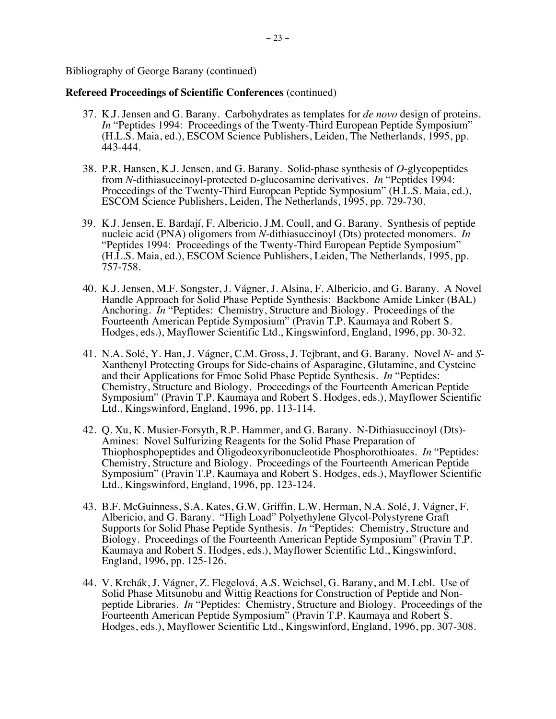- 37. K.J. Jensen and G. Barany. Carbohydrates as templates for *de novo* design of proteins. *In* "Peptides 1994: Proceedings of the Twenty-Third European Peptide Symposium" (H.L.S. Maia, ed.), ESCOM Science Publishers, Leiden, The Netherlands, 1995, pp. 443-444.
- 38. P.R. Hansen, K.J. Jensen, and G. Barany. Solid-phase synthesis of *O*-glycopeptides from *N*-dithiasuccinoyl-protected D-glucosamine derivatives. *In* "Peptides 1994: Proceedings of the Twenty-Third European Peptide Symposium" (H.L.S. Maia, ed.), ESCOM Science Publishers, Leiden, The Netherlands, 1995, pp. 729-730.
- 39. K.J. Jensen, E. Bardají, F. Albericio, J.M. Coull, and G. Barany. Synthesis of peptide nucleic acid (PNA) oligomers from *N*-dithiasuccinoyl (Dts) protected monomers. *In* "Peptides 1994: Proceedings of the Twenty-Third European Peptide Symposium" (H.L.S. Maia, ed.), ESCOM Science Publishers, Leiden, The Netherlands, 1995, pp. 757-758.
- 40. K.J. Jensen, M.F. Songster, J. Vágner, J. Alsina, F. Albericio, and G. Barany. A Novel Handle Approach for Solid Phase Peptide Synthesis: Backbone Amide Linker (BAL) Anchoring. *In* "Peptides: Chemistry, Structure and Biology. Proceedings of the Fourteenth American Peptide Symposium" (Pravin T.P. Kaumaya and Robert S. Hodges, eds.), Mayflower Scientific Ltd., Kingswinford, England, 1996, pp. 30-32.
- 41. N.A. Solé, Y. Han, J. Vágner, C.M. Gross, J. Tejbrant, and G. Barany. Novel *N* and *S*-Xanthenyl Protecting Groups for Side-chains of Asparagine, Glutamine, and Cysteine and their Applications for Fmoc Solid Phase Peptide Synthesis. *In* "Peptides: Chemistry, Structure and Biology. Proceedings of the Fourteenth American Peptide Symposium" (Pravin T.P. Kaumaya and Robert S. Hodges, eds.), Mayflower Scientific Ltd., Kingswinford, England, 1996, pp. 113-114.
- 42. Q. Xu, K. Musier-Forsyth, R.P. Hammer, and G. Barany. N-Dithiasuccinoyl (Dts)- Amines: Novel Sulfurizing Reagents for the Solid Phase Preparation of Thiophosphopeptides and Oligodeoxyribonucleotide Phosphorothioates. *In* "Peptides: Chemistry, Structure and Biology. Proceedings of the Fourteenth American Peptide Symposium" (Pravin T.P. Kaumaya and Robert S. Hodges, eds.), Mayflower Scientific Ltd., Kingswinford, England, 1996, pp. 123-124.
- 43. B.F. McGuinness, S.A. Kates, G.W. Griffin, L.W. Herman, N.A. Solé, J. Vágner, F. Albericio, and G. Barany. "High Load" Polyethylene Glycol-Polystyrene Graft Supports for Solid Phase Peptide Synthesis. *In* "Peptides: Chemistry, Structure and Biology. Proceedings of the Fourteenth American Peptide Symposium" (Pravin T.P. Kaumaya and Robert S. Hodges, eds.), Mayflower Scientific Ltd., Kingswinford, England, 1996, pp. 125-126.
- 44. V. Krchák, J. Vágner, Z. Flegelová, A.S. Weichsel, G. Barany, and M. Lebl. Use of Solid Phase Mitsunobu and Wittig Reactions for Construction of Peptide and Nonpeptide Libraries. *In* "Peptides: Chemistry, Structure and Biology. Proceedings of the Fourteenth American Peptide Symposium" (Pravin T.P. Kaumaya and Robert S. Hodges, eds.), Mayflower Scientific Ltd., Kingswinford, England, 1996, pp. 307-308.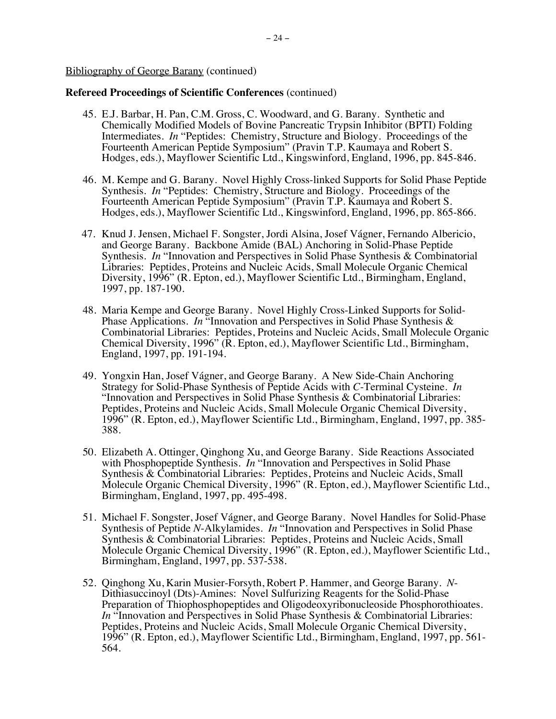- 45. E.J. Barbar, H. Pan, C.M. Gross, C. Woodward, and G. Barany. Synthetic and Chemically Modified Models of Bovine Pancreatic Trypsin Inhibitor (BPTI) Folding Intermediates. *In* "Peptides: Chemistry, Structure and Biology. Proceedings of the Fourteenth American Peptide Symposium" (Pravin T.P. Kaumaya and Robert S. Hodges, eds.), Mayflower Scientific Ltd., Kingswinford, England, 1996, pp. 845-846.
- 46. M. Kempe and G. Barany. Novel Highly Cross-linked Supports for Solid Phase Peptide Synthesis. *In* "Peptides: Chemistry, Structure and Biology. Proceedings of the Fourteenth American Peptide Symposium" (Pravin T.P. Kaumaya and Robert S. Hodges, eds.), Mayflower Scientific Ltd., Kingswinford, England, 1996, pp. 865-866.
- 47. Knud J. Jensen, Michael F. Songster, Jordi Alsina, Josef Vágner, Fernando Albericio, and George Barany. Backbone Amide (BAL) Anchoring in Solid-Phase Peptide Synthesis. *In* "Innovation and Perspectives in Solid Phase Synthesis & Combinatorial Libraries: Peptides, Proteins and Nucleic Acids, Small Molecule Organic Chemical Diversity, 1996" (R. Epton, ed.), Mayflower Scientific Ltd., Birmingham, England, 1997, pp. 187-190.
- 48. Maria Kempe and George Barany. Novel Highly Cross-Linked Supports for Solid-Phase Applications. *In* "Innovation and Perspectives in Solid Phase Synthesis & Combinatorial Libraries: Peptides, Proteins and Nucleic Acids, Small Molecule Organic Chemical Diversity, 1996" (R. Epton, ed.), Mayflower Scientific Ltd., Birmingham, England, 1997, pp. 191-194.
- 49. Yongxin Han, Josef Vágner, and George Barany. A New Side-Chain Anchoring Strategy for Solid-Phase Synthesis of Peptide Acids with *C*-Terminal Cysteine. *In*  "Innovation and Perspectives in Solid Phase Synthesis & Combinatorial Libraries: Peptides, Proteins and Nucleic Acids, Small Molecule Organic Chemical Diversity, 1996" (R. Epton, ed.), Mayflower Scientific Ltd., Birmingham, England, 1997, pp. 385- 388.
- 50. Elizabeth A. Ottinger, Qinghong Xu, and George Barany. Side Reactions Associated with Phosphopeptide Synthesis. *In* "Innovation and Perspectives in Solid Phase Synthesis & Combinatorial Libraries: Peptides, Proteins and Nucleic Acids, Small Molecule Organic Chemical Diversity, 1996" (R. Epton, ed.), Mayflower Scientific Ltd., Birmingham, England, 1997, pp. 495-498.
- 51. Michael F. Songster, Josef Vágner, and George Barany. Novel Handles for Solid-Phase Synthesis of Peptide *N*-Alkylamides. *In* "Innovation and Perspectives in Solid Phase Synthesis & Combinatorial Libraries: Peptides, Proteins and Nucleic Acids, Small Molecule Organic Chemical Diversity, 1996" (R. Epton, ed.), Mayflower Scientific Ltd., Birmingham, England, 1997, pp. 537-538.
- 52. Qinghong Xu, Karin Musier-Forsyth, Robert P. Hammer, and George Barany. *N*-Dithiasuccinoyl (Dts)-Amines: Novel Sulfurizing Reagents for the Solid-Phase Preparation of Thiophosphopeptides and Oligodeoxyribonucleoside Phosphorothioates. *In* "Innovation and Perspectives in Solid Phase Synthesis & Combinatorial Libraries: Peptides, Proteins and Nucleic Acids, Small Molecule Organic Chemical Diversity, 1996" (R. Epton, ed.), Mayflower Scientific Ltd., Birmingham, England, 1997, pp. 561- 564.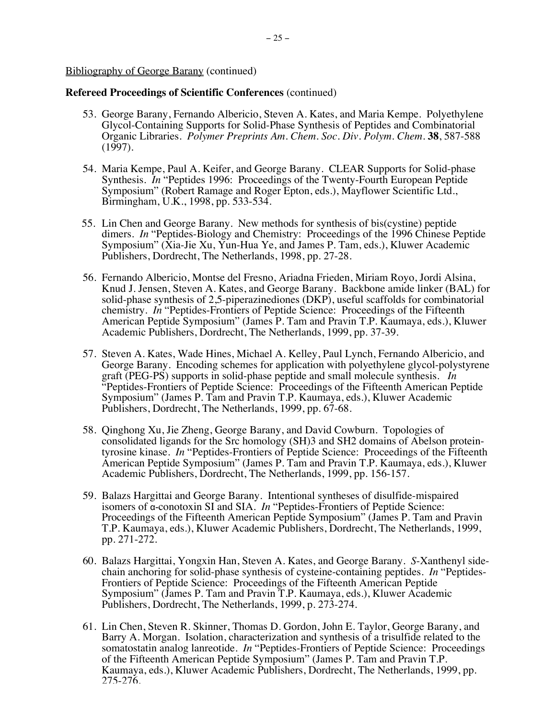- 53. George Barany, Fernando Albericio, Steven A. Kates, and Maria Kempe. Polyethylene Glycol-Containing Supports for Solid-Phase Synthesis of Peptides and Combinatorial Organic Libraries. *Polymer Preprints Am. Chem. Soc. Div. Polym. Chem.* **38**, 587-588 (1997).
- 54. Maria Kempe, Paul A. Keifer, and George Barany. CLEAR Supports for Solid-phase Synthesis. *In* "Peptides 1996: Proceedings of the Twenty-Fourth European Peptide Symposium" (Robert Ramage and Roger Epton, eds.), Mayflower Scientific Ltd., Birmingham, U.K., 1998, pp. 533-534.
- 55. Lin Chen and George Barany. New methods for synthesis of bis(cystine) peptide dimers. *In* "Peptides-Biology and Chemistry: Proceedings of the 1996 Chinese Peptide Symposium" (Xia-Jie Xu, Yun-Hua Ye, and James P. Tam, eds.), Kluwer Academic Publishers, Dordrecht, The Netherlands, 1998, pp. 27-28.
- 56. Fernando Albericio, Montse del Fresno, Ariadna Frieden, Miriam Royo, Jordi Alsina, Knud J. Jensen, Steven A. Kates, and George Barany. Backbone amide linker (BAL) for solid-phase synthesis of 2,5-piperazinediones (DKP), useful scaffolds for combinatorial chemistry. *In* "Peptides-Frontiers of Peptide Science: Proceedings of the Fifteenth American Peptide Symposium" (James P. Tam and Pravin T.P. Kaumaya, eds.), Kluwer Academic Publishers, Dordrecht, The Netherlands, 1999, pp. 37-39.
- 57. Steven A. Kates, Wade Hines, Michael A. Kelley, Paul Lynch, Fernando Albericio, and George Barany. Encoding schemes for application with polyethylene glycol-polystyrene graft (PEG-PS) supports in solid-phase peptide and small molecule synthesis. *In* "Peptides-Frontiers of Peptide Science: Proceedings of the Fifteenth American Peptide Symposium" (James P. Tam and Pravin T.P. Kaumaya, eds.), Kluwer Academic Publishers, Dordrecht, The Netherlands, 1999, pp. 67-68.
- 58. Qinghong Xu, Jie Zheng, George Barany, and David Cowburn. Topologies of consolidated ligands for the Src homology (SH)3 and SH2 domains of Abelson proteintyrosine kinase. *In* "Peptides-Frontiers of Peptide Science: Proceedings of the Fifteenth American Peptide Symposium" (James P. Tam and Pravin T.P. Kaumaya, eds.), Kluwer Academic Publishers, Dordrecht, The Netherlands, 1999, pp. 156-157.
- 59. Balazs Hargittai and George Barany. Intentional syntheses of disulfide-mispaired isomers of α-conotoxin SI and SIA. *In* "Peptides-Frontiers of Peptide Science: Proceedings of the Fifteenth American Peptide Symposium" (James P. Tam and Pravin T.P. Kaumaya, eds.), Kluwer Academic Publishers, Dordrecht, The Netherlands, 1999, pp. 271-272.
- 60. Balazs Hargittai, Yongxin Han, Steven A. Kates, and George Barany. *S*-Xanthenyl sidechain anchoring for solid-phase synthesis of cysteine-containing peptides. *In* "Peptides-Frontiers of Peptide Science: Proceedings of the Fifteenth American Peptide Symposium" (James P. Tam and Pravin T.P. Kaumaya, eds.), Kluwer Academic Publishers, Dordrecht, The Netherlands, 1999, p. 273-274.
- 61. Lin Chen, Steven R. Skinner, Thomas D. Gordon, John E. Taylor, George Barany, and Barry A. Morgan. Isolation, characterization and synthesis of a trisulfide related to the somatostatin analog lanreotide. *In* "Peptides-Frontiers of Peptide Science: Proceedings of the Fifteenth American Peptide Symposium" (James P. Tam and Pravin T.P. Kaumaya, eds.), Kluwer Academic Publishers, Dordrecht, The Netherlands, 1999, pp. 275-276.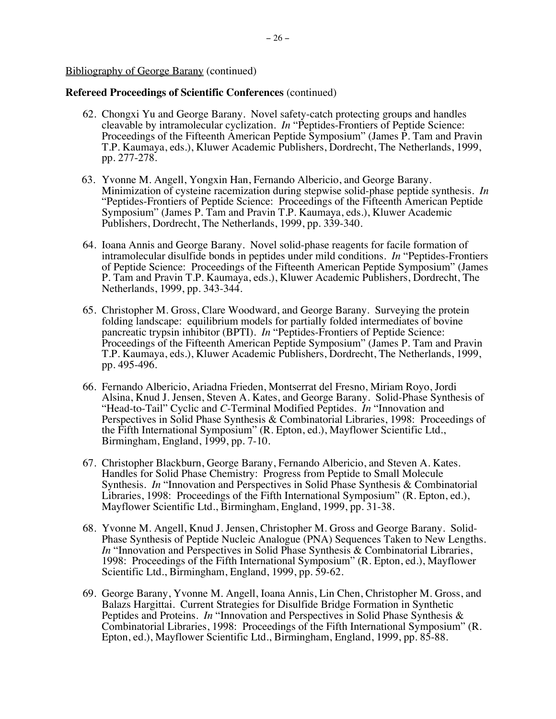- 62. Chongxi Yu and George Barany. Novel safety-catch protecting groups and handles cleavable by intramolecular cyclization. *In* "Peptides-Frontiers of Peptide Science: Proceedings of the Fifteenth American Peptide Symposium" (James P. Tam and Pravin T.P. Kaumaya, eds.), Kluwer Academic Publishers, Dordrecht, The Netherlands, 1999, pp. 277-278.
- 63. Yvonne M. Angell, Yongxin Han, Fernando Albericio, and George Barany. Minimization of cysteine racemization during stepwise solid-phase peptide synthesis. *In* "Peptides-Frontiers of Peptide Science: Proceedings of the Fifteenth American Peptide Symposium" (James P. Tam and Pravin T.P. Kaumaya, eds.), Kluwer Academic Publishers, Dordrecht, The Netherlands, 1999, pp. 339-340.
- 64. Ioana Annis and George Barany. Novel solid-phase reagents for facile formation of intramolecular disulfide bonds in peptides under mild conditions. *In* "Peptides-Frontiers of Peptide Science: Proceedings of the Fifteenth American Peptide Symposium" (James P. Tam and Pravin T.P. Kaumaya, eds.), Kluwer Academic Publishers, Dordrecht, The Netherlands, 1999, pp. 343-344.
- 65. Christopher M. Gross, Clare Woodward, and George Barany. Surveying the protein folding landscape: equilibrium models for partially folded intermediates of bovine pancreatic trypsin inhibitor (BPTI). *In* "Peptides-Frontiers of Peptide Science: Proceedings of the Fifteenth American Peptide Symposium" (James P. Tam and Pravin T.P. Kaumaya, eds.), Kluwer Academic Publishers, Dordrecht, The Netherlands, 1999, pp. 495-496.
- 66. Fernando Albericio, Ariadna Frieden, Montserrat del Fresno, Miriam Royo, Jordi Alsina, Knud J. Jensen, Steven A. Kates, and George Barany. Solid-Phase Synthesis of "Head-to-Tail" Cyclic and *C*-Terminal Modified Peptides. *In* "Innovation and Perspectives in Solid Phase Synthesis & Combinatorial Libraries, 1998: Proceedings of the Fifth International Symposium" (R. Epton, ed.), Mayflower Scientific Ltd., Birmingham, England, 1999, pp. 7-10.
- 67. Christopher Blackburn, George Barany, Fernando Albericio, and Steven A. Kates. Handles for Solid Phase Chemistry: Progress from Peptide to Small Molecule Synthesis. *In* "Innovation and Perspectives in Solid Phase Synthesis & Combinatorial Libraries, 1998: Proceedings of the Fifth International Symposium" (R. Epton, ed.), Mayflower Scientific Ltd., Birmingham, England, 1999, pp. 31-38.
- 68. Yvonne M. Angell, Knud J. Jensen, Christopher M. Gross and George Barany. Solid-Phase Synthesis of Peptide Nucleic Analogue (PNA) Sequences Taken to New Lengths. *In* "Innovation and Perspectives in Solid Phase Synthesis & Combinatorial Libraries, 1998: Proceedings of the Fifth International Symposium" (R. Epton, ed.), Mayflower Scientific Ltd., Birmingham, England, 1999, pp. 59-62.
- 69. George Barany, Yvonne M. Angell, Ioana Annis, Lin Chen, Christopher M. Gross, and Balazs Hargittai. Current Strategies for Disulfide Bridge Formation in Synthetic Peptides and Proteins. *In* "Innovation and Perspectives in Solid Phase Synthesis & Combinatorial Libraries, 1998: Proceedings of the Fifth International Symposium" (R. Epton, ed.), Mayflower Scientific Ltd., Birmingham, England, 1999, pp. 85-88.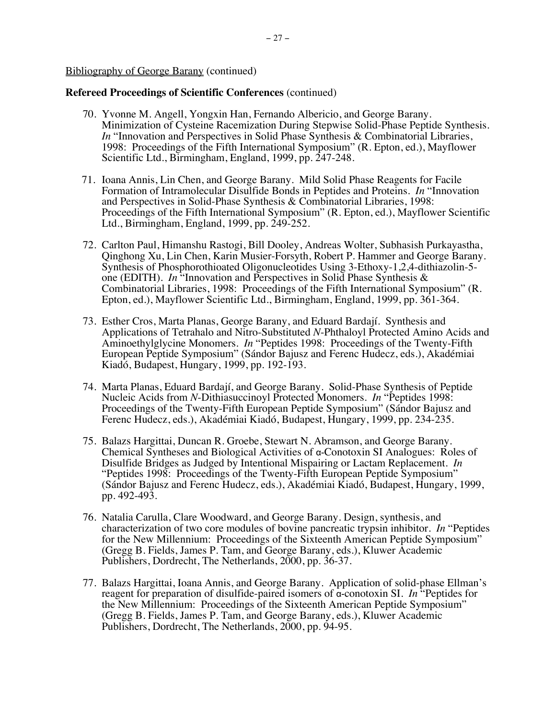- 70. Yvonne M. Angell, Yongxin Han, Fernando Albericio, and George Barany. Minimization of Cysteine Racemization During Stepwise Solid-Phase Peptide Synthesis. *In* "Innovation and Perspectives in Solid Phase Synthesis & Combinatorial Libraries, 1998: Proceedings of the Fifth International Symposium" (R. Epton, ed.), Mayflower Scientific Ltd., Birmingham, England, 1999, pp. 247-248.
- 71. Ioana Annis, Lin Chen, and George Barany. Mild Solid Phase Reagents for Facile Formation of Intramolecular Disulfide Bonds in Peptides and Proteins. *In* "Innovation and Perspectives in Solid-Phase Synthesis & Combinatorial Libraries, 1998: Proceedings of the Fifth International Symposium" (R. Epton, ed.), Mayflower Scientific Ltd., Birmingham, England, 1999, pp. 249-252.
- 72. Carlton Paul, Himanshu Rastogi, Bill Dooley, Andreas Wolter, Subhasish Purkayastha, Qinghong Xu, Lin Chen, Karin Musier-Forsyth, Robert P. Hammer and George Barany. Synthesis of Phosphorothioated Oligonucleotides Using 3-Ethoxy-1,2,4-dithiazolin-5 one (EDITH). *In* "Innovation and Perspectives in Solid Phase Synthesis & Combinatorial Libraries, 1998: Proceedings of the Fifth International Symposium" (R. Epton, ed.), Mayflower Scientific Ltd., Birmingham, England, 1999, pp. 361-364.
- 73. Esther Cros, Marta Planas, George Barany, and Eduard Bardají. Synthesis and Applications of Tetrahalo and Nitro-Substituted *N*-Phthaloyl Protected Amino Acids and Aminoethylglycine Monomers. *In* "Peptides 1998: Proceedings of the Twenty-Fifth European Peptide Symposium" (Sándor Bajusz and Ferenc Hudecz, eds.), Akadémiai Kiadó, Budapest, Hungary, 1999, pp. 192-193.
- 74. Marta Planas, Eduard Bardají, and George Barany. Solid-Phase Synthesis of Peptide Nucleic Acids from *N*-Dithiasuccinoyl Protected Monomers. *In* "Peptides 1998: Proceedings of the Twenty-Fifth European Peptide Symposium" (Sándor Bajusz and Ferenc Hudecz, eds.), Akadémiai Kiadó, Budapest, Hungary, 1999, pp. 234-235.
- 75. Balazs Hargittai, Duncan R. Groebe, Stewart N. Abramson, and George Barany. Chemical Syntheses and Biological Activities of α-Conotoxin SI Analogues: Roles of Disulfide Bridges as Judged by Intentional Mispairing or Lactam Replacement. *In* "Peptides 1998: Proceedings of the Twenty-Fifth European Peptide Symposium" (Sándor Bajusz and Ferenc Hudecz, eds.), Akadémiai Kiadó, Budapest, Hungary, 1999, pp. 492-493.
- 76. Natalia Carulla, Clare Woodward, and George Barany. Design, synthesis, and characterization of two core modules of bovine pancreatic trypsin inhibitor. *In* "Peptides for the New Millennium: Proceedings of the Sixteenth American Peptide Symposium" (Gregg B. Fields, James P. Tam, and George Barany, eds.), Kluwer Academic Publishers, Dordrecht, The Netherlands, 2000, pp. 36-37.
- 77. Balazs Hargittai, Ioana Annis, and George Barany. Application of solid-phase Ellman's reagent for preparation of disulfide-paired isomers of α-conotoxin SI. *In* "Peptides for the New Millennium: Proceedings of the Sixteenth American Peptide Symposium" (Gregg B. Fields, James P. Tam, and George Barany, eds.), Kluwer Academic Publishers, Dordrecht, The Netherlands, 2000, pp. 94-95.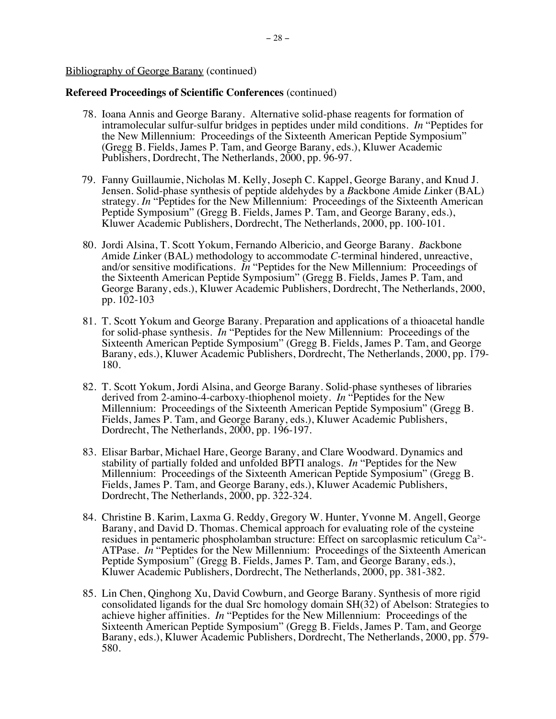- 78. Ioana Annis and George Barany. Alternative solid-phase reagents for formation of intramolecular sulfur-sulfur bridges in peptides under mild conditions. *In* "Peptides for the New Millennium: Proceedings of the Sixteenth American Peptide Symposium" (Gregg B. Fields, James P. Tam, and George Barany, eds.), Kluwer Academic Publishers, Dordrecht, The Netherlands, 2000, pp. 96-97.
- 79. Fanny Guillaumie, Nicholas M. Kelly, Joseph C. Kappel, George Barany, and Knud J. Jensen. Solid-phase synthesis of peptide aldehydes by a *B*ackbone *A*mide *L*inker (BAL) strategy. *In* "Peptides for the New Millennium: Proceedings of the Sixteenth American Peptide Symposium" (Gregg B. Fields, James P. Tam, and George Barany, eds.), Kluwer Academic Publishers, Dordrecht, The Netherlands, 2000, pp. 100-101.
- 80. Jordi Alsina, T. Scott Yokum, Fernando Albericio, and George Barany. *B*ackbone *A*mide *L*inker (BAL) methodology to accommodate *C*-terminal hindered, unreactive, and/or sensitive modifications. *In* "Peptides for the New Millennium: Proceedings of the Sixteenth American Peptide Symposium" (Gregg B. Fields, James P. Tam, and George Barany, eds.), Kluwer Academic Publishers, Dordrecht, The Netherlands, 2000, pp. 102-103
- 81. T. Scott Yokum and George Barany. Preparation and applications of a thioacetal handle for solid-phase synthesis. *In* "Peptides for the New Millennium: Proceedings of the Sixteenth American Peptide Symposium" (Gregg B. Fields, James P. Tam, and George Barany, eds.), Kluwer Academic Publishers, Dordrecht, The Netherlands, 2000, pp. 179- 180.
- 82. T. Scott Yokum, Jordi Alsina, and George Barany. Solid-phase syntheses of libraries derived from 2-amino-4-carboxy-thiophenol moiety. *In* "Peptides for the New Millennium: Proceedings of the Sixteenth American Peptide Symposium" (Gregg B. Fields, James P. Tam, and George Barany, eds.), Kluwer Academic Publishers, Dordrecht, The Netherlands, 2000, pp. 196-197.
- 83. Elisar Barbar, Michael Hare, George Barany, and Clare Woodward. Dynamics and stability of partially folded and unfolded BPTI analogs. *In* "Peptides for the New Millennium: Proceedings of the Sixteenth American Peptide Symposium" (Gregg B. Fields, James P. Tam, and George Barany, eds.), Kluwer Academic Publishers, Dordrecht, The Netherlands, 2000, pp. 322-324.
- 84. Christine B. Karim, Laxma G. Reddy, Gregory W. Hunter, Yvonne M. Angell, George Barany, and David D. Thomas. Chemical approach for evaluating role of the cysteine residues in pentameric phospholamban structure: Effect on sarcoplasmic reticulum Ca<sup>2+</sup>-ATPase. *In* "Peptides for the New Millennium: Proceedings of the Sixteenth American Peptide Symposium" (Gregg B. Fields, James P. Tam, and George Barany, eds.), Kluwer Academic Publishers, Dordrecht, The Netherlands, 2000, pp. 381-382.
- 85. Lin Chen, Qinghong Xu, David Cowburn, and George Barany. Synthesis of more rigid consolidated ligands for the dual Src homology domain SH(32) of Abelson: Strategies to achieve higher affinities. *In* "Peptides for the New Millennium: Proceedings of the Sixteenth American Peptide Symposium" (Gregg B. Fields, James P. Tam, and George Barany, eds.), Kluwer Academic Publishers, Dordrecht, The Netherlands, 2000, pp. 579- 580.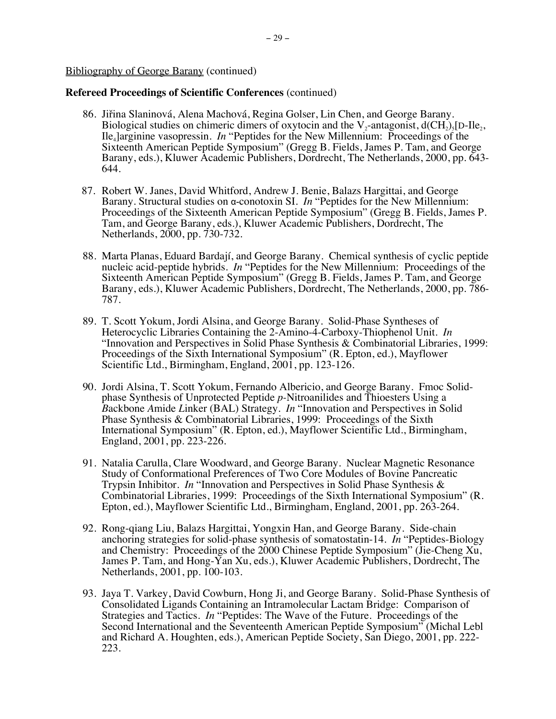- 86. Jiřina Slaninová, Alena Machová, Regina Golser, Lin Chen, and George Barany. Biological studies on chimeric dimers of oxytocin and the  $V_2$ -antagonist,  $d(CH_2)$ <sub>5</sub>[D-Ile<sub>2</sub>, Ile4]arginine vasopressin. *In* "Peptides for the New Millennium: Proceedings of the Sixteenth American Peptide Symposium" (Gregg B. Fields, James P. Tam, and George Barany, eds.), Kluwer Academic Publishers, Dordrecht, The Netherlands, 2000, pp. 643- 644.
- 87. Robert W. Janes, David Whitford, Andrew J. Benie, Balazs Hargittai, and George Barany. Structural studies on α-conotoxin SI. *In* "Peptides for the New Millennium: Proceedings of the Sixteenth American Peptide Symposium" (Gregg B. Fields, James P. Tam, and George Barany, eds.), Kluwer Academic Publishers, Dordrecht, The Netherlands, 2000, pp. 730-732.
- 88. Marta Planas, Eduard Bardají, and George Barany. Chemical synthesis of cyclic peptide nucleic acid-peptide hybrids. *In* "Peptides for the New Millennium: Proceedings of the Sixteenth American Peptide Symposium" (Gregg B. Fields, James P. Tam, and George Barany, eds.), Kluwer Academic Publishers, Dordrecht, The Netherlands, 2000, pp. 786- 787.
- 89. T. Scott Yokum, Jordi Alsina, and George Barany. Solid-Phase Syntheses of Heterocyclic Libraries Containing the 2-Amino-4-Carboxy-Thiophenol Unit. *In*  "Innovation and Perspectives in Solid Phase Synthesis & Combinatorial Libraries, 1999: Proceedings of the Sixth International Symposium" (R. Epton, ed.), Mayflower Scientific Ltd., Birmingham, England, 2001, pp. 123-126.
- 90. Jordi Alsina, T. Scott Yokum, Fernando Albericio, and George Barany. Fmoc Solidphase Synthesis of Unprotected Peptide *p-*Nitroanilides and Thioesters Using a *B*ackbone *A*mide *L*inker (BAL) Strategy. *In* "Innovation and Perspectives in Solid Phase Synthesis & Combinatorial Libraries, 1999: Proceedings of the Sixth International Symposium" (R. Epton, ed.), Mayflower Scientific Ltd., Birmingham, England, 2001, pp. 223-226.
- 91. Natalia Carulla, Clare Woodward, and George Barany. Nuclear Magnetic Resonance Study of Conformational Preferences of Two Core Modules of Bovine Pancreatic Trypsin Inhibitor. *In* "Innovation and Perspectives in Solid Phase Synthesis & Combinatorial Libraries, 1999: Proceedings of the Sixth International Symposium" (R. Epton, ed.), Mayflower Scientific Ltd., Birmingham, England, 2001, pp. 263-264.
- 92. Rong-qiang Liu, Balazs Hargittai, Yongxin Han, and George Barany. Side-chain anchoring strategies for solid-phase synthesis of somatostatin-14. *In* "Peptides-Biology and Chemistry: Proceedings of the 2000 Chinese Peptide Symposium" (Jie-Cheng Xu, James P. Tam, and Hong-Yan Xu, eds.), Kluwer Academic Publishers, Dordrecht, The Netherlands, 2001, pp. 100-103.
- 93. Jaya T. Varkey, David Cowburn, Hong Ji, and George Barany. Solid-Phase Synthesis of Consolidated Ligands Containing an Intramolecular Lactam Bridge: Comparison of Strategies and Tactics. *In* "Peptides: The Wave of the Future. Proceedings of the Second International and the Seventeenth American Peptide Symposium" (Michal Lebl and Richard A. Houghten, eds.), American Peptide Society, San Diego, 2001, pp. 222- 223.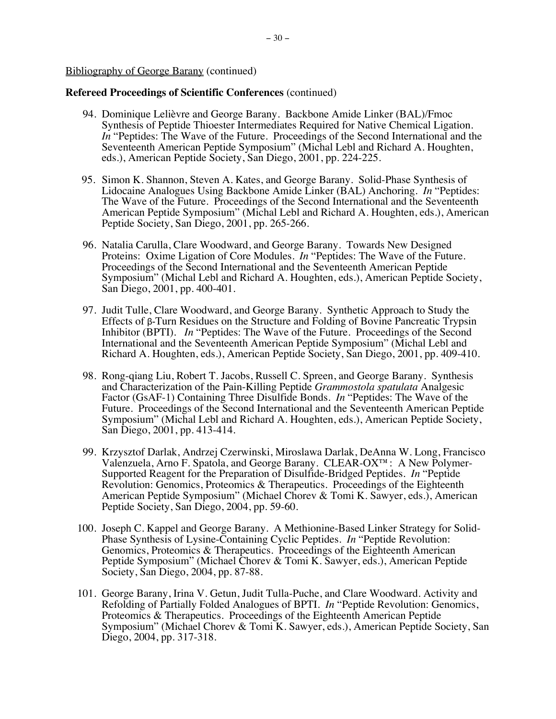- 94. Dominique Lelièvre and George Barany. Backbone Amide Linker (BAL)/Fmoc Synthesis of Peptide Thioester Intermediates Required for Native Chemical Ligation. *In* "Peptides: The Wave of the Future. Proceedings of the Second International and the Seventeenth American Peptide Symposium" (Michal Lebl and Richard A. Houghten, eds.), American Peptide Society, San Diego, 2001, pp. 224-225.
- 95. Simon K. Shannon, Steven A. Kates, and George Barany. Solid-Phase Synthesis of Lidocaine Analogues Using Backbone Amide Linker (BAL) Anchoring. *In* "Peptides: The Wave of the Future. Proceedings of the Second International and the Seventeenth American Peptide Symposium" (Michal Lebl and Richard A. Houghten, eds.), American Peptide Society, San Diego, 2001, pp. 265-266.
- 96. Natalia Carulla, Clare Woodward, and George Barany. Towards New Designed Proteins: Oxime Ligation of Core Modules. *In* "Peptides: The Wave of the Future. Proceedings of the Second International and the Seventeenth American Peptide Symposium" (Michal Lebl and Richard A. Houghten, eds.), American Peptide Society, San Diego, 2001, pp. 400-401.
- 97. Judit Tulle, Clare Woodward, and George Barany. Synthetic Approach to Study the Effects of β-Turn Residues on the Structure and Folding of Bovine Pancreatic Trypsin Inhibitor (BPTI). *In* "Peptides: The Wave of the Future. Proceedings of the Second International and the Seventeenth American Peptide Symposium" (Michal Lebl and Richard A. Houghten, eds.), American Peptide Society, San Diego, 2001, pp. 409-410.
- 98. Rong-qiang Liu, Robert T. Jacobs, Russell C. Spreen, and George Barany. Synthesis and Characterization of the Pain-Killing Peptide *Grammostola spatulata* Analgesic Factor (GsAF-1) Containing Three Disulfide Bonds. *In* "Peptides: The Wave of the Future. Proceedings of the Second International and the Seventeenth American Peptide Symposium" (Michal Lebl and Richard A. Houghten, eds.), American Peptide Society, San Diego, 2001, pp. 413-414.
- 99. Krzysztof Darlak, Andrzej Czerwinski, Miroslawa Darlak, DeAnna W. Long, Francisco Valenzuela, Arno F. Spatola, and George Barany. CLEAR-OX™: A New Polymer-Supported Reagent for the Preparation of Disulfide-Bridged Peptides. *In* "Peptide Revolution: Genomics, Proteomics & Therapeutics. Proceedings of the Eighteenth American Peptide Symposium" (Michael Chorev & Tomi K. Sawyer, eds.), American Peptide Society, San Diego, 2004, pp. 59-60.
- 100. Joseph C. Kappel and George Barany. A Methionine-Based Linker Strategy for Solid-Phase Synthesis of Lysine-Containing Cyclic Peptides. *In* "Peptide Revolution: Genomics, Proteomics & Therapeutics. Proceedings of the Eighteenth American Peptide Symposium" (Michael Chorev & Tomi K. Sawyer, eds.), American Peptide Society, San Diego, 2004, pp. 87-88.
- 101. George Barany, Irina V. Getun, Judit Tulla-Puche, and Clare Woodward. Activity and Refolding of Partially Folded Analogues of BPTI. *In* "Peptide Revolution: Genomics, Proteomics & Therapeutics. Proceedings of the Eighteenth American Peptide Symposium" (Michael Chorev & Tomi K. Sawyer, eds.), American Peptide Society, San Diego, 2004, pp. 317-318.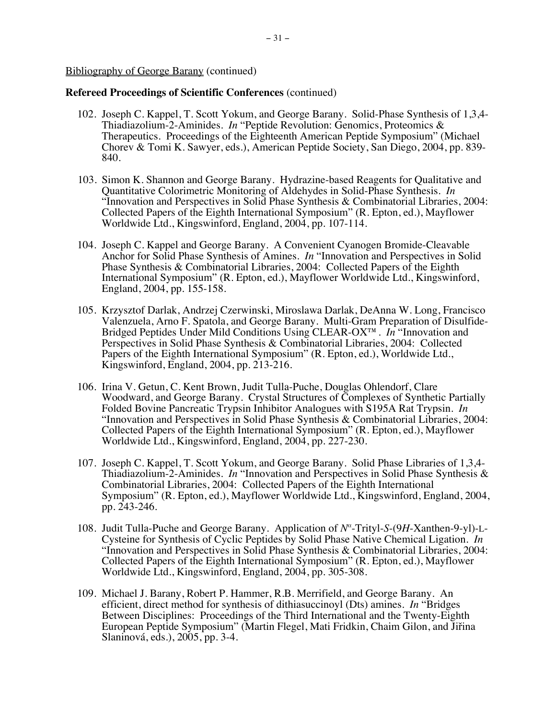- 102. Joseph C. Kappel, T. Scott Yokum, and George Barany. Solid-Phase Synthesis of 1,3,4- Thiadiazolium-2-Aminides. *In* "Peptide Revolution: Genomics, Proteomics & Therapeutics. Proceedings of the Eighteenth American Peptide Symposium" (Michael Chorev & Tomi K. Sawyer, eds.), American Peptide Society, San Diego, 2004, pp. 839- 840.
- 103. Simon K. Shannon and George Barany. Hydrazine-based Reagents for Qualitative and Quantitative Colorimetric Monitoring of Aldehydes in Solid-Phase Synthesis. *In*  "Innovation and Perspectives in Solid Phase Synthesis & Combinatorial Libraries, 2004: Collected Papers of the Eighth International Symposium" (R. Epton, ed.), Mayflower Worldwide Ltd., Kingswinford, England, 2004, pp. 107-114.
- 104. Joseph C. Kappel and George Barany. A Convenient Cyanogen Bromide-Cleavable Anchor for Solid Phase Synthesis of Amines. *In* "Innovation and Perspectives in Solid Phase Synthesis & Combinatorial Libraries, 2004: Collected Papers of the Eighth International Symposium" (R. Epton, ed.), Mayflower Worldwide Ltd., Kingswinford, England, 2004, pp. 155-158.
- 105. Krzysztof Darlak, Andrzej Czerwinski, Miroslawa Darlak, DeAnna W. Long, Francisco Valenzuela, Arno F. Spatola, and George Barany. Multi-Gram Preparation of Disulfide-Bridged Peptides Under Mild Conditions Using CLEAR-OX™. *In* "Innovation and Perspectives in Solid Phase Synthesis & Combinatorial Libraries, 2004: Collected Papers of the Eighth International Symposium" (R. Epton, ed.), Worldwide Ltd., Kingswinford, England, 2004, pp. 213-216.
- 106. Irina V. Getun, C. Kent Brown, Judit Tulla-Puche, Douglas Ohlendorf, Clare Woodward, and George Barany. Crystal Structures of Complexes of Synthetic Partially Folded Bovine Pancreatic Trypsin Inhibitor Analogues with S195A Rat Trypsin. *In*  "Innovation and Perspectives in Solid Phase Synthesis & Combinatorial Libraries, 2004: Collected Papers of the Eighth International Symposium" (R. Epton, ed.), Mayflower Worldwide Ltd., Kingswinford, England, 2004, pp. 227-230.
- 107. Joseph C. Kappel, T. Scott Yokum, and George Barany. Solid Phase Libraries of 1,3,4- Thiadiazolium-2-Aminides. *In* "Innovation and Perspectives in Solid Phase Synthesis & Combinatorial Libraries, 2004: Collected Papers of the Eighth International Symposium" (R. Epton, ed.), Mayflower Worldwide Ltd., Kingswinford, England, 2004, pp. 243-246.
- 108. Judit Tulla-Puche and George Barany. Application of *N<sup>α</sup>* -Trityl-*S*-(9*H*-Xanthen-9-yl)-L-Cysteine for Synthesis of Cyclic Peptides by Solid Phase Native Chemical Ligation. *In*  "Innovation and Perspectives in Solid Phase Synthesis & Combinatorial Libraries, 2004: Collected Papers of the Eighth International Symposium" (R. Epton, ed.), Mayflower Worldwide Ltd., Kingswinford, England, 2004, pp. 305-308.
- 109. Michael J. Barany, Robert P. Hammer, R.B. Merrifield, and George Barany. An efficient, direct method for synthesis of dithiasuccinoyl (Dts) amines. *In* "Bridges Between Disciplines: Proceedings of the Third International and the Twenty-Eighth European Peptide Symposium" (Martin Flegel, Mati Fridkin, Chaim Gilon, and Jiřina Slaninová, eds.), 2005, pp. 3-4.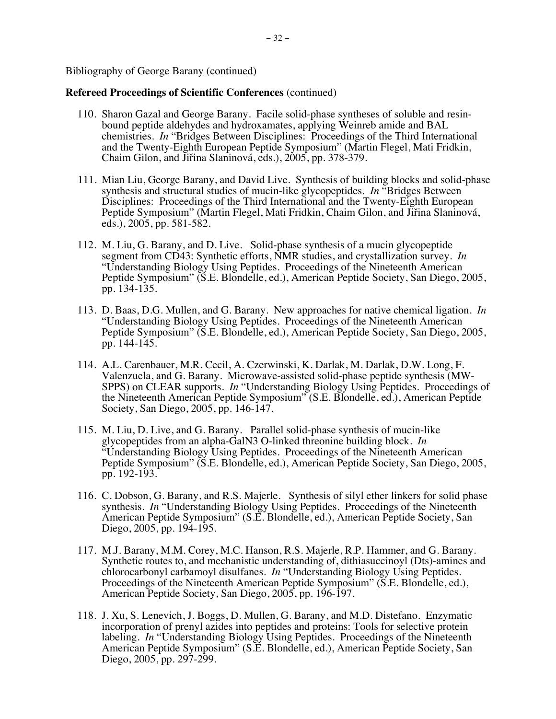- 110. Sharon Gazal and George Barany. Facile solid-phase syntheses of soluble and resinbound peptide aldehydes and hydroxamates, applying Weinreb amide and BAL chemistries. *In* "Bridges Between Disciplines: Proceedings of the Third International and the Twenty-Eighth European Peptide Symposium" (Martin Flegel, Mati Fridkin, Chaim Gilon, and Jiřina Slaninová, eds.), 2005, pp. 378-379.
- 111. Mian Liu, George Barany, and David Live. Synthesis of building blocks and solid-phase synthesis and structural studies of mucin-like glycopeptides. *In* "Bridges Between Disciplines: Proceedings of the Third International and the Twenty-Eighth European Peptide Symposium" (Martin Flegel, Mati Fridkin, Chaim Gilon, and Jiřina Slaninová, eds.), 2005, pp. 581-582.
- 112. M. Liu, G. Barany, and D. Live. Solid-phase synthesis of a mucin glycopeptide segment from CD43: Synthetic efforts, NMR studies, and crystallization survey. *In* "Understanding Biology Using Peptides. Proceedings of the Nineteenth American Peptide Symposium" (S.E. Blondelle, ed.), American Peptide Society, San Diego, 2005, pp. 134-135.
- 113. D. Baas, D.G. Mullen, and G. Barany. New approaches for native chemical ligation. *In* "Understanding Biology Using Peptides. Proceedings of the Nineteenth American Peptide Symposium" (S.E. Blondelle, ed.), American Peptide Society, San Diego, 2005, pp. 144-145.
- 114. A.L. Carenbauer, M.R. Cecil, A. Czerwinski, K. Darlak, M. Darlak, D.W. Long, F. Valenzuela, and G. Barany. Microwave-assisted solid-phase peptide synthesis (MW-SPPS) on CLEAR supports. *In* "Understanding Biology Using Peptides. Proceedings of the Nineteenth American Peptide Symposium" (S.E. Blondelle, ed.), American Peptide Society, San Diego, 2005, pp. 146-147.
- 115. M. Liu, D. Live, and G. Barany. Parallel solid-phase synthesis of mucin-like glycopeptides from an alpha-GalN3 O-linked threonine building block. *In* "Understanding Biology Using Peptides. Proceedings of the Nineteenth American Peptide Symposium" (S.E. Blondelle, ed.), American Peptide Society, San Diego, 2005, pp. 192-193.
- 116. C. Dobson, G. Barany, and R.S. Majerle. Synthesis of silyl ether linkers for solid phase synthesis. *In* "Understanding Biology Using Peptides. Proceedings of the Nineteenth American Peptide Symposium" (S.E. Blondelle, ed.), American Peptide Society, San Diego, 2005, pp. 194-195.
- 117. M.J. Barany, M.M. Corey, M.C. Hanson, R.S. Majerle, R.P. Hammer, and G. Barany. Synthetic routes to, and mechanistic understanding of, dithiasuccinoyl (Dts)-amines and chlorocarbonyl carbamoyl disulfanes. *In* "Understanding Biology Using Peptides. Proceedings of the Nineteenth American Peptide Symposium" (S.E. Blondelle, ed.), American Peptide Society, San Diego, 2005, pp. 196-197.
- 118. J. Xu, S. Lenevich, J. Boggs, D. Mullen, G. Barany, and M.D. Distefano. Enzymatic incorporation of prenyl azides into peptides and proteins: Tools for selective protein labeling. *In* "Understanding Biology Using Peptides. Proceedings of the Nineteenth American Peptide Symposium" (S.E. Blondelle, ed.), American Peptide Society, San Diego, 2005, pp. 297-299.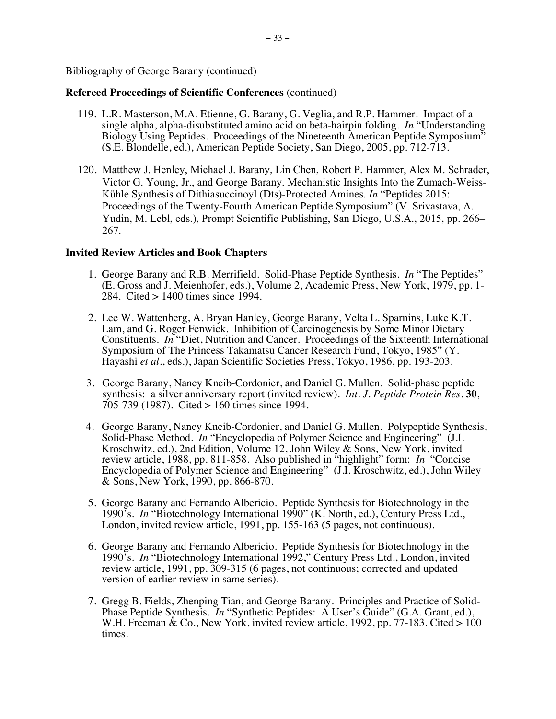# **Refereed Proceedings of Scientific Conferences** (continued)

- 119. L.R. Masterson, M.A. Etienne, G. Barany, G. Veglia, and R.P. Hammer. Impact of a single alpha, alpha-disubstituted amino acid on beta-hairpin folding. *In* "Understanding Biology Using Peptides. Proceedings of the Nineteenth American Peptide Symposium" (S.E. Blondelle, ed.), American Peptide Society, San Diego, 2005, pp. 712-713.
- 120. Matthew J. Henley, Michael J. Barany, Lin Chen, Robert P. Hammer, Alex M. Schrader, Victor G. Young, Jr., and George Barany. Mechanistic Insights Into the Zumach-Weiss-Kühle Synthesis of Dithiasuccinoyl (Dts)-Protected Amines. *In* "Peptides 2015: Proceedings of the Twenty-Fourth American Peptide Symposium" (V. Srivastava, A. Yudin, M. Lebl, eds.), Prompt Scientific Publishing, San Diego, U.S.A., 2015, pp. 266– 267.

## **Invited Review Articles and Book Chapters**

- 1. George Barany and R.B. Merrifield. Solid-Phase Peptide Synthesis. *In* "The Peptides" (E. Gross and J. Meienhofer, eds.), Volume 2, Academic Press, New York, 1979, pp. 1- 284. Cited > 1400 times since 1994.
- 2. Lee W. Wattenberg, A. Bryan Hanley, George Barany, Velta L. Sparnins, Luke K.T. Lam, and G. Roger Fenwick. Inhibition of Carcinogenesis by Some Minor Dietary Constituents. *In* "Diet, Nutrition and Cancer. Proceedings of the Sixteenth International Symposium of The Princess Takamatsu Cancer Research Fund, Tokyo, 1985" (Y. Hayashi *et al*., eds.), Japan Scientific Societies Press, Tokyo, 1986, pp. 193-203.
- 3. George Barany, Nancy Kneib-Cordonier, and Daniel G. Mullen. Solid-phase peptide synthesis: a silver anniversary report (invited review). *Int. J. Peptide Protein Res.* **30**, 705-739 (1987). Cited > 160 times since 1994.
- 4. George Barany, Nancy Kneib-Cordonier, and Daniel G. Mullen. Polypeptide Synthesis, Solid-Phase Method. *In* "Encyclopedia of Polymer Science and Engineering" (J.I. Kroschwitz, ed.), 2nd Edition, Volume 12, John Wiley & Sons, New York, invited review article, 1988, pp. 811-858. Also published in "highlight" form: *In* "Concise Encyclopedia of Polymer Science and Engineering" (J.I. Kroschwitz, ed.), John Wiley & Sons, New York, 1990, pp. 866-870.
- 5. George Barany and Fernando Albericio. Peptide Synthesis for Biotechnology in the 1990's. *In* "Biotechnology International 1990" (K. North, ed.), Century Press Ltd., London, invited review article, 1991, pp. 155-163 (5 pages, not continuous).
- 6. George Barany and Fernando Albericio. Peptide Synthesis for Biotechnology in the 1990's. *In* "Biotechnology International 1992," Century Press Ltd., London, invited review article, 1991, pp. 309-315 (6 pages, not continuous; corrected and updated version of earlier review in same series).
- 7. Gregg B. Fields, Zhenping Tian, and George Barany. Principles and Practice of Solid-Phase Peptide Synthesis. *In* "Synthetic Peptides: A User's Guide" (G.A. Grant, ed.), W.H. Freeman & Co., New York, invited review article, 1992, pp. 77-183. Cited > 100 times.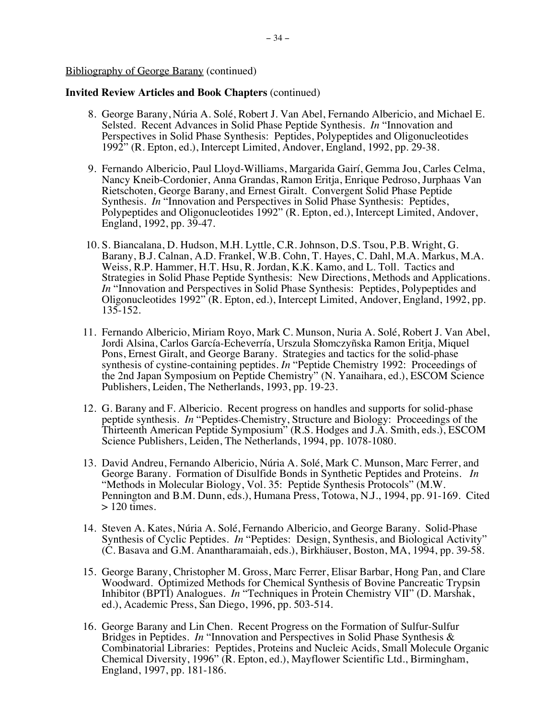- 8. George Barany, Núria A. Solé, Robert J. Van Abel, Fernando Albericio, and Michael E. Selsted. Recent Advances in Solid Phase Peptide Synthesis. *In* "Innovation and Perspectives in Solid Phase Synthesis: Peptides, Polypeptides and Oligonucleotides 1992" (R. Epton, ed.), Intercept Limited, Andover, England, 1992, pp. 29-38.
- 9. Fernando Albericio, Paul Lloyd-Williams, Margarida Gairí, Gemma Jou, Carles Celma, Nancy Kneib-Cordonier, Anna Grandas, Ramon Eritja, Enrique Pedroso, Jurphaas Van Rietschoten, George Barany, and Ernest Giralt. Convergent Solid Phase Peptide Synthesis. *In* "Innovation and Perspectives in Solid Phase Synthesis: Peptides, Polypeptides and Oligonucleotides 1992" (R. Epton, ed.), Intercept Limited, Andover, England, 1992, pp. 39-47.
- 10. S. Biancalana, D. Hudson, M.H. Lyttle, C.R. Johnson, D.S. Tsou, P.B. Wright, G. Barany, B.J. Calnan, A.D. Frankel, W.B. Cohn, T. Hayes, C. Dahl, M.A. Markus, M.A. Weiss, R.P. Hammer, H.T. Hsu, R. Jordan, K.K. Kamo, and L. Toll. Tactics and Strategies in Solid Phase Peptide Synthesis: New Directions, Methods and Applications. *In* "Innovation and Perspectives in Solid Phase Synthesis: Peptides, Polypeptides and Oligonucleotides 1992" (R. Epton, ed.), Intercept Limited, Andover, England, 1992, pp. 135-152.
- 11. Fernando Albericio, Miriam Royo, Mark C. Munson, Nuria A. Solé, Robert J. Van Abel, Jordi Alsina, Carlos García-Echeverría, Urszula Słomczyñska Ramon Eritja, Miquel Pons, Ernest Giralt, and George Barany. Strategies and tactics for the solid-phase synthesis of cystine-containing peptides. *In* "Peptide Chemistry 1992: Proceedings of the 2nd Japan Symposium on Peptide Chemistry" (N. Yanaihara, ed.), ESCOM Science Publishers, Leiden, The Netherlands, 1993, pp. 19-23.
- 12. G. Barany and F. Albericio. Recent progress on handles and supports for solid-phase peptide synthesis. *In* "Peptides-Chemistry, Structure and Biology: Proceedings of the Thirteenth American Peptide Symposium" (R.S. Hodges and J.A. Smith, eds.), ESCOM Science Publishers, Leiden, The Netherlands, 1994, pp. 1078-1080.
- 13. David Andreu, Fernando Albericio, Núria A. Solé, Mark C. Munson, Marc Ferrer, and George Barany. Formation of Disulfide Bonds in Synthetic Peptides and Proteins. *In* "Methods in Molecular Biology, Vol. 35: Peptide Synthesis Protocols" (M.W. Pennington and B.M. Dunn, eds.), Humana Press, Totowa, N.J., 1994, pp. 91-169. Cited  $> 120$  times.
- 14. Steven A. Kates, Núria A. Solé, Fernando Albericio, and George Barany. Solid-Phase Synthesis of Cyclic Peptides. *In* "Peptides: Design, Synthesis, and Biological Activity" (C. Basava and G.M. Anantharamaiah, eds.), Birkhäuser, Boston, MA, 1994, pp. 39-58.
- 15. George Barany, Christopher M. Gross, Marc Ferrer, Elisar Barbar, Hong Pan, and Clare Woodward. Optimized Methods for Chemical Synthesis of Bovine Pancreatic Trypsin Inhibitor (BPTI) Analogues. *In* "Techniques in Protein Chemistry VII" (D. Marshak, ed.), Academic Press, San Diego, 1996, pp. 503-514.
- 16. George Barany and Lin Chen. Recent Progress on the Formation of Sulfur-Sulfur Bridges in Peptides. *In* "Innovation and Perspectives in Solid Phase Synthesis & Combinatorial Libraries: Peptides, Proteins and Nucleic Acids, Small Molecule Organic Chemical Diversity, 1996" (R. Epton, ed.), Mayflower Scientific Ltd., Birmingham, England, 1997, pp. 181-186.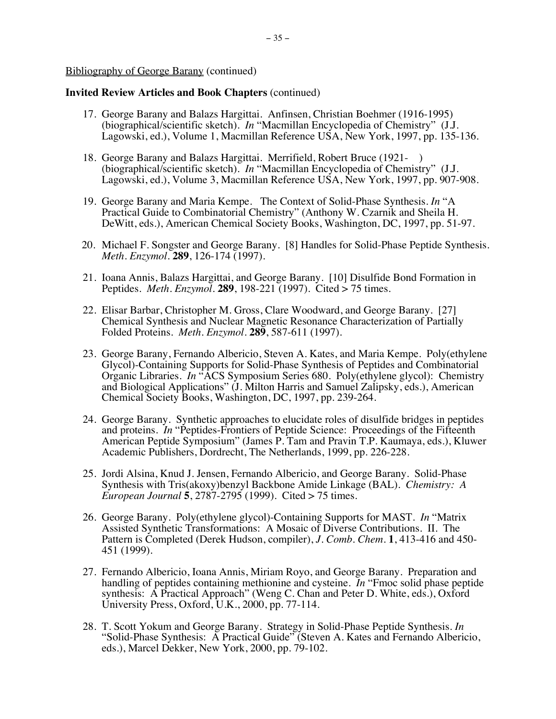- 17. George Barany and Balazs Hargittai. Anfinsen, Christian Boehmer (1916-1995) (biographical/scientific sketch). *In* "Macmillan Encyclopedia of Chemistry" (J.J. Lagowski, ed.), Volume 1, Macmillan Reference USA, New York, 1997, pp. 135-136.
- 18. George Barany and Balazs Hargittai. Merrifield, Robert Bruce (1921- ) (biographical/scientific sketch). *In* "Macmillan Encyclopedia of Chemistry" (J.J. Lagowski, ed.), Volume 3, Macmillan Reference USA, New York, 1997, pp. 907-908.
- 19. George Barany and Maria Kempe. The Context of Solid-Phase Synthesis. *In* "A Practical Guide to Combinatorial Chemistry" (Anthony W. Czarnik and Sheila H. DeWitt, eds.), American Chemical Society Books, Washington, DC, 1997, pp. 51-97.
- 20. Michael F. Songster and George Barany. [8] Handles for Solid-Phase Peptide Synthesis. *Meth. Enzymol.* **289**, 126-174 (1997).
- 21. Ioana Annis, Balazs Hargittai, and George Barany. [10] Disulfide Bond Formation in Peptides. *Meth. Enzymol.* **289**, 198-221 (1997). Cited > 75 times.
- 22. Elisar Barbar, Christopher M. Gross, Clare Woodward, and George Barany. [27] Chemical Synthesis and Nuclear Magnetic Resonance Characterization of Partially Folded Proteins. *Meth. Enzymol.* **289**, 587-611 (1997).
- 23. George Barany, Fernando Albericio, Steven A. Kates, and Maria Kempe. Poly(ethylene Glycol)-Containing Supports for Solid-Phase Synthesis of Peptides and Combinatorial Organic Libraries. *In* "ACS Symposium Series 680. Poly(ethylene glycol): Chemistry and Biological Applications" (J. Milton Harris and Samuel Zalipsky, eds.), American Chemical Society Books, Washington, DC, 1997, pp. 239-264.
- 24. George Barany. Synthetic approaches to elucidate roles of disulfide bridges in peptides and proteins. *In* "Peptides-Frontiers of Peptide Science: Proceedings of the Fifteenth American Peptide Symposium" (James P. Tam and Pravin T.P. Kaumaya, eds.), Kluwer Academic Publishers, Dordrecht, The Netherlands, 1999, pp. 226-228.
- 25. Jordi Alsina, Knud J. Jensen, Fernando Albericio, and George Barany. Solid-Phase Synthesis with Tris(akoxy)benzyl Backbone Amide Linkage (BAL). *Chemistry: A European Journal* **5**, 2787-2795 (1999). Cited > 75 times.
- 26. George Barany. Poly(ethylene glycol)-Containing Supports for MAST. *In* "Matrix Assisted Synthetic Transformations: A Mosaic of Diverse Contributions. II. The Pattern is Completed (Derek Hudson, compiler), *J. Comb. Chem*. **1**, 413-416 and 450- 451 (1999).
- 27. Fernando Albericio, Ioana Annis, Miriam Royo, and George Barany. Preparation and handling of peptides containing methionine and cysteine. *In* "Fmoc solid phase peptide synthesis: A Practical Approach" (Weng C. Chan and Peter D. White, eds.), Oxford University Press, Oxford, U.K., 2000, pp. 77-114.
- 28. T. Scott Yokum and George Barany. Strategy in Solid-Phase Peptide Synthesis. *In* "Solid-Phase Synthesis: A Practical Guide" (Steven A. Kates and Fernando Albericio, eds.), Marcel Dekker, New York, 2000, pp. 79-102.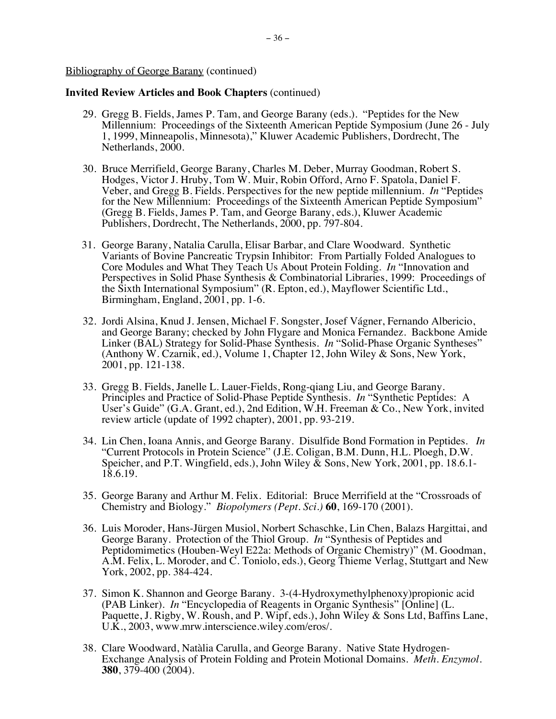- 29. Gregg B. Fields, James P. Tam, and George Barany (eds.). "Peptides for the New Millennium: Proceedings of the Sixteenth American Peptide Symposium (June 26 - July 1, 1999, Minneapolis, Minnesota)," Kluwer Academic Publishers, Dordrecht, The Netherlands, 2000.
- 30. Bruce Merrifield, George Barany, Charles M. Deber, Murray Goodman, Robert S. Hodges, Victor J. Hruby, Tom W. Muir, Robin Offord, Arno F. Spatola, Daniel F. Veber, and Gregg B. Fields. Perspectives for the new peptide millennium. *In* "Peptides for the New Millennium: Proceedings of the Sixteenth American Peptide Symposium" (Gregg B. Fields, James P. Tam, and George Barany, eds.), Kluwer Academic Publishers, Dordrecht, The Netherlands, 2000, pp. 797-804.
- 31. George Barany, Natalia Carulla, Elisar Barbar, and Clare Woodward. Synthetic Variants of Bovine Pancreatic Trypsin Inhibitor: From Partially Folded Analogues to Core Modules and What They Teach Us About Protein Folding. *In* "Innovation and Perspectives in Solid Phase Synthesis & Combinatorial Libraries, 1999: Proceedings of the Sixth International Symposium" (R. Epton, ed.), Mayflower Scientific Ltd., Birmingham, England, 2001, pp. 1-6.
- 32. Jordi Alsina, Knud J. Jensen, Michael F. Songster, Josef Vágner, Fernando Albericio, and George Barany; checked by John Flygare and Monica Fernandez. Backbone Amide Linker (BAL) Strategy for Solid-Phase Synthesis. *In* "Solid-Phase Organic Syntheses" (Anthony W. Czarnik, ed.), Volume 1, Chapter 12, John Wiley & Sons, New York, 2001, pp. 121-138.
- 33. Gregg B. Fields, Janelle L. Lauer-Fields, Rong-qiang Liu, and George Barany. Principles and Practice of Solid-Phase Peptide Synthesis. *In* "Synthetic Peptides: A User's Guide" (G.A. Grant, ed.), 2nd Edition, W.H. Freeman & Co., New York, invited review article (update of 1992 chapter), 2001, pp. 93-219.
- 34. Lin Chen, Ioana Annis, and George Barany. Disulfide Bond Formation in Peptides. *In* "Current Protocols in Protein Science" (J.E. Coligan, B.M. Dunn, H.L. Ploegh, D.W. Speicher, and P.T. Wingfield, eds.), John Wiley & Sons, New York, 2001, pp. 18.6.1- 18.6.19.
- 35. George Barany and Arthur M. Felix. Editorial: Bruce Merrifield at the "Crossroads of Chemistry and Biology." *Biopolymers (Pept. Sci.)* **60**, 169-170 (2001).
- 36. Luis Moroder, Hans-Jürgen Musiol, Norbert Schaschke, Lin Chen, Balazs Hargittai, and George Barany. Protection of the Thiol Group. *In* "Synthesis of Peptides and Peptidomimetics (Houben-Weyl E22a: Methods of Organic Chemistry)" (M. Goodman, A.M. Felix, L. Moroder, and C. Toniolo, eds.), Georg Thieme Verlag, Stuttgart and New York, 2002, pp. 384-424.
- 37. Simon K. Shannon and George Barany. 3-(4-Hydroxymethylphenoxy)propionic acid (PAB Linker). *In* "Encyclopedia of Reagents in Organic Synthesis" [Online] (L. Paquette, J. Rigby, W. Roush, and P. Wipf, eds.), John Wiley & Sons Ltd, Baffins Lane, U.K., 2003, www.mrw.interscience.wiley.com/eros/.
- 38. Clare Woodward, Natàlia Carulla, and George Barany. Native State Hydrogen- Exchange Analysis of Protein Folding and Protein Motional Domains. *Meth. Enzymol.*  **380**, 379-400 (2004).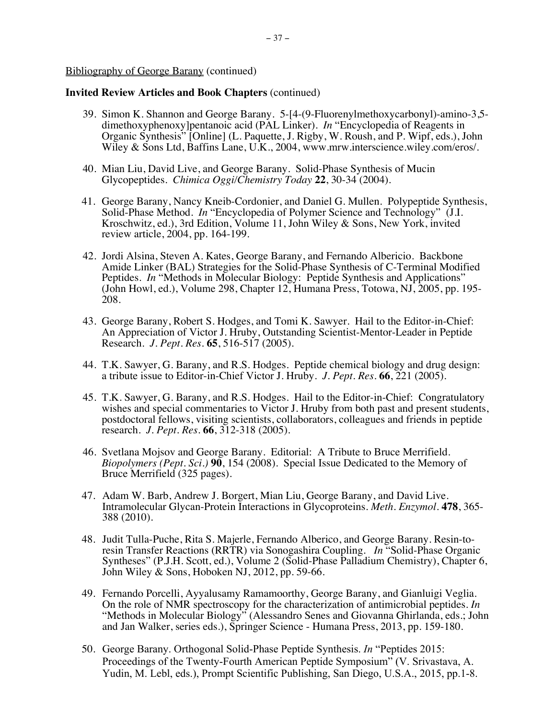- 39. Simon K. Shannon and George Barany. 5-[4-(9-Fluorenylmethoxycarbonyl)-amino-3,5dimethoxyphenoxy]pentanoic acid (PAL Linker). *In* "Encyclopedia of Reagents in Organic Synthesis" [Online] (L. Paquette, J. Rigby, W. Roush, and P. Wipf, eds.), John Wiley & Sons Ltd, Baffins Lane, U.K., 2004, www.mrw.interscience.wiley.com/eros/.
- 40. Mian Liu, David Live, and George Barany. Solid-Phase Synthesis of Mucin Glycopeptides. *Chimica Oggi/Chemistry Today* **22**, 30-34 (2004).
- 41. George Barany, Nancy Kneib-Cordonier, and Daniel G. Mullen. Polypeptide Synthesis, Solid-Phase Method. *In* "Encyclopedia of Polymer Science and Technology" (J.I. Kroschwitz, ed.), 3rd Edition, Volume 11, John Wiley & Sons, New York, invited review article, 2004, pp. 164-199.
- 42. Jordi Alsina, Steven A. Kates, George Barany, and Fernando Albericio. Backbone Amide Linker (BAL) Strategies for the Solid-Phase Synthesis of C-Terminal Modified Peptides. *In* "Methods in Molecular Biology: Peptide Synthesis and Applications" (John Howl, ed.), Volume 298, Chapter 12, Humana Press, Totowa, NJ, 2005, pp. 195- 208.
- 43. George Barany, Robert S. Hodges, and Tomi K. Sawyer. Hail to the Editor-in-Chief: An Appreciation of Victor J. Hruby, Outstanding Scientist-Mentor-Leader in Peptide Research. *J. Pept. Res.* **65**, 516-517 (2005).
- 44. T.K. Sawyer, G. Barany, and R.S. Hodges. Peptide chemical biology and drug design: a tribute issue to Editor-in-Chief Victor J. Hruby. *J. Pept. Res.* **66**, 221 (2005).
- 45. T.K. Sawyer, G. Barany, and R.S. Hodges. Hail to the Editor-in-Chief: Congratulatory wishes and special commentaries to Victor J. Hruby from both past and present students, postdoctoral fellows, visiting scientists, collaborators, colleagues and friends in peptide research. *J. Pept. Res.* **66**, 312-318 (2005).
- 46. Svetlana Mojsov and George Barany. Editorial: A Tribute to Bruce Merrifield. *Biopolymers (Pept. Sci.)* **90**, 154 (2008). Special Issue Dedicated to the Memory of Bruce Merrifield (325 pages).
- 47. Adam W. Barb, Andrew J. Borgert, Mian Liu, George Barany, and David Live. Intramolecular Glycan-Protein Interactions in Glycoproteins. *Meth. Enzymol.* **478**, 365- 388 (2010).
- 48. Judit Tulla-Puche, Rita S. Majerle, Fernando Alberico, and George Barany. Resin-toresin Transfer Reactions (RRTR) via Sonogashira Coupling. *In* "Solid-Phase Organic Syntheses" (P.J.H. Scott, ed.), Volume 2 (Solid-Phase Palladium Chemistry), Chapter 6, John Wiley & Sons, Hoboken NJ, 2012, pp. 59-66.
- 49. Fernando Porcelli, Ayyalusamy Ramamoorthy, George Barany, and Gianluigi Veglia. On the role of NMR spectroscopy for the characterization of antimicrobial peptides. *In* "Methods in Molecular Biology" (Alessandro Senes and Giovanna Ghirlanda, eds.; John and Jan Walker, series eds.), Springer Science - Humana Press, 2013, pp. 159-180.
- 50. George Barany. Orthogonal Solid-Phase Peptide Synthesis. *In* "Peptides 2015: Proceedings of the Twenty-Fourth American Peptide Symposium" (V. Srivastava, A. Yudin, M. Lebl, eds.), Prompt Scientific Publishing, San Diego, U.S.A., 2015, pp.1-8.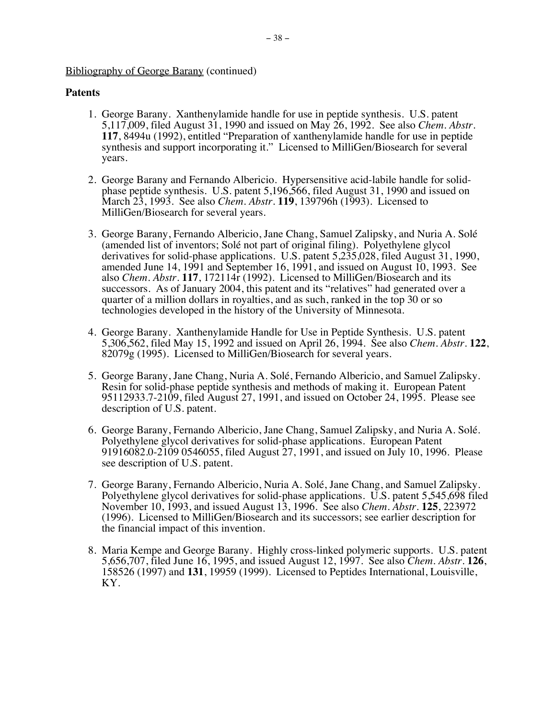# **Patents**

- 1. George Barany. Xanthenylamide handle for use in peptide synthesis. U.S. patent 5,117,009, filed August 31, 1990 and issued on May 26, 1992. See also *Chem. Abstr*. **117**, 8494u (1992), entitled "Preparation of xanthenylamide handle for use in peptide synthesis and support incorporating it." Licensed to MilliGen/Biosearch for several years.
- 2. George Barany and Fernando Albericio. Hypersensitive acid-labile handle for solidphase peptide synthesis. U.S. patent 5,196,566, filed August 31, 1990 and issued on March 23, 1993. See also *Chem. Abstr*. **119**, 139796h (1993). Licensed to MilliGen/Biosearch for several years.
- 3. George Barany, Fernando Albericio, Jane Chang, Samuel Zalipsky, and Nuria A. Solé (amended list of inventors; Solé not part of original filing). Polyethylene glycol derivatives for solid-phase applications. U.S. patent 5,235,028, filed August 31, 1990, amended June 14, 1991 and September 16, 1991, and issued on August 10, 1993. See also *Chem. Abstr*. **117**, 172114r (1992). Licensed to MilliGen/Biosearch and its successors. As of January 2004, this patent and its "relatives" had generated over a quarter of a million dollars in royalties, and as such, ranked in the top 30 or so technologies developed in the history of the University of Minnesota.
- 4. George Barany. Xanthenylamide Handle for Use in Peptide Synthesis. U.S. patent 5,306,562, filed May 15, 1992 and issued on April 26, 1994. See also *Chem. Abstr*. **122**, 82079g (1995). Licensed to MilliGen/Biosearch for several years.
- 5. George Barany, Jane Chang, Nuria A. Solé, Fernando Albericio, and Samuel Zalipsky. Resin for solid-phase peptide synthesis and methods of making it. European Patent 95112933.7-2109, filed August 27, 1991, and issued on October 24, 1995. Please see description of U.S. patent.
- 6. George Barany, Fernando Albericio, Jane Chang, Samuel Zalipsky, and Nuria A. Solé. Polyethylene glycol derivatives for solid-phase applications. European Patent 91916082.0-2109 0546055, filed August 27, 1991, and issued on July 10, 1996. Please see description of U.S. patent.
- 7. George Barany, Fernando Albericio, Nuria A. Solé, Jane Chang, and Samuel Zalipsky. Polyethylene glycol derivatives for solid-phase applications. U.S. patent 5,545,698 filed November 10, 1993, and issued August 13, 1996. See also *Chem. Abstr*. **125**, 223972 (1996). Licensed to MilliGen/Biosearch and its successors; see earlier description for the financial impact of this invention.
- 8. Maria Kempe and George Barany. Highly cross-linked polymeric supports. U.S. patent 5,656,707, filed June 16, 1995, and issued August 12, 1997. See also *Chem. Abstr*. **126**, 158526 (1997) and **131**, 19959 (1999). Licensed to Peptides International, Louisville, KY.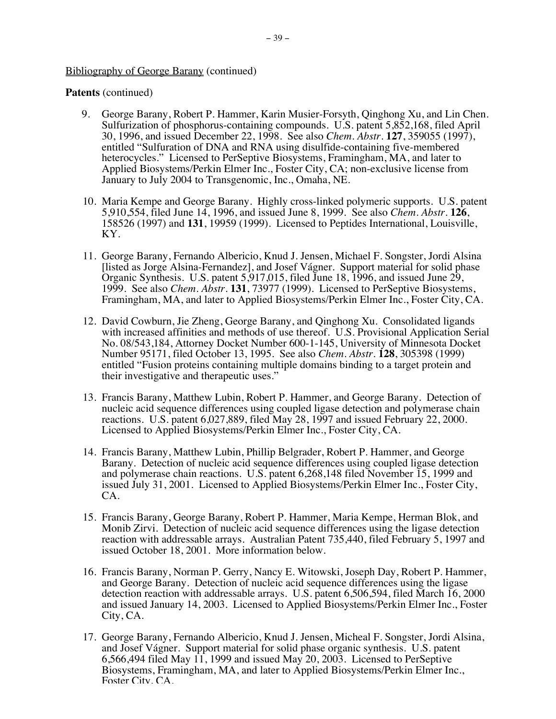# **Patents** (continued)

- 9. George Barany, Robert P. Hammer, Karin Musier-Forsyth, Qinghong Xu, and Lin Chen. Sulfurization of phosphorus-containing compounds. U.S. patent 5,852,168, filed April 30, 1996, and issued December 22, 1998. See also *Chem. Abstr*. **127**, 359055 (1997), entitled "Sulfuration of DNA and RNA using disulfide-containing five-membered heterocycles." Licensed to PerSeptive Biosystems, Framingham, MA, and later to Applied Biosystems/Perkin Elmer Inc., Foster City, CA; non-exclusive license from January to July 2004 to Transgenomic, Inc., Omaha, NE.
- 10. Maria Kempe and George Barany. Highly cross-linked polymeric supports. U.S. patent 5,910,554, filed June 14, 1996, and issued June 8, 1999. See also *Chem. Abstr*. **126**, 158526 (1997) and **131**, 19959 (1999). Licensed to Peptides International, Louisville, KY.
- 11. George Barany, Fernando Albericio, Knud J. Jensen, Michael F. Songster, Jordi Alsina [listed as Jorge Alsina-Fernandez], and Josef Vágner. Support material for solid phase Organic Synthesis. U.S. patent 5,917,015, filed June 18, 1996, and issued June 29, 1999. See also *Chem. Abstr*. **131**, 73977 (1999). Licensed to PerSeptive Biosystems, Framingham, MA, and later to Applied Biosystems/Perkin Elmer Inc., Foster City, CA.
- 12. David Cowburn, Jie Zheng, George Barany, and Qinghong Xu. Consolidated ligands with increased affinities and methods of use thereof. U.S. Provisional Application Serial No. 08/543,184, Attorney Docket Number 600-1-145, University of Minnesota Docket Number 95171, filed October 13, 1995. See also *Chem. Abstr*. **128**, 305398 (1999) entitled "Fusion proteins containing multiple domains binding to a target protein and their investigative and therapeutic uses."
- 13. Francis Barany, Matthew Lubin, Robert P. Hammer, and George Barany. Detection of nucleic acid sequence differences using coupled ligase detection and polymerase chain reactions. U.S. patent 6,027,889, filed May 28, 1997 and issued February 22, 2000. Licensed to Applied Biosystems/Perkin Elmer Inc., Foster City, CA.
- 14. Francis Barany, Matthew Lubin, Phillip Belgrader, Robert P. Hammer, and George Barany. Detection of nucleic acid sequence differences using coupled ligase detection and polymerase chain reactions. U.S. patent 6,268,148 filed November 15, 1999 and issued July 31, 2001. Licensed to Applied Biosystems/Perkin Elmer Inc., Foster City, CA.
- 15. Francis Barany, George Barany, Robert P. Hammer, Maria Kempe, Herman Blok, and Monib Zirvi. Detection of nucleic acid sequence differences using the ligase detection reaction with addressable arrays. Australian Patent 735,440, filed February 5, 1997 and issued October 18, 2001. More information below.
- 16. Francis Barany, Norman P. Gerry, Nancy E. Witowski, Joseph Day, Robert P. Hammer, and George Barany. Detection of nucleic acid sequence differences using the ligase detection reaction with addressable arrays. U.S. patent 6,506,594, filed March 16, 2000 and issued January 14, 2003. Licensed to Applied Biosystems/Perkin Elmer Inc., Foster City, CA.
- 17. George Barany, Fernando Albericio, Knud J. Jensen, Micheal F. Songster, Jordi Alsina, and Josef Vágner. Support material for solid phase organic synthesis. U.S. patent 6,566,494 filed May 11, 1999 and issued May 20, 2003. Licensed to PerSeptive Biosystems, Framingham, MA, and later to Applied Biosystems/Perkin Elmer Inc., Foster City, CA.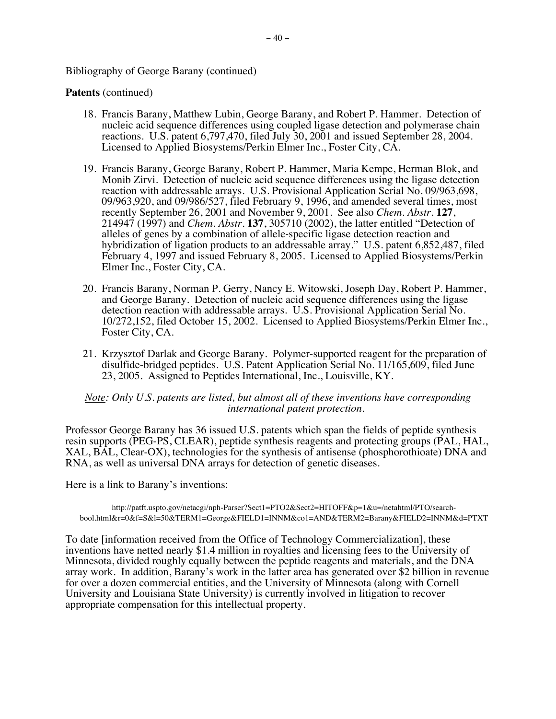# **Patents** (continued)

- 18. Francis Barany, Matthew Lubin, George Barany, and Robert P. Hammer. Detection of nucleic acid sequence differences using coupled ligase detection and polymerase chain reactions. U.S. patent 6,797,470, filed July 30, 2001 and issued September 28, 2004. Licensed to Applied Biosystems/Perkin Elmer Inc., Foster City, CA.
- 19. Francis Barany, George Barany, Robert P. Hammer, Maria Kempe, Herman Blok, and Monib Zirvi. Detection of nucleic acid sequence differences using the ligase detection reaction with addressable arrays. U.S. Provisional Application Serial No. 09/963,698, 09/963,920, and 09/986/527, filed February 9, 1996, and amended several times, most recently September 26, 2001 and November 9, 2001. See also *Chem. Abstr*. **127**, 214947 (1997) and *Chem. Abstr*. **137**, 305710 (2002), the latter entitled "Detection of alleles of genes by a combination of allele‑specific ligase detection reaction and hybridization of ligation products to an addressable array." U.S. patent 6,852,487, filed February 4, 1997 and issued February 8, 2005. Licensed to Applied Biosystems/Perkin Elmer Inc., Foster City, CA.
- 20. Francis Barany, Norman P. Gerry, Nancy E. Witowski, Joseph Day, Robert P. Hammer, and George Barany. Detection of nucleic acid sequence differences using the ligase detection reaction with addressable arrays. U.S. Provisional Application Serial No. 10/272,152, filed October 15, 2002. Licensed to Applied Biosystems/Perkin Elmer Inc., Foster City, CA.
- 21. Krzysztof Darlak and George Barany. Polymer-supported reagent for the preparation of disulfide-bridged peptides. U.S. Patent Application Serial No. 11/165,609, filed June 23, 2005. Assigned to Peptides International, Inc., Louisville, KY.

# *Note: Only U.S. patents are listed, but almost all of these inventions have corresponding international patent protection.*

Professor George Barany has 36 issued U.S. patents which span the fields of peptide synthesis resin supports (PEG-PS, CLEAR), peptide synthesis reagents and protecting groups (PAL, HAL, XAL, BAL, Clear-OX), technologies for the synthesis of antisense (phosphorothioate) DNA and RNA, as well as universal DNA arrays for detection of genetic diseases.

Here is a link to Barany's inventions:

```
http://patft.uspto.gov/netacgi/nph-Parser?Sect1=PTO2&Sect2=HITOFF&p=1&u=/netahtml/PTO/search-
bool.html&r=0&f=S&l=50&TERM1=George&FIELD1=INNM&co1=AND&TERM2=Barany&FIELD2=INNM&d=PTXT
```
To date [information received from the Office of Technology Commercialization], these inventions have netted nearly \$1.4 million in royalties and licensing fees to the University of Minnesota, divided roughly equally between the peptide reagents and materials, and the DNA array work. In addition, Barany's work in the latter area has generated over \$2 billion in revenue for over a dozen commercial entities, and the University of Minnesota (along with Cornell University and Louisiana State University) is currently involved in litigation to recover appropriate compensation for this intellectual property.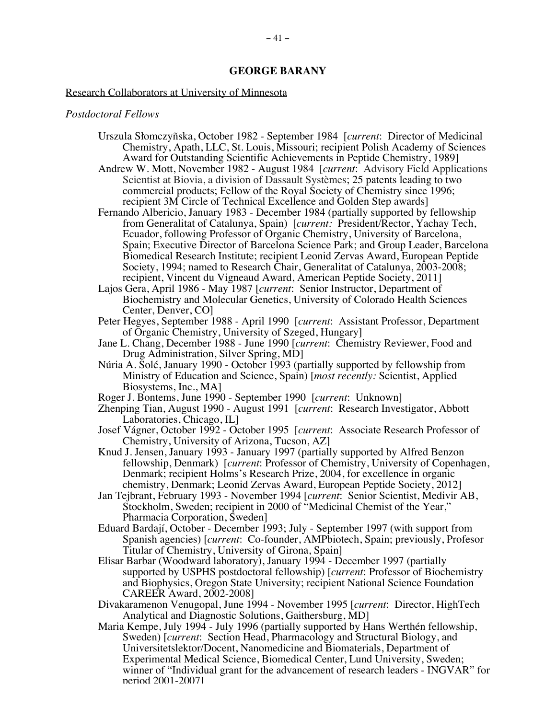#### Research Collaborators at University of Minnesota

#### *Postdoctoral Fellows*

- Urszula Słomczyñska, October 1982 September 1984 [*current*: Director of Medicinal Chemistry, Apath, LLC, St. Louis, Missouri; recipient Polish Academy of Sciences Award for Outstanding Scientific Achievements in Peptide Chemistry, 1989]
- Andrew W. Mott, November 1982 August 1984 [*current*: Advisory Field Applications Scientist at Biovia, a division of Dassault Systèmes; 25 patents leading to two commercial products; Fellow of the Royal Society of Chemistry since 1996; recipient 3M Circle of Technical Excellence and Golden Step awards]
- Fernando Albericio, January 1983 December 1984 (partially supported by fellowship from Generalitat of Catalunya, Spain) [*current:* President/Rector, Yachay Tech, Ecuador, following Professor of Organic Chemistry, University of Barcelona, Spain; Executive Director of Barcelona Science Park; and Group Leader, Barcelona Biomedical Research Institute; recipient Leonid Zervas Award, European Peptide Society, 1994; named to Research Chair, Generalitat of Catalunya, 2003-2008; recipient, Vincent du Vigneaud Award, American Peptide Society, 2011]
- Lajos Gera, April 1986 May 1987 [*current*: Senior Instructor, Department of Biochemistry and Molecular Genetics, University of Colorado Health Sciences Center, Denver, CO]
- Peter Hegyes, September 1988 April 1990 [*current*: Assistant Professor, Department of Organic Chemistry, University of Szeged, Hungary]
- Jane L. Chang, December 1988 June 1990 [*current*: Chemistry Reviewer, Food and Drug Administration, Silver Spring, MD]
- Núria A. Solé, January 1990 October 1993 (partially supported by fellowship from Ministry of Education and Science, Spain) [*most recently:* Scientist, Applied Biosystems, Inc., MA]
- Roger J. Bontems, June 1990 September 1990 [*current*: Unknown]
- Zhenping Tian, August 1990 August 1991 [*current*: Research Investigator, Abbott Laboratories, Chicago, IL]
- Josef Vágner, October 1992 October 1995 [*current*: Associate Research Professor of Chemistry, University of Arizona, Tucson, AZ]
- Knud J. Jensen, January 1993 January 1997 (partially supported by Alfred Benzon fellowship, Denmark) [*current*: Professor of Chemistry, University of Copenhagen, Denmark; recipient Holms's Research Prize, 2004, for excellence in organic chemistry, Denmark; Leonid Zervas Award, European Peptide Society, 2012]
- Jan Tejbrant, February 1993 November 1994 [*current*: Senior Scientist, Medivir AB, Stockholm, Sweden; recipient in 2000 of "Medicinal Chemist of the Year," Pharmacia Corporation, Sweden]
- Eduard Bardají, October December 1993; July September 1997 (with support from Spanish agencies) [*current*: Co-founder, AMPbiotech, Spain; previously, Profesor Titular of Chemistry, University of Girona, Spain]
- Elisar Barbar (Woodward laboratory), January 1994 December 1997 (partially supported by USPHS postdoctoral fellowship) [*current*: Professor of Biochemistry and Biophysics, Oregon State University; recipient National Science Foundation CAREER Award, 2002-2008]
- Divakaramenon Venugopal, June 1994 November 1995 [*current*: Director, HighTech Analytical and Diagnostic Solutions, Gaithersburg, MD]
- Maria Kempe, July 1994 July 1996 (partially supported by Hans Werthén fellowship, Sweden) [*current*: Section Head, Pharmacology and Structural Biology, and Universitetslektor/Docent, Nanomedicine and Biomaterials, Department of Experimental Medical Science, Biomedical Center, Lund University, Sweden; winner of "Individual grant for the advancement of research leaders - INGVAR" for period 2001-2007]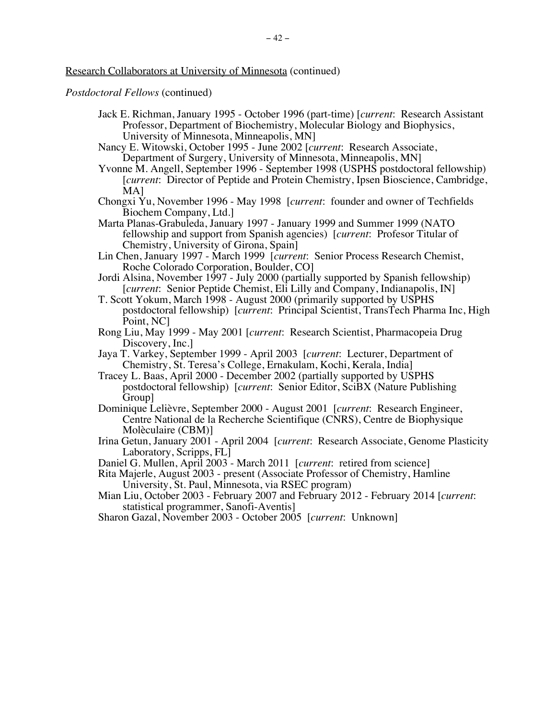*Postdoctoral Fellows* (continued)

- Jack E. Richman, January 1995 October 1996 (part-time) [*current*: Research Assistant Professor, Department of Biochemistry, Molecular Biology and Biophysics, University of Minnesota, Minneapolis, MN]
- Nancy E. Witowski, October 1995 June 2002 [*current*: Research Associate, Department of Surgery, University of Minnesota, Minneapolis, MN]
- Yvonne M. Angell, September 1996 September 1998 (USPHS postdoctoral fellowship) [*current*: Director of Peptide and Protein Chemistry, Ipsen Bioscience, Cambridge, MA]
- Chongxi Yu, November 1996 May 1998 [*current*: founder and owner of Techfields Biochem Company, Ltd.]
- Marta Planas-Grabuleda, January 1997 January 1999 and Summer 1999 (NATO fellowship and support from Spanish agencies) [*current*: Profesor Titular of Chemistry, University of Girona, Spain]
- Lin Chen, January 1997 March 1999 [*current*: Senior Process Research Chemist, Roche Colorado Corporation, Boulder, CO]
- Jordi Alsina, November 1997 July 2000 (partially supported by Spanish fellowship) [*current*: Senior Peptide Chemist, Eli Lilly and Company, Indianapolis, IN]
- T. Scott Yokum, March 1998 August 2000 (primarily supported by USPHS postdoctoral fellowship) [*current*: Principal Scientist, TransTech Pharma Inc, High Point, NC]
- Rong Liu, May 1999 May 2001 [*current*: Research Scientist, Pharmacopeia Drug Discovery, Inc.
- Jaya T. Varkey, September 1999 April 2003 [*current*: Lecturer, Department of Chemistry, St. Teresa's College, Ernakulam, Kochi, Kerala, India]
- Tracey L. Baas, April 2000 December 2002 (partially supported by USPHS postdoctoral fellowship) [*current*: Senior Editor, SciBX (Nature Publishing Group]
- Dominique Lelièvre, September 2000 August 2001 [*current*: Research Engineer, Centre National de la Recherche Scientifique (CNRS), Centre de Biophysique Molèculaire (CBM)]
- Irina Getun, January 2001 April 2004 [*current*: Research Associate, Genome Plasticity Laboratory, Scripps, FL]
- Daniel G. Mullen, April 2003 March 2011 [*current*: retired from science]
- Rita Majerle, August 2003 present (Associate Professor of Chemistry, Hamline University, St. Paul, Minnesota, via RSEC program)
- Mian Liu, October 2003 February 2007 and February 2012 February 2014 [*current*: statistical programmer, Sanofi-Aventis]
- Sharon Gazal, November 2003 October 2005 [*current*: Unknown]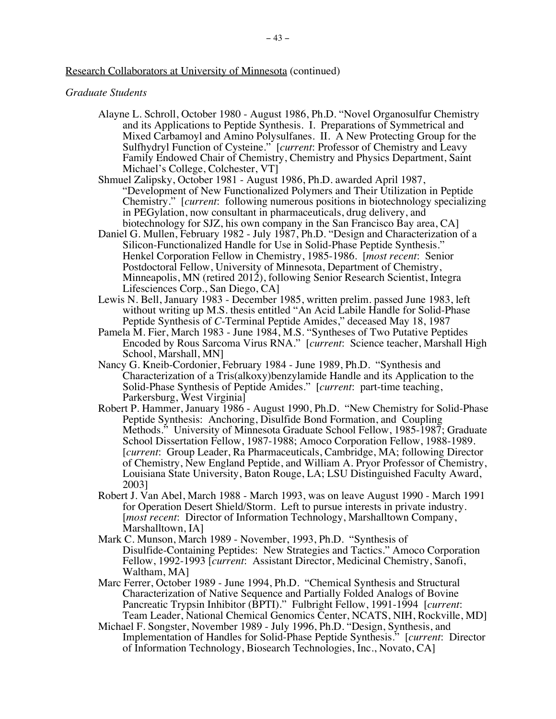*Graduate Students*

- Alayne L. Schroll, October 1980 August 1986, Ph.D. "Novel Organosulfur Chemistry and its Applications to Peptide Synthesis. I. Preparations of Symmetrical and Mixed Carbamoyl and Amino Polysulfanes. II. A New Protecting Group for the Sulfhydryl Function of Cysteine." [*current*: Professor of Chemistry and Leavy Family Endowed Chair of Chemistry, Chemistry and Physics Department, Saint Michael's College, Colchester, VT]
- Shmuel Zalipsky, October 1981 August 1986, Ph.D. awarded April 1987, "Development of New Functionalized Polymers and Their Utilization in Peptide Chemistry." [*current*: following numerous positions in biotechnology specializing in PEGylation, now consultant in pharmaceuticals, drug delivery, and biotechnology for SJZ, his own company in the San Francisco Bay area, CA]
- Daniel G. Mullen, February 1982 July 1987, Ph.D. "Design and Characterization of a Silicon-Functionalized Handle for Use in Solid-Phase Peptide Synthesis." Henkel Corporation Fellow in Chemistry, 1985-1986. [*most recent*: Senior Postdoctoral Fellow, University of Minnesota, Department of Chemistry, Minneapolis, MN (retired 2012), following Senior Research Scientist, Integra Lifesciences Corp., San Diego, CA]
- Lewis N. Bell, January 1983 December 1985, written prelim. passed June 1983, left without writing up M.S. thesis entitled "An Acid Labile Handle for Solid-Phase Peptide Synthesis of *C*-Terminal Peptide Amides," deceased May 18, 1987
- Pamela M. Fier, March 1983 June 1984, M.S. "Syntheses of Two Putative Peptides Encoded by Rous Sarcoma Virus RNA." [*current*: Science teacher, Marshall High School, Marshall, MN]
- Nancy G. Kneib-Cordonier, February 1984 June 1989, Ph.D. "Synthesis and Characterization of a Tris(alkoxy)benzylamide Handle and its Application to the Solid-Phase Synthesis of Peptide Amides." [*current*: part-time teaching, Parkersburg, West Virginia]
- Robert P. Hammer, January 1986 August 1990, Ph.D. "New Chemistry for Solid-Phase Peptide Synthesis: Anchoring, Disulfide Bond Formation, and Coupling Methods." University of Minnesota Graduate School Fellow, 1985-1987; Graduate School Dissertation Fellow, 1987-1988; Amoco Corporation Fellow, 1988-1989. [*current*: Group Leader, Ra Pharmaceuticals, Cambridge, MA; following Director of Chemistry, New England Peptide, and William A. Pryor Professor of Chemistry, Louisiana State University, Baton Rouge, LA; LSU Distinguished Faculty Award, 2003]
- Robert J. Van Abel, March 1988 March 1993, was on leave August 1990 March 1991 for Operation Desert Shield/Storm. Left to pursue interests in private industry. [*most recent*: Director of Information Technology, Marshalltown Company, Marshalltown, IA]
- Mark C. Munson, March 1989 November, 1993, Ph.D. "Synthesis of Disulfide-Containing Peptides: New Strategies and Tactics." Amoco Corporation Fellow, 1992-1993 [*current*: Assistant Director, Medicinal Chemistry, Sanofi, Waltham, MA]
- Marc Ferrer, October 1989 June 1994, Ph.D. "Chemical Synthesis and Structural Characterization of Native Sequence and Partially Folded Analogs of Bovine Pancreatic Trypsin Inhibitor (BPTI)." Fulbright Fellow, 1991-1994 [*current*: Team Leader, National Chemical Genomics Center, NCATS, NIH, Rockville, MD]
- Michael F. Songster, November 1989 July 1996, Ph.D. "Design, Synthesis, and Implementation of Handles for Solid-Phase Peptide Synthesis." [*current*: Director of Information Technology, Biosearch Technologies, Inc., Novato, CA]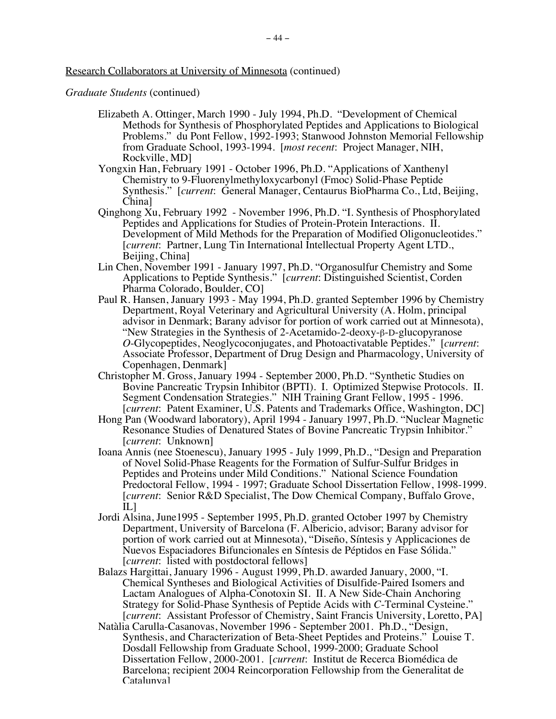*Graduate Students* (continued)

- Elizabeth A. Ottinger, March 1990 July 1994, Ph.D. "Development of Chemical Methods for Synthesis of Phosphorylated Peptides and Applications to Biological Problems." du Pont Fellow, 1992-1993; Stanwood Johnston Memorial Fellowship from Graduate School, 1993-1994. [*most recent*: Project Manager, NIH, Rockville, MD]
- Yongxin Han, February 1991 October 1996, Ph.D. "Applications of Xanthenyl Chemistry to 9-Fluorenylmethyloxycarbonyl (Fmoc) Solid-Phase Peptide Synthesis." [*current*: General Manager, Centaurus BioPharma Co., Ltd, Beijing, China]
- Qinghong Xu, February 1992 November 1996, Ph.D. "I. Synthesis of Phosphorylated Peptides and Applications for Studies of Protein-Protein Interactions. II. Development of Mild Methods for the Preparation of Modified Oligonucleotides." [*current*: Partner, Lung Tin International Intellectual Property Agent LTD., Beijing, China]
- Lin Chen, November 1991 January 1997, Ph.D. "Organosulfur Chemistry and Some Applications to Peptide Synthesis." [*current*: Distinguished Scientist, Corden Pharma Colorado, Boulder, CO]
- Paul R. Hansen, January 1993 May 1994, Ph.D. granted September 1996 by Chemistry Department, Royal Veterinary and Agricultural University (A. Holm, principal advisor in Denmark; Barany advisor for portion of work carried out at Minnesota), "New Strategies in the Synthesis of 2-Acetamido-2-deoxy-β-D-glucopyranose *O*-Glycopeptides, Neoglycoconjugates, and Photoactivatable Peptides." [*current*: Associate Professor, Department of Drug Design and Pharmacology, University of Copenhagen, Denmark]
- Christopher M. Gross, January 1994 September 2000, Ph.D. "Synthetic Studies on Bovine Pancreatic Trypsin Inhibitor (BPTI). I. Optimized Stepwise Protocols. II. Segment Condensation Strategies." NIH Training Grant Fellow, 1995 - 1996. [*current*: Patent Examiner, U.S. Patents and Trademarks Office, Washington, DC]
- Hong Pan (Woodward laboratory), April 1994 January 1997, Ph.D. "Nuclear Magnetic Resonance Studies of Denatured States of Bovine Pancreatic Trypsin Inhibitor." [*current*: Unknown]
- Ioana Annis (nee Stoenescu), January 1995 July 1999, Ph.D., "Design and Preparation of Novel Solid-Phase Reagents for the Formation of Sulfur-Sulfur Bridges in Peptides and Proteins under Mild Conditions." National Science Foundation Predoctoral Fellow, 1994 - 1997; Graduate School Dissertation Fellow, 1998-1999. [*current*: Senior R&D Specialist, The Dow Chemical Company, Buffalo Grove, IL]
- Jordi Alsina, June1995 September 1995, Ph.D. granted October 1997 by Chemistry Department, University of Barcelona (F. Albericio, advisor; Barany advisor for portion of work carried out at Minnesota), "Diseño, Síntesis y Applicaciones de Nuevos Espaciadores Bifuncionales en Síntesis de Péptidos en Fase Sólida." [*current*: listed with postdoctoral fellows]
- Balazs Hargittai, January 1996 August 1999, Ph.D. awarded January, 2000, "I. Chemical Syntheses and Biological Activities of Disulfide-Paired Isomers and Lactam Analogues of Alpha-Conotoxin SI. II. A New Side-Chain Anchoring Strategy for Solid-Phase Synthesis of Peptide Acids with *C*-Terminal Cysteine." [*current*: Assistant Professor of Chemistry, Saint Francis University, Loretto, PA]
- Natàlia Carulla-Casanovas, November 1996 September 2001. Ph.D., "Design, Synthesis, and Characterization of Beta-Sheet Peptides and Proteins." Louise T. Dosdall Fellowship from Graduate School, 1999-2000; Graduate School Dissertation Fellow, 2000-2001. [*current*: Institut de Recerca Biomédica de Barcelona; recipient 2004 Reincorporation Fellowship from the Generalitat de Catalunya]